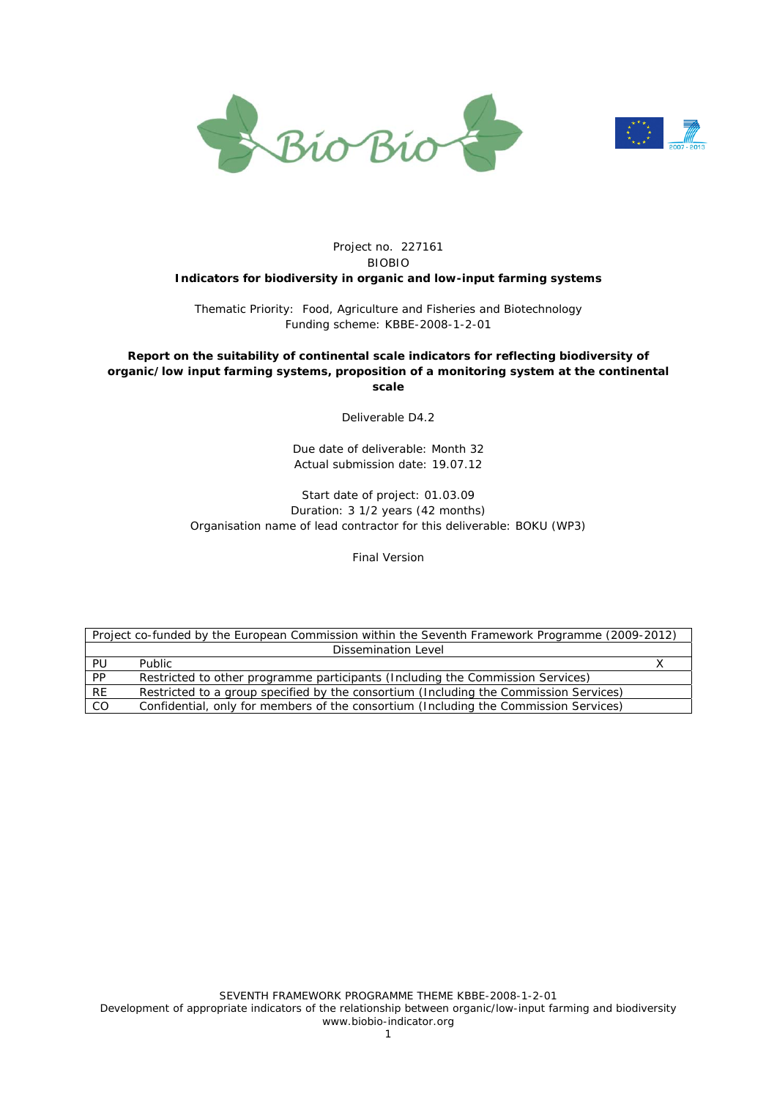



#### Project no. 227161 BIOBIO **Indicators for biodiversity in organic and low-input farming systems**

Thematic Priority: Food, Agriculture and Fisheries and Biotechnology Funding scheme: KBBE-2008-1-2-01

#### **Report on the suitability of continental scale indicators for reflecting biodiversity of organic/low input farming systems, proposition of a monitoring system at the continental scale**

Deliverable D4.2

Due date of deliverable: Month 32 Actual submission date: 19.07.12

#### Start date of project: 01.03.09 Duration: 3 1/2 years (42 months) Organisation name of lead contractor for this deliverable: BOKU (WP3)

Final Version

|           | Project co-funded by the European Commission within the Seventh Framework Programme (2009-2012) |  |
|-----------|-------------------------------------------------------------------------------------------------|--|
|           | Dissemination Level                                                                             |  |
| PU        | <b>Public</b>                                                                                   |  |
| <b>PP</b> | Restricted to other programme participants (Including the Commission Services)                  |  |
| <b>RE</b> | Restricted to a group specified by the consortium (Including the Commission Services)           |  |
| CO        | Confidential, only for members of the consortium (Including the Commission Services)            |  |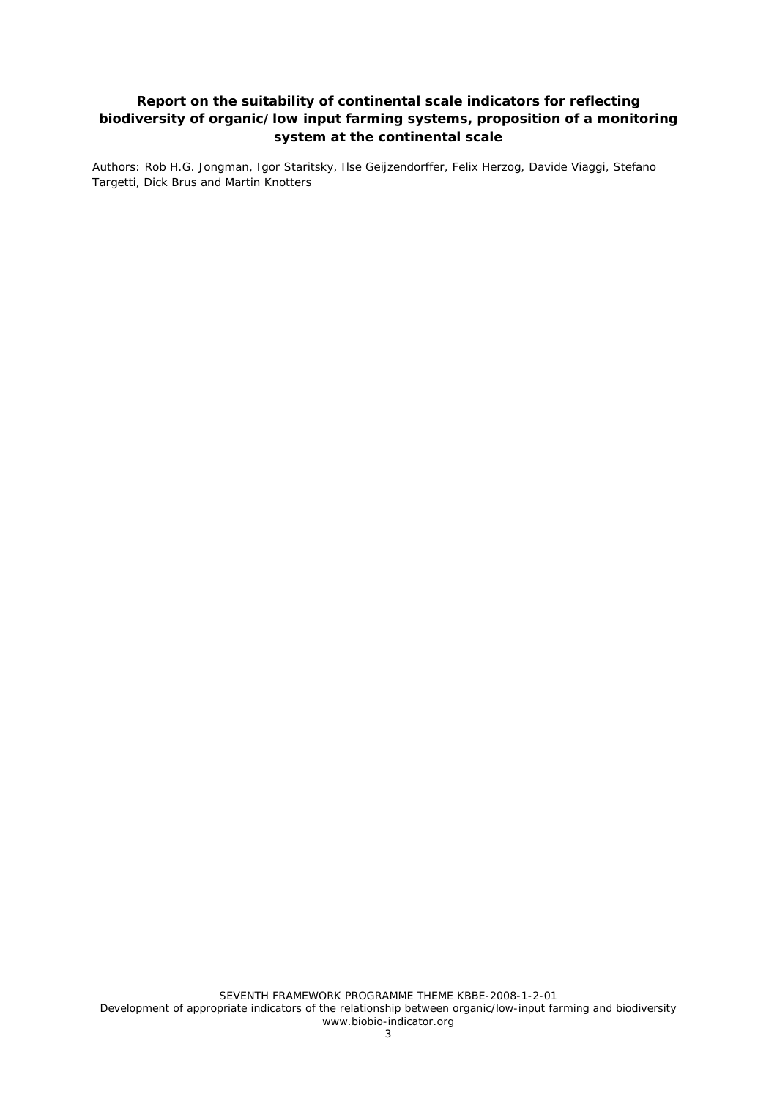## **Report on the suitability of continental scale indicators for reflecting biodiversity of organic/low input farming systems, proposition of a monitoring system at the continental scale**

Authors: Rob H.G. Jongman, Igor Staritsky, Ilse Geijzendorffer, Felix Herzog, Davide Viaggi, Stefano Targetti, Dick Brus and Martin Knotters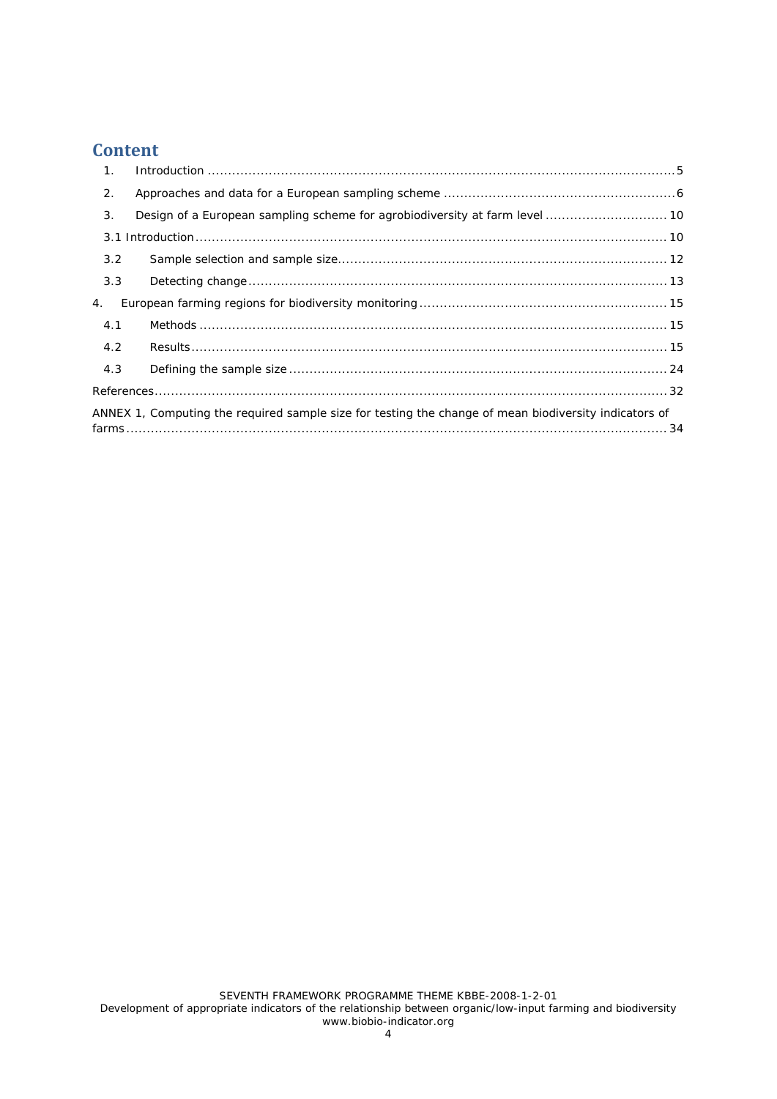# **Content**

| $\mathbf 1$ . |                                                                                                       |  |
|---------------|-------------------------------------------------------------------------------------------------------|--|
| 2.            |                                                                                                       |  |
| 3.            |                                                                                                       |  |
|               |                                                                                                       |  |
| 3.2           |                                                                                                       |  |
| 3.3           |                                                                                                       |  |
| 4.            |                                                                                                       |  |
| 4.1           |                                                                                                       |  |
| 4.2           |                                                                                                       |  |
| 4.3           |                                                                                                       |  |
|               |                                                                                                       |  |
|               | ANNEX 1, Computing the required sample size for testing the change of mean biodiversity indicators of |  |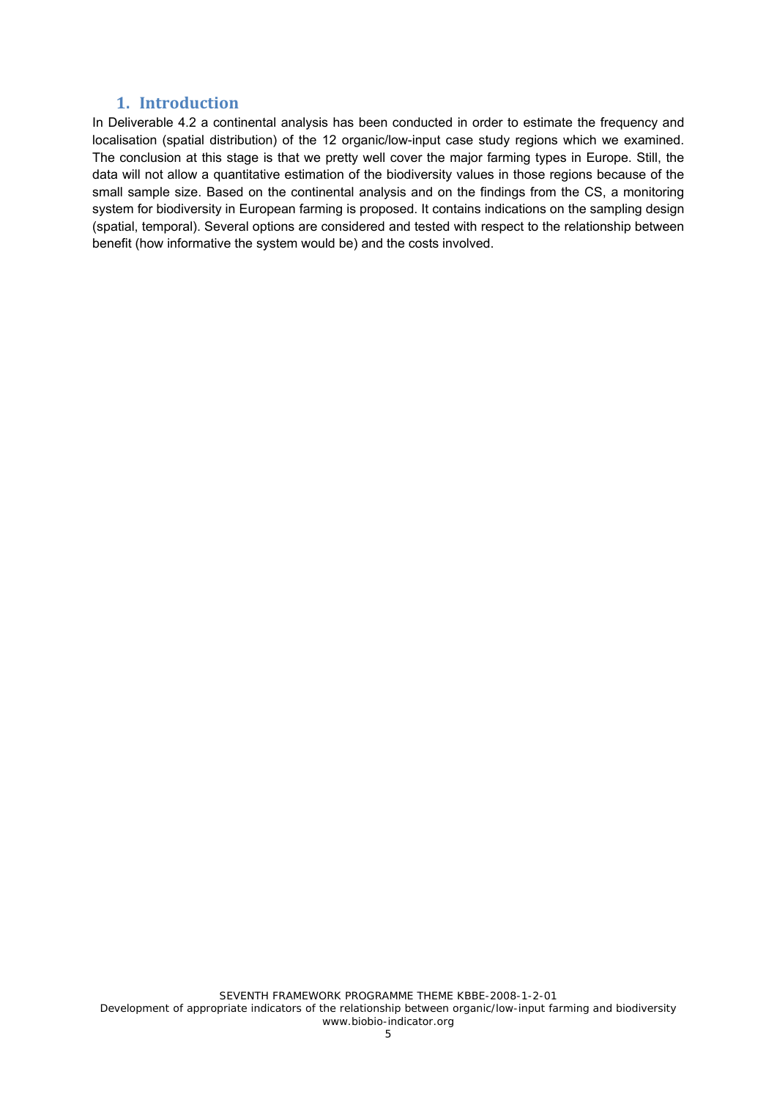### **1. Introduction**

In Deliverable 4.2 a continental analysis has been conducted in order to estimate the frequency and localisation (spatial distribution) of the 12 organic/low-input case study regions which we examined. The conclusion at this stage is that we pretty well cover the major farming types in Europe. Still, the data will not allow a quantitative estimation of the biodiversity values in those regions because of the small sample size. Based on the continental analysis and on the findings from the CS, a monitoring system for biodiversity in European farming is proposed. It contains indications on the sampling design (spatial, temporal). Several options are considered and tested with respect to the relationship between benefit (how informative the system would be) and the costs involved.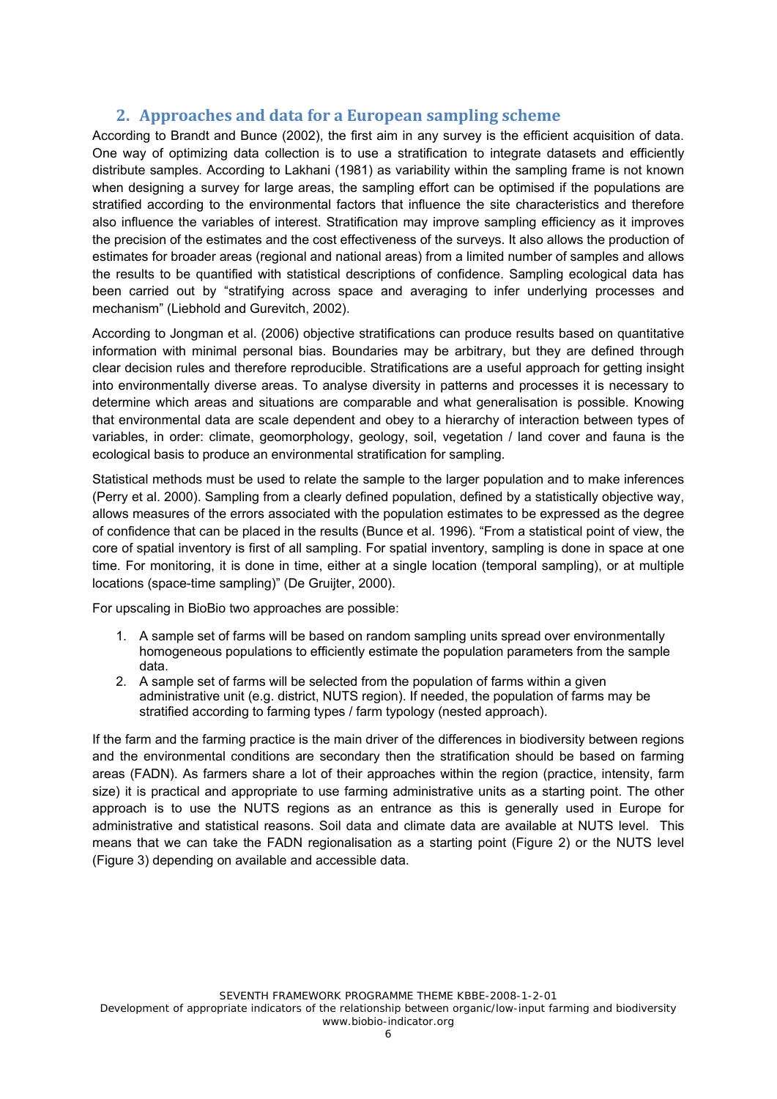## **2. Approaches and data for a European sampling scheme**

According to Brandt and Bunce (2002), the first aim in any survey is the efficient acquisition of data. One way of optimizing data collection is to use a stratification to integrate datasets and efficiently distribute samples. According to Lakhani (1981) as variability within the sampling frame is not known when designing a survey for large areas, the sampling effort can be optimised if the populations are stratified according to the environmental factors that influence the site characteristics and therefore also influence the variables of interest. Stratification may improve sampling efficiency as it improves the precision of the estimates and the cost effectiveness of the surveys. It also allows the production of estimates for broader areas (regional and national areas) from a limited number of samples and allows the results to be quantified with statistical descriptions of confidence. Sampling ecological data has been carried out by "stratifying across space and averaging to infer underlying processes and mechanism" (Liebhold and Gurevitch, 2002).

According to Jongman et al. (2006) objective stratifications can produce results based on quantitative information with minimal personal bias. Boundaries may be arbitrary, but they are defined through clear decision rules and therefore reproducible. Stratifications are a useful approach for getting insight into environmentally diverse areas. To analyse diversity in patterns and processes it is necessary to determine which areas and situations are comparable and what generalisation is possible. Knowing that environmental data are scale dependent and obey to a hierarchy of interaction between types of variables, in order: climate, geomorphology, geology, soil, vegetation / land cover and fauna is the ecological basis to produce an environmental stratification for sampling.

Statistical methods must be used to relate the sample to the larger population and to make inferences (Perry et al. 2000). Sampling from a clearly defined population, defined by a statistically objective way, allows measures of the errors associated with the population estimates to be expressed as the degree of confidence that can be placed in the results (Bunce et al. 1996). "From a statistical point of view, the core of spatial inventory is first of all sampling. For spatial inventory, sampling is done in space at one time. For monitoring, it is done in time, either at a single location (temporal sampling), or at multiple locations (space-time sampling)" (De Gruijter, 2000).

For upscaling in BioBio two approaches are possible:

- 1. A sample set of farms will be based on random sampling units spread over environmentally homogeneous populations to efficiently estimate the population parameters from the sample data.
- 2. A sample set of farms will be selected from the population of farms within a given administrative unit (e.g. district, NUTS region). If needed, the population of farms may be stratified according to farming types / farm typology (nested approach).

If the farm and the farming practice is the main driver of the differences in biodiversity between regions and the environmental conditions are secondary then the stratification should be based on farming areas (FADN). As farmers share a lot of their approaches within the region (practice, intensity, farm size) it is practical and appropriate to use farming administrative units as a starting point. The other approach is to use the NUTS regions as an entrance as this is generally used in Europe for administrative and statistical reasons. Soil data and climate data are available at NUTS level. This means that we can take the FADN regionalisation as a starting point (Figure 2) or the NUTS level (Figure 3) depending on available and accessible data.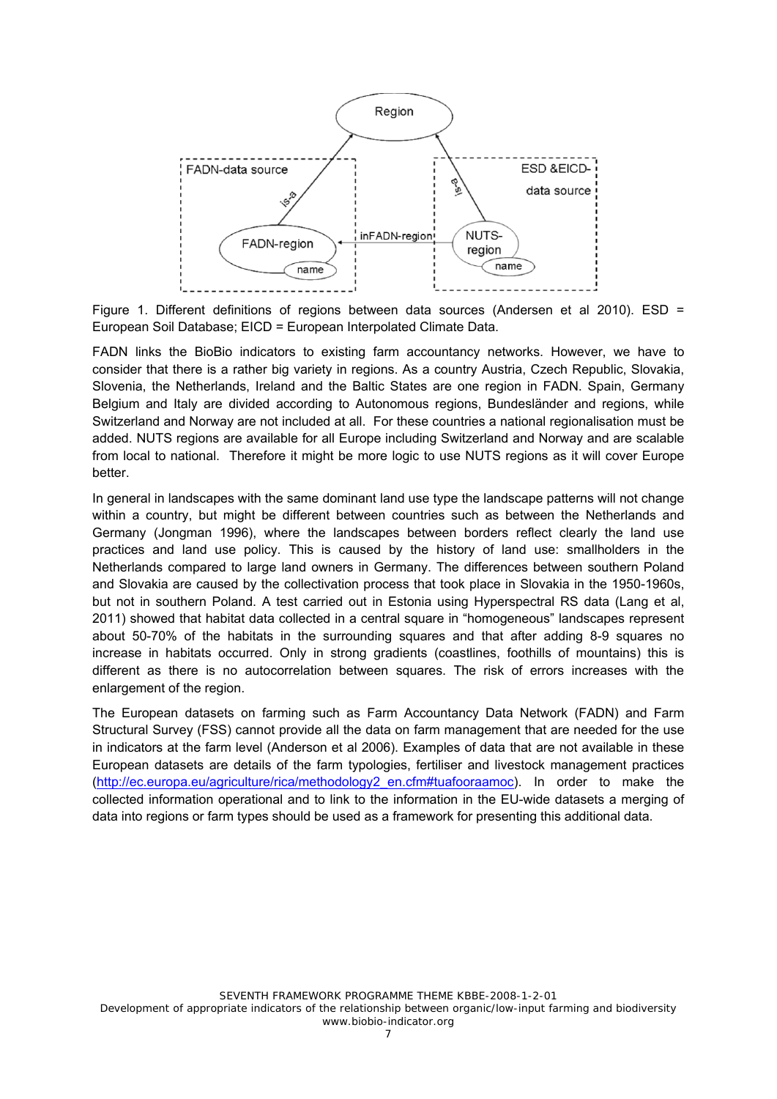

Figure 1. Different definitions of regions between data sources (Andersen et al 2010). ESD = European Soil Database; EICD = European Interpolated Climate Data.

FADN links the BioBio indicators to existing farm accountancy networks. However, we have to consider that there is a rather big variety in regions. As a country Austria, Czech Republic, Slovakia, Slovenia, the Netherlands, Ireland and the Baltic States are one region in FADN. Spain, Germany Belgium and Italy are divided according to Autonomous regions, Bundesländer and regions, while Switzerland and Norway are not included at all. For these countries a national regionalisation must be added. NUTS regions are available for all Europe including Switzerland and Norway and are scalable from local to national. Therefore it might be more logic to use NUTS regions as it will cover Europe better.

In general in landscapes with the same dominant land use type the landscape patterns will not change within a country, but might be different between countries such as between the Netherlands and Germany (Jongman 1996), where the landscapes between borders reflect clearly the land use practices and land use policy. This is caused by the history of land use: smallholders in the Netherlands compared to large land owners in Germany. The differences between southern Poland and Slovakia are caused by the collectivation process that took place in Slovakia in the 1950-1960s, but not in southern Poland. A test carried out in Estonia using Hyperspectral RS data (Lang et al, 2011) showed that habitat data collected in a central square in "homogeneous" landscapes represent about 50-70% of the habitats in the surrounding squares and that after adding 8-9 squares no increase in habitats occurred. Only in strong gradients (coastlines, foothills of mountains) this is different as there is no autocorrelation between squares. The risk of errors increases with the enlargement of the region.

The European datasets on farming such as Farm Accountancy Data Network (FADN) and Farm Structural Survey (FSS) cannot provide all the data on farm management that are needed for the use in indicators at the farm level (Anderson et al 2006). Examples of data that are not available in these European datasets are details of the farm typologies, fertiliser and livestock management practices (http://ec.europa.eu/agriculture/rica/methodology2\_en.cfm#tuafooraamoc). In order to make the collected information operational and to link to the information in the EU-wide datasets a merging of data into regions or farm types should be used as a framework for presenting this additional data.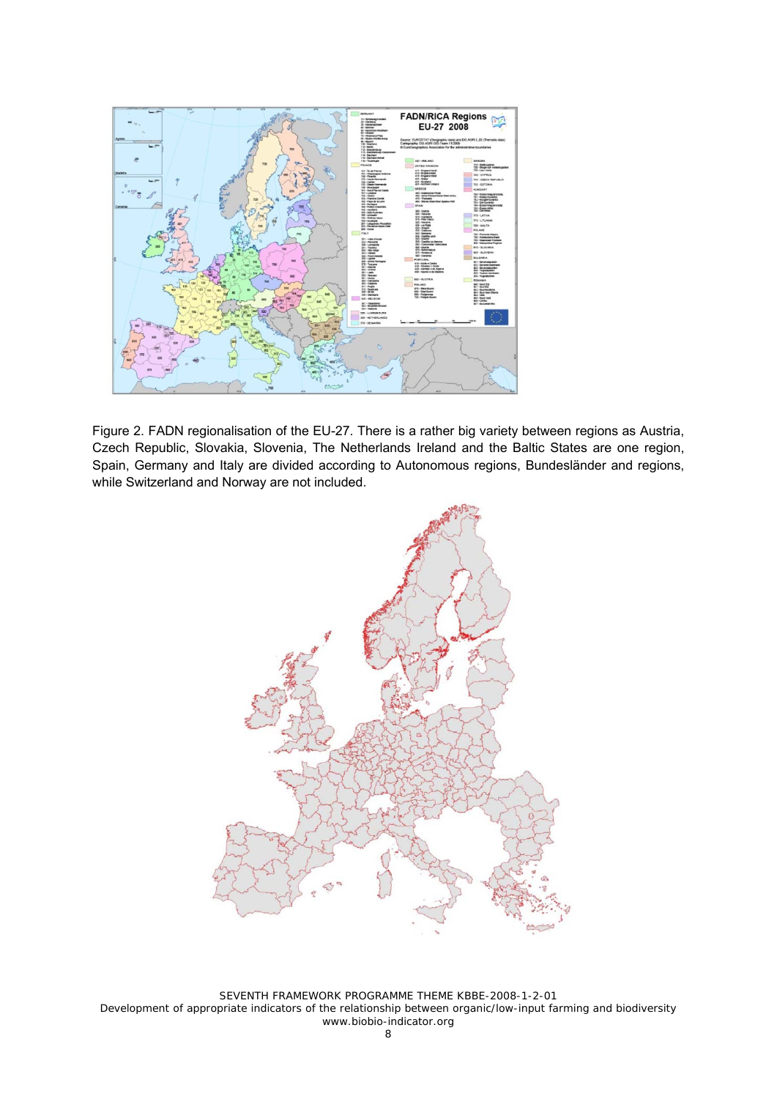

Figure 2. FADN regionalisation of the EU-27. There is a rather big variety between regions as Austria, Czech Republic, Slovakia, Slovenia, The Netherlands Ireland and the Baltic States are one region, Spain, Germany and Italy are divided according to Autonomous regions, Bundesländer and regions, while Switzerland and Norway are not included.



SEVENTH FRAMEWORK PROGRAMME THEME KBBE-2008-1-2-01 Development of appropriate indicators of the relationship between organic/low-input farming and biodiversity www.biobio-indicator.org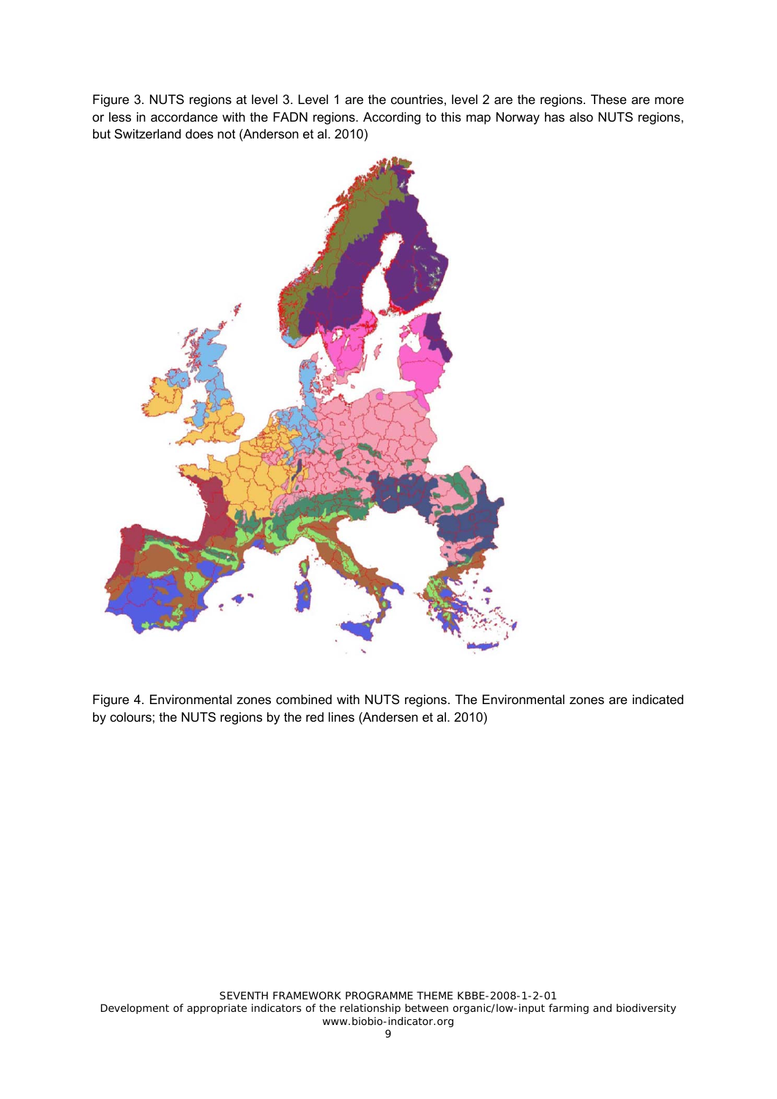Figure 3. NUTS regions at level 3. Level 1 are the countries, level 2 are the regions. These are more or less in accordance with the FADN regions. According to this map Norway has also NUTS regions, but Switzerland does not (Anderson et al. 2010)



Figure 4. Environmental zones combined with NUTS regions. The Environmental zones are indicated by colours; the NUTS regions by the red lines (Andersen et al. 2010)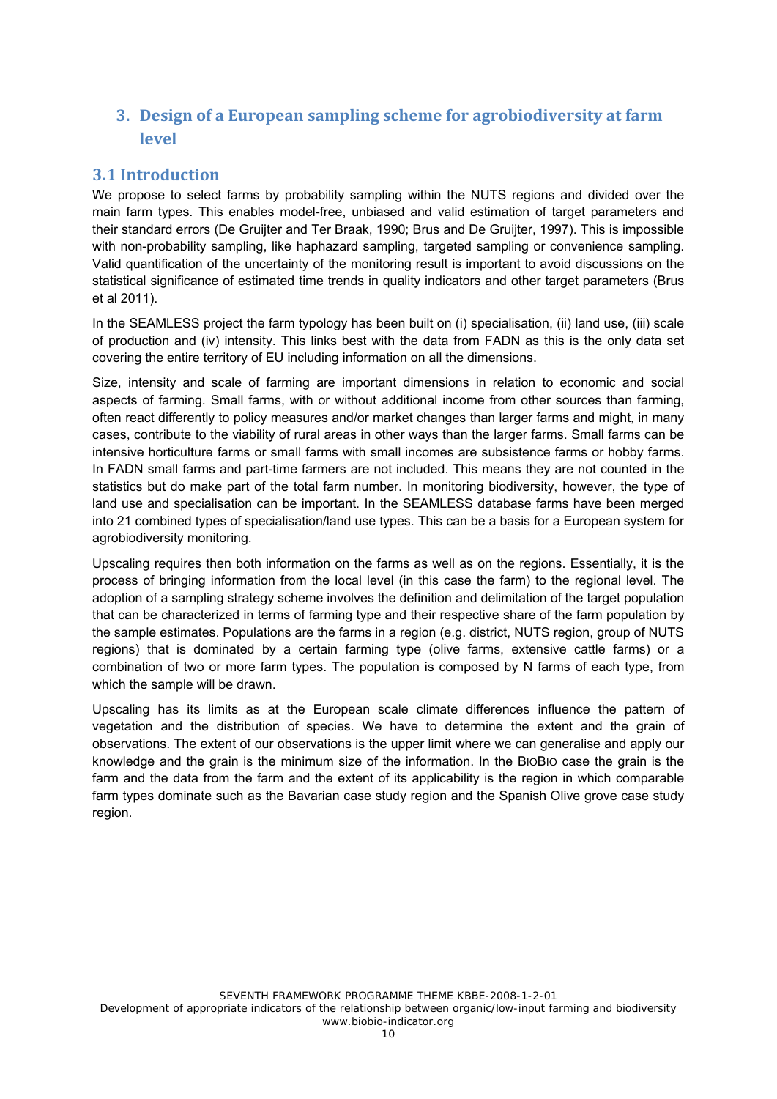# **3. Design of a European sampling scheme for agrobiodiversity at farm level**

# **3.1 Introduction**

We propose to select farms by probability sampling within the NUTS regions and divided over the main farm types. This enables model-free, unbiased and valid estimation of target parameters and their standard errors (De Gruijter and Ter Braak, 1990; Brus and De Gruijter, 1997). This is impossible with non-probability sampling, like haphazard sampling, targeted sampling or convenience sampling. Valid quantification of the uncertainty of the monitoring result is important to avoid discussions on the statistical significance of estimated time trends in quality indicators and other target parameters (Brus et al 2011).

In the SEAMLESS project the farm typology has been built on (i) specialisation, (ii) land use, (iii) scale of production and (iv) intensity. This links best with the data from FADN as this is the only data set covering the entire territory of EU including information on all the dimensions.

Size, intensity and scale of farming are important dimensions in relation to economic and social aspects of farming. Small farms, with or without additional income from other sources than farming, often react differently to policy measures and/or market changes than larger farms and might, in many cases, contribute to the viability of rural areas in other ways than the larger farms. Small farms can be intensive horticulture farms or small farms with small incomes are subsistence farms or hobby farms. In FADN small farms and part-time farmers are not included. This means they are not counted in the statistics but do make part of the total farm number. In monitoring biodiversity, however, the type of land use and specialisation can be important. In the SEAMLESS database farms have been merged into 21 combined types of specialisation/land use types. This can be a basis for a European system for agrobiodiversity monitoring.

Upscaling requires then both information on the farms as well as on the regions. Essentially, it is the process of bringing information from the local level (in this case the farm) to the regional level. The adoption of a sampling strategy scheme involves the definition and delimitation of the target population that can be characterized in terms of farming type and their respective share of the farm population by the sample estimates. Populations are the farms in a region (e.g. district, NUTS region, group of NUTS regions) that is dominated by a certain farming type (olive farms, extensive cattle farms) or a combination of two or more farm types. The population is composed by N farms of each type, from which the sample will be drawn.

Upscaling has its limits as at the European scale climate differences influence the pattern of vegetation and the distribution of species. We have to determine the extent and the grain of observations. The extent of our observations is the upper limit where we can generalise and apply our knowledge and the grain is the minimum size of the information. In the BIOBIO case the grain is the farm and the data from the farm and the extent of its applicability is the region in which comparable farm types dominate such as the Bavarian case study region and the Spanish Olive grove case study region.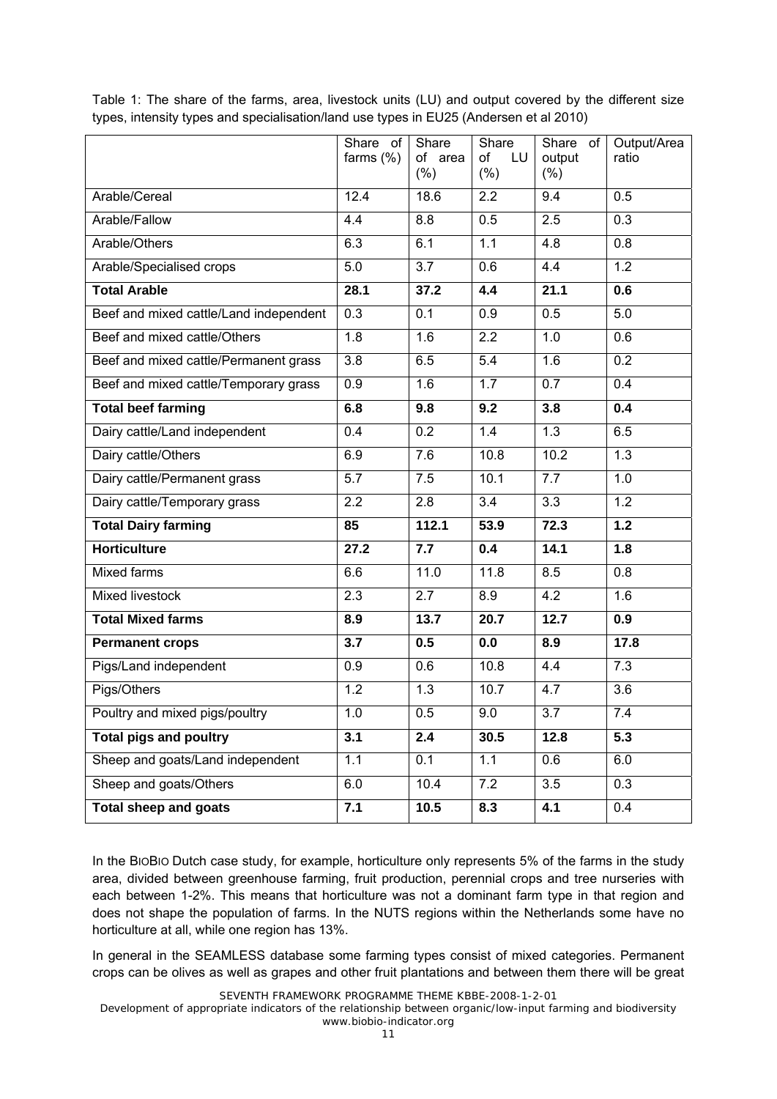|                                        | Share of<br>farms $(\%)$ | Share<br>of area<br>(% ) | Share<br>of<br>LU<br>$(\% )$ | Share of<br>output<br>(% ) | Output/Area<br>ratio |
|----------------------------------------|--------------------------|--------------------------|------------------------------|----------------------------|----------------------|
| Arable/Cereal                          | 12.4                     | 18.6                     | $\overline{2.2}$             | $\overline{9.4}$           | 0.5                  |
| Arable/Fallow                          | 4.4                      | 8.8                      | 0.5                          | 2.5                        | 0.3                  |
| Arable/Others                          | 6.3                      | 6.1                      | 1.1                          | 4.8                        | 0.8                  |
| Arable/Specialised crops               | 5.0                      | $\overline{3.7}$         | 0.6                          | 4.4                        | $\overline{1.2}$     |
| <b>Total Arable</b>                    | 28.1                     | 37.2                     | 4.4                          | 21.1                       | 0.6                  |
| Beef and mixed cattle/Land independent | 0.3                      | 0.1                      | 0.9                          | 0.5                        | 5.0                  |
| Beef and mixed cattle/Others           | 1.8                      | 1.6                      | $\overline{2.2}$             | 1.0                        | 0.6                  |
| Beef and mixed cattle/Permanent grass  | 3.8                      | 6.5                      | $\overline{5.4}$             | 1.6                        | $\overline{0.2}$     |
| Beef and mixed cattle/Temporary grass  | 0.9                      | 1.6                      | 1.7                          | $\overline{0.7}$           | 0.4                  |
| <b>Total beef farming</b>              | 6.8                      | 9.8                      | 9.2                          | 3.8                        | 0.4                  |
| Dairy cattle/Land independent          | 0.4                      | 0.2                      | 1.4                          | $\overline{1.3}$           | 6.5                  |
| Dairy cattle/Others                    | 6.9                      | 7.6                      | 10.8                         | 10.2                       | 1.3                  |
| Dairy cattle/Permanent grass           | $\overline{5.7}$         | 7.5                      | 10.1                         | 7.7                        | 1.0                  |
| Dairy cattle/Temporary grass           | 2.2                      | 2.8                      | $\overline{3.4}$             | $\overline{3.3}$           | 1.2                  |
| <b>Total Dairy farming</b>             | 85                       | 112.1                    | 53.9                         | 72.3                       | $\overline{1.2}$     |
| <b>Horticulture</b>                    | 27.2                     | 7.7                      | 0.4                          | 14.1                       | 1.8                  |
| <b>Mixed farms</b>                     | 6.6                      | 11.0                     | 11.8                         | 8.5                        | 0.8                  |
| <b>Mixed livestock</b>                 | 2.3                      | 2.7                      | 8.9                          | 4.2                        | 1.6                  |
| <b>Total Mixed farms</b>               | 8.9                      | 13.7                     | 20.7                         | 12.7                       | 0.9                  |
| <b>Permanent crops</b>                 | 3.7                      | 0.5                      | 0.0                          | 8.9                        | 17.8                 |
| Pigs/Land independent                  | 0.9                      | 0.6                      | 10.8                         | 4.4                        | 7.3                  |
| Pigs/Others                            | 1.2                      | 1.3                      | 10.7                         | 4.7                        | $\overline{3.6}$     |
| Poultry and mixed pigs/poultry         | 1.0                      | 0.5                      | 9.0                          | $\overline{3.7}$           | 7.4                  |
| <b>Total pigs and poultry</b>          | 3.1                      | 2.4                      | 30.5                         | 12.8                       | 5.3                  |
| Sheep and goats/Land independent       | 1.1                      | 0.1                      | 1.1                          | 0.6                        | 6.0                  |
| Sheep and goats/Others                 | 6.0                      | 10.4                     | 7.2                          | $\overline{3.5}$           | 0.3                  |
| <b>Total sheep and goats</b>           | 7.1                      | 10.5                     | 8.3                          | 4.1                        | 0.4                  |

Table 1: The share of the farms, area, livestock units (LU) and output covered by the different size types, intensity types and specialisation/land use types in EU25 (Andersen et al 2010)

In the BIOBIO Dutch case study, for example, horticulture only represents 5% of the farms in the study area, divided between greenhouse farming, fruit production, perennial crops and tree nurseries with each between 1-2%. This means that horticulture was not a dominant farm type in that region and does not shape the population of farms. In the NUTS regions within the Netherlands some have no horticulture at all, while one region has 13%.

In general in the SEAMLESS database some farming types consist of mixed categories. Permanent crops can be olives as well as grapes and other fruit plantations and between them there will be great

SEVENTH FRAMEWORK PROGRAMME THEME KBBE-2008-1-2-01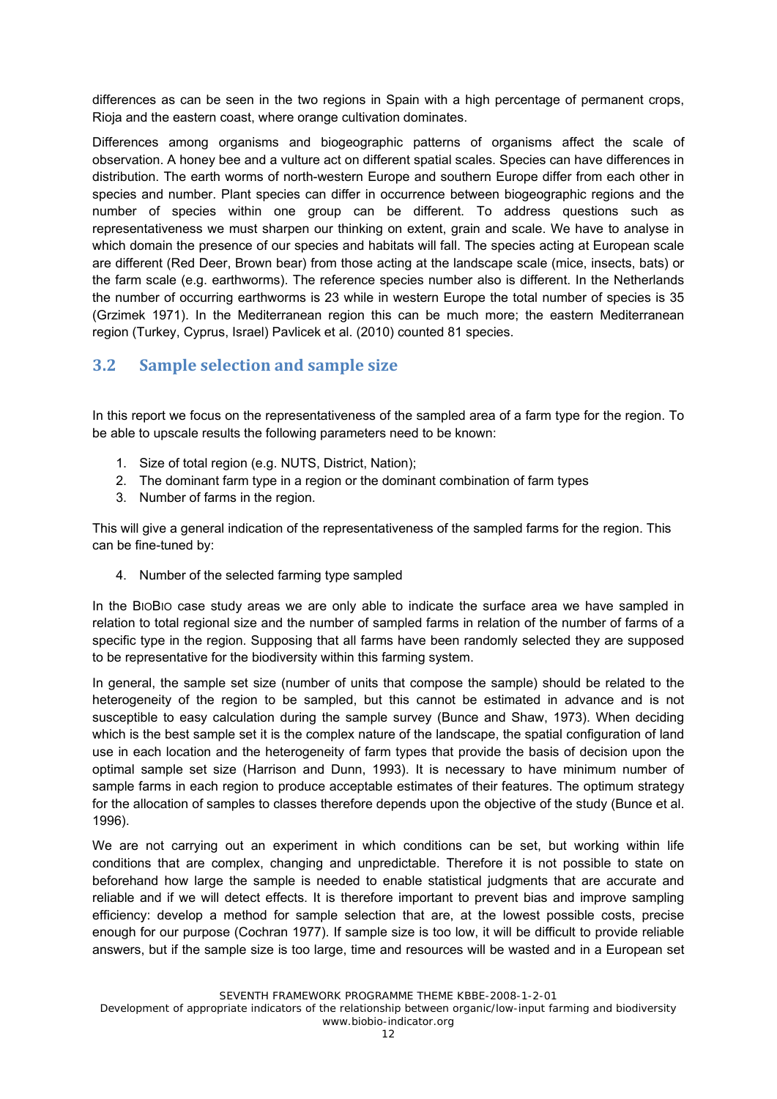differences as can be seen in the two regions in Spain with a high percentage of permanent crops, Rioja and the eastern coast, where orange cultivation dominates.

Differences among organisms and biogeographic patterns of organisms affect the scale of observation. A honey bee and a vulture act on different spatial scales. Species can have differences in distribution. The earth worms of north-western Europe and southern Europe differ from each other in species and number. Plant species can differ in occurrence between biogeographic regions and the number of species within one group can be different. To address questions such as representativeness we must sharpen our thinking on extent, grain and scale. We have to analyse in which domain the presence of our species and habitats will fall. The species acting at European scale are different (Red Deer, Brown bear) from those acting at the landscape scale (mice, insects, bats) or the farm scale (e.g. earthworms). The reference species number also is different. In the Netherlands the number of occurring earthworms is 23 while in western Europe the total number of species is 35 (Grzimek 1971). In the Mediterranean region this can be much more; the eastern Mediterranean region (Turkey, Cyprus, Israel) Pavlicek et al. (2010) counted 81 species.

# **3.2 Sample selection and sample size**

In this report we focus on the representativeness of the sampled area of a farm type for the region. To be able to upscale results the following parameters need to be known:

- 1. Size of total region (e.g. NUTS, District, Nation);
- 2. The dominant farm type in a region or the dominant combination of farm types
- 3. Number of farms in the region.

This will give a general indication of the representativeness of the sampled farms for the region. This can be fine-tuned by:

4. Number of the selected farming type sampled

In the BIOBIO case study areas we are only able to indicate the surface area we have sampled in relation to total regional size and the number of sampled farms in relation of the number of farms of a specific type in the region. Supposing that all farms have been randomly selected they are supposed to be representative for the biodiversity within this farming system.

In general, the sample set size (number of units that compose the sample) should be related to the heterogeneity of the region to be sampled, but this cannot be estimated in advance and is not susceptible to easy calculation during the sample survey (Bunce and Shaw, 1973). When deciding which is the best sample set it is the complex nature of the landscape, the spatial configuration of land use in each location and the heterogeneity of farm types that provide the basis of decision upon the optimal sample set size (Harrison and Dunn, 1993). It is necessary to have minimum number of sample farms in each region to produce acceptable estimates of their features. The optimum strategy for the allocation of samples to classes therefore depends upon the objective of the study (Bunce et al. 1996).

We are not carrying out an experiment in which conditions can be set, but working within life conditions that are complex, changing and unpredictable. Therefore it is not possible to state on beforehand how large the sample is needed to enable statistical judgments that are accurate and reliable and if we will detect effects. It is therefore important to prevent bias and improve sampling efficiency: develop a method for sample selection that are, at the lowest possible costs, precise enough for our purpose (Cochran 1977). If sample size is too low, it will be difficult to provide reliable answers, but if the sample size is too large, time and resources will be wasted and in a European set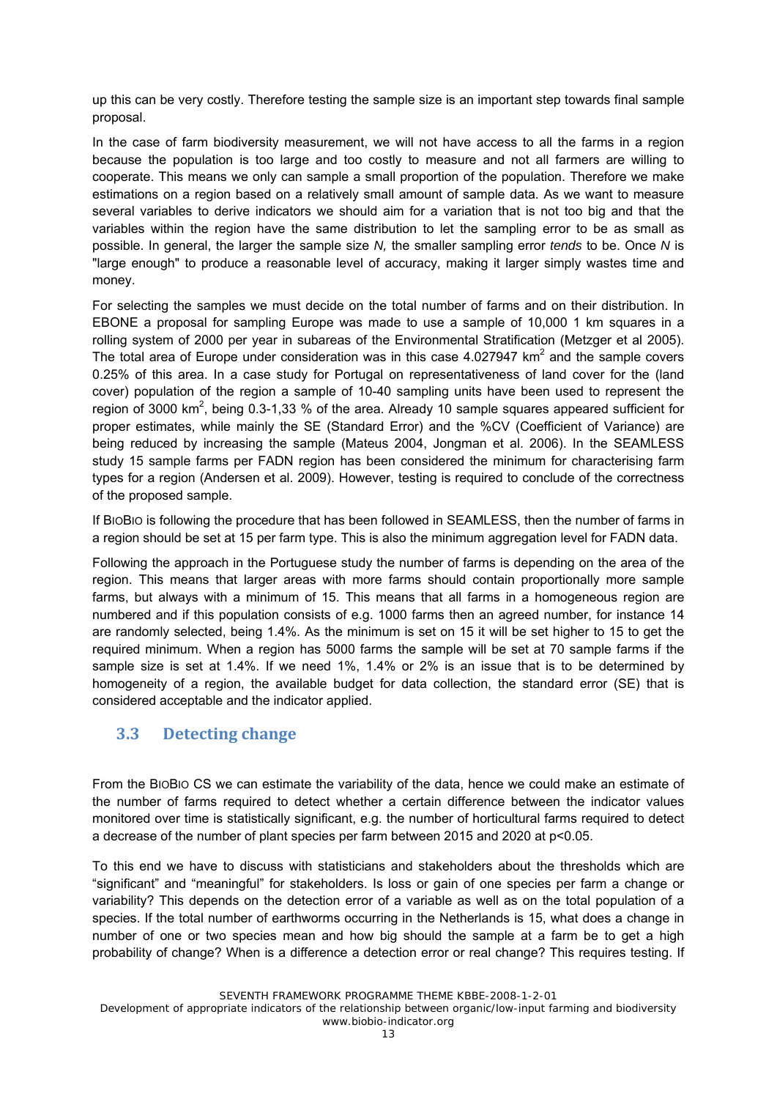up this can be very costly. Therefore testing the sample size is an important step towards final sample proposal.

In the case of farm biodiversity measurement, we will not have access to all the farms in a region because the population is too large and too costly to measure and not all farmers are willing to cooperate. This means we only can sample a small proportion of the population. Therefore we make estimations on a region based on a relatively small amount of sample data. As we want to measure several variables to derive indicators we should aim for a variation that is not too big and that the variables within the region have the same distribution to let the sampling error to be as small as possible. In general, the larger the sample size *N,* the smaller sampling error *tends* to be. Once *N* is "large enough" to produce a reasonable level of accuracy, making it larger simply wastes time and money.

For selecting the samples we must decide on the total number of farms and on their distribution. In EBONE a proposal for sampling Europe was made to use a sample of 10,000 1 km squares in a rolling system of 2000 per year in subareas of the Environmental Stratification (Metzger et al 2005). The total area of Europe under consideration was in this case 4.027947  $km^2$  and the sample covers 0.25% of this area. In a case study for Portugal on representativeness of land cover for the (land cover) population of the region a sample of 10-40 sampling units have been used to represent the region of 3000 km<sup>2</sup>, being 0.3-1,33 % of the area. Already 10 sample squares appeared sufficient for proper estimates, while mainly the SE (Standard Error) and the %CV (Coefficient of Variance) are being reduced by increasing the sample (Mateus 2004, Jongman et al. 2006). In the SEAMLESS study 15 sample farms per FADN region has been considered the minimum for characterising farm types for a region (Andersen et al. 2009). However, testing is required to conclude of the correctness of the proposed sample.

If BIOBIO is following the procedure that has been followed in SEAMLESS, then the number of farms in a region should be set at 15 per farm type. This is also the minimum aggregation level for FADN data.

Following the approach in the Portuguese study the number of farms is depending on the area of the region. This means that larger areas with more farms should contain proportionally more sample farms, but always with a minimum of 15. This means that all farms in a homogeneous region are numbered and if this population consists of e.g. 1000 farms then an agreed number, for instance 14 are randomly selected, being 1.4%. As the minimum is set on 15 it will be set higher to 15 to get the required minimum. When a region has 5000 farms the sample will be set at 70 sample farms if the sample size is set at 1.4%. If we need 1%, 1.4% or 2% is an issue that is to be determined by homogeneity of a region, the available budget for data collection, the standard error (SE) that is considered acceptable and the indicator applied.

## **3.3 Detecting change**

From the BIOBIO CS we can estimate the variability of the data, hence we could make an estimate of the number of farms required to detect whether a certain difference between the indicator values monitored over time is statistically significant, e.g. the number of horticultural farms required to detect a decrease of the number of plant species per farm between 2015 and 2020 at p<0.05.

To this end we have to discuss with statisticians and stakeholders about the thresholds which are "significant" and "meaningful" for stakeholders. Is loss or gain of one species per farm a change or variability? This depends on the detection error of a variable as well as on the total population of a species. If the total number of earthworms occurring in the Netherlands is 15, what does a change in number of one or two species mean and how big should the sample at a farm be to get a high probability of change? When is a difference a detection error or real change? This requires testing. If

SEVENTH FRAMEWORK PROGRAMME THEME KBBE-2008-1-2-01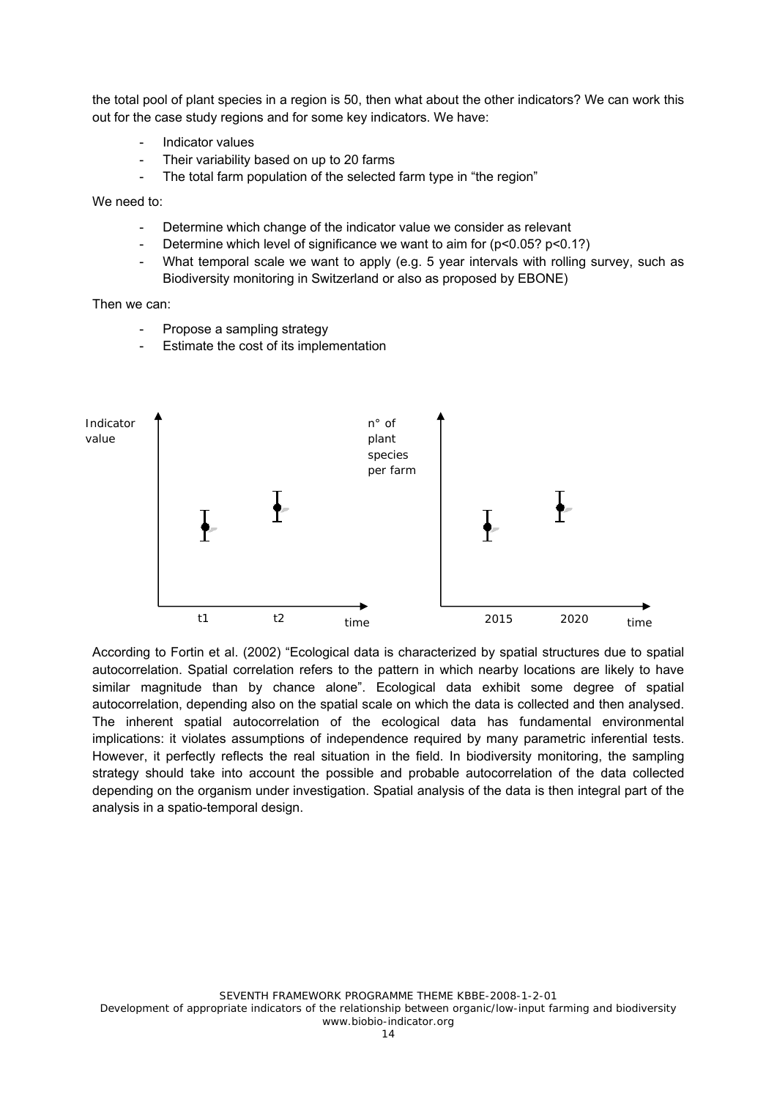the total pool of plant species in a region is 50, then what about the other indicators? We can work this out for the case study regions and for some key indicators. We have:

- Indicator values
- Their variability based on up to 20 farms
- The total farm population of the selected farm type in "the region"

We need to:

- Determine which change of the indicator value we consider as relevant
- Determine which level of significance we want to aim for  $(p<0.05$ ?  $p<0.1$ ?)
- What temporal scale we want to apply (e.g. 5 year intervals with rolling survey, such as Biodiversity monitoring in Switzerland or also as proposed by EBONE)

Then we can:

- Propose a sampling strategy
- Estimate the cost of its implementation



According to Fortin et al. (2002) "Ecological data is characterized by spatial structures due to spatial autocorrelation. Spatial correlation refers to the pattern in which nearby locations are likely to have similar magnitude than by chance alone". Ecological data exhibit some degree of spatial autocorrelation, depending also on the spatial scale on which the data is collected and then analysed. The inherent spatial autocorrelation of the ecological data has fundamental environmental implications: it violates assumptions of independence required by many parametric inferential tests. However, it perfectly reflects the real situation in the field. In biodiversity monitoring, the sampling strategy should take into account the possible and probable autocorrelation of the data collected depending on the organism under investigation. Spatial analysis of the data is then integral part of the analysis in a spatio-temporal design.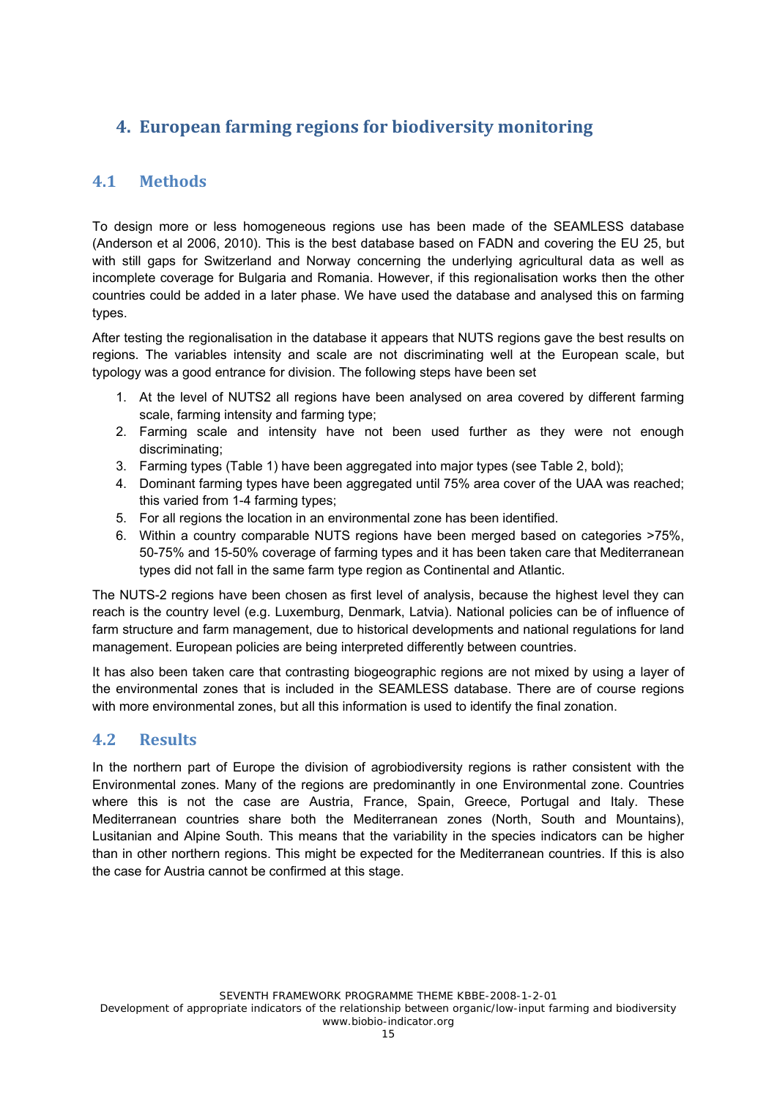# **4. European farming regions for biodiversity monitoring**

# **4.1 Methods**

To design more or less homogeneous regions use has been made of the SEAMLESS database (Anderson et al 2006, 2010). This is the best database based on FADN and covering the EU 25, but with still gaps for Switzerland and Norway concerning the underlying agricultural data as well as incomplete coverage for Bulgaria and Romania. However, if this regionalisation works then the other countries could be added in a later phase. We have used the database and analysed this on farming types.

After testing the regionalisation in the database it appears that NUTS regions gave the best results on regions. The variables intensity and scale are not discriminating well at the European scale, but typology was a good entrance for division. The following steps have been set

- 1. At the level of NUTS2 all regions have been analysed on area covered by different farming scale, farming intensity and farming type;
- 2. Farming scale and intensity have not been used further as they were not enough discriminating;
- 3. Farming types (Table 1) have been aggregated into major types (see Table 2, bold);
- 4. Dominant farming types have been aggregated until 75% area cover of the UAA was reached; this varied from 1-4 farming types;
- 5. For all regions the location in an environmental zone has been identified.
- 6. Within a country comparable NUTS regions have been merged based on categories >75%, 50-75% and 15-50% coverage of farming types and it has been taken care that Mediterranean types did not fall in the same farm type region as Continental and Atlantic.

The NUTS-2 regions have been chosen as first level of analysis, because the highest level they can reach is the country level (e.g. Luxemburg, Denmark, Latvia). National policies can be of influence of farm structure and farm management, due to historical developments and national regulations for land management. European policies are being interpreted differently between countries.

It has also been taken care that contrasting biogeographic regions are not mixed by using a layer of the environmental zones that is included in the SEAMLESS database. There are of course regions with more environmental zones, but all this information is used to identify the final zonation.

# **4.2 Results**

In the northern part of Europe the division of agrobiodiversity regions is rather consistent with the Environmental zones. Many of the regions are predominantly in one Environmental zone. Countries where this is not the case are Austria, France, Spain, Greece, Portugal and Italy. These Mediterranean countries share both the Mediterranean zones (North, South and Mountains), Lusitanian and Alpine South. This means that the variability in the species indicators can be higher than in other northern regions. This might be expected for the Mediterranean countries. If this is also the case for Austria cannot be confirmed at this stage.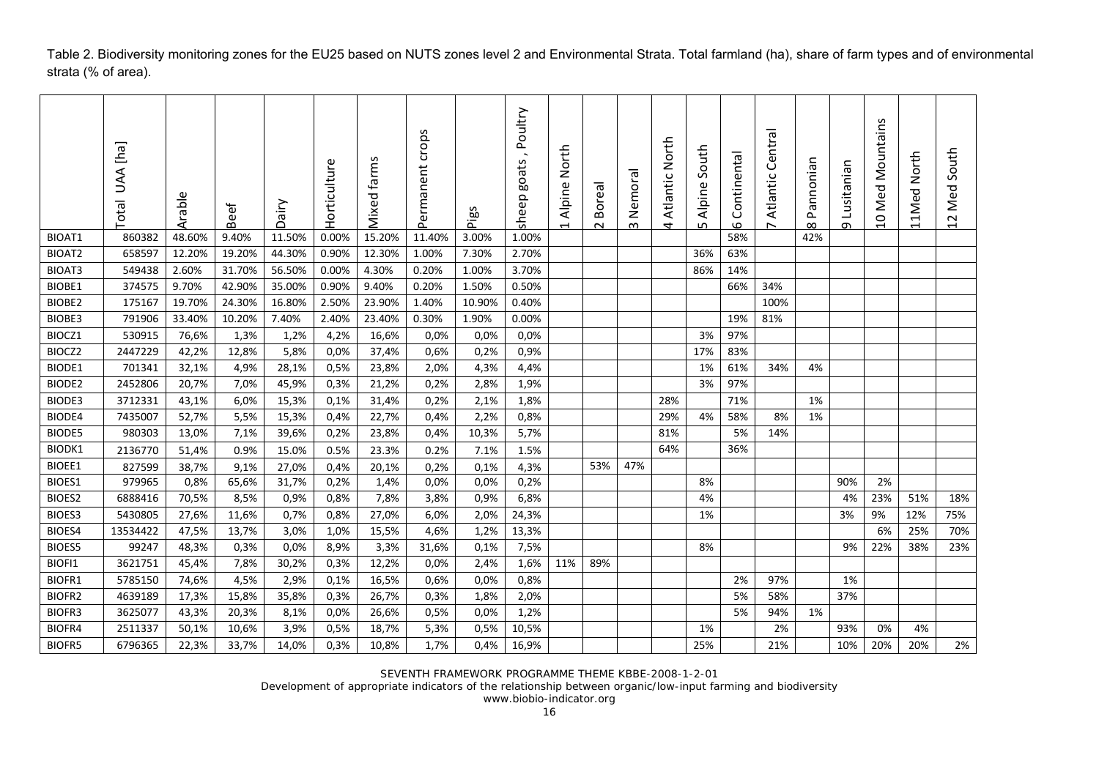Table 2. Biodiversity monitoring zones for the EU25 based on NUTS zones level 2 and Environmental Strata. Total farmland (ha), share of farm types and of environmental strata (% of area).

|               | [ha] AAN<br>Total | ω<br>Arable | <b>Beef</b> | ΜiΡ<br>◠ | Horticultur | farms<br>Mixed | crops<br>Permanent | Pigs   | Poultry<br>goats<br>sheep | North<br>Alpine<br>$\overline{\phantom{0}}$ | <b>Boreal</b><br>Z | Nemora<br>$\infty$ | Atlantic North<br>4 | South<br>Alpine<br>LO. | Continenta<br>$\circ$ | Central<br>Atlantic | Pannonian<br>$\infty$ | Lusitanian<br>$\sigma$ | Mountains<br>Med<br>$\overline{a}$ | North<br>11Med | South<br>$\mathbf{e}^{\mathbf{c}}$<br>Ž<br>$\sim$<br>$\overline{\phantom{0}}$ |
|---------------|-------------------|-------------|-------------|----------|-------------|----------------|--------------------|--------|---------------------------|---------------------------------------------|--------------------|--------------------|---------------------|------------------------|-----------------------|---------------------|-----------------------|------------------------|------------------------------------|----------------|-------------------------------------------------------------------------------|
| BIOAT1        | 860382            | 48.60%      | 9.40%       | 11.50%   | 0.00%       | 15.20%         | 11.40%             | 3.00%  | 1.00%                     |                                             |                    |                    |                     |                        | 58%                   |                     | 42%                   |                        |                                    |                |                                                                               |
| BIOAT2        | 658597            | 12.20%      | 19.20%      | 44.30%   | 0.90%       | 12.30%         | 1.00%              | 7.30%  | 2.70%                     |                                             |                    |                    |                     | 36%                    | 63%                   |                     |                       |                        |                                    |                |                                                                               |
| BIOAT3        | 549438            | 2.60%       | 31.70%      | 56.50%   | 0.00%       | 4.30%          | 0.20%              | 1.00%  | 3.70%                     |                                             |                    |                    |                     | 86%                    | 14%                   |                     |                       |                        |                                    |                |                                                                               |
| BIOBE1        | 374575            | 9.70%       | 42.90%      | 35.00%   | 0.90%       | 9.40%          | 0.20%              | 1.50%  | 0.50%                     |                                             |                    |                    |                     |                        | 66%                   | 34%                 |                       |                        |                                    |                |                                                                               |
| BIOBE2        | 175167            | 19.70%      | 24.30%      | 16.80%   | 2.50%       | 23.90%         | 1.40%              | 10.90% | 0.40%                     |                                             |                    |                    |                     |                        |                       | 100%                |                       |                        |                                    |                |                                                                               |
| BIOBE3        | 791906            | 33.40%      | 10.20%      | 7.40%    | 2.40%       | 23.40%         | 0.30%              | 1.90%  | 0.00%                     |                                             |                    |                    |                     |                        | 19%                   | 81%                 |                       |                        |                                    |                |                                                                               |
| BIOCZ1        | 530915            | 76,6%       | 1,3%        | 1,2%     | 4,2%        | 16,6%          | 0,0%               | 0,0%   | 0,0%                      |                                             |                    |                    |                     | 3%                     | 97%                   |                     |                       |                        |                                    |                |                                                                               |
| BIOCZ2        | 2447229           | 42,2%       | 12,8%       | 5,8%     | 0.0%        | 37,4%          | 0,6%               | 0,2%   | 0,9%                      |                                             |                    |                    |                     | 17%                    | 83%                   |                     |                       |                        |                                    |                |                                                                               |
| BIODE1        | 701341            | 32,1%       | 4,9%        | 28,1%    | 0,5%        | 23,8%          | 2,0%               | 4,3%   | 4,4%                      |                                             |                    |                    |                     | 1%                     | 61%                   | 34%                 | 4%                    |                        |                                    |                |                                                                               |
| BIODE2        | 2452806           | 20,7%       | 7,0%        | 45,9%    | 0,3%        | 21,2%          | 0,2%               | 2,8%   | 1,9%                      |                                             |                    |                    |                     | 3%                     | 97%                   |                     |                       |                        |                                    |                |                                                                               |
| BIODE3        | 3712331           | 43,1%       | 6,0%        | 15,3%    | 0,1%        | 31,4%          | 0,2%               | 2,1%   | 1,8%                      |                                             |                    |                    | 28%                 |                        | 71%                   |                     | 1%                    |                        |                                    |                |                                                                               |
| BIODE4        | 7435007           | 52,7%       | 5,5%        | 15,3%    | 0,4%        | 22,7%          | 0,4%               | 2,2%   | 0,8%                      |                                             |                    |                    | 29%                 | 4%                     | 58%                   | 8%                  | 1%                    |                        |                                    |                |                                                                               |
| <b>BIODE5</b> | 980303            | 13,0%       | 7,1%        | 39,6%    | 0,2%        | 23,8%          | 0,4%               | 10,3%  | 5,7%                      |                                             |                    |                    | 81%                 |                        | 5%                    | 14%                 |                       |                        |                                    |                |                                                                               |
| <b>BIODK1</b> | 2136770           | 51,4%       | 0.9%        | 15.0%    | 0.5%        | 23.3%          | 0.2%               | 7.1%   | 1.5%                      |                                             |                    |                    | 64%                 |                        | 36%                   |                     |                       |                        |                                    |                |                                                                               |
| BIOEE1        | 827599            | 38,7%       | 9,1%        | 27,0%    | 0,4%        | 20,1%          | 0,2%               | 0,1%   | 4,3%                      |                                             | 53%                | 47%                |                     |                        |                       |                     |                       |                        |                                    |                |                                                                               |
| BIOES1        | 979965            | 0,8%        | 65,6%       | 31,7%    | 0,2%        | 1,4%           | 0,0%               | 0,0%   | 0,2%                      |                                             |                    |                    |                     | 8%                     |                       |                     |                       | 90%                    | 2%                                 |                |                                                                               |
| BIOES2        | 6888416           | 70,5%       | 8,5%        | 0,9%     | 0,8%        | 7,8%           | 3,8%               | 0,9%   | 6,8%                      |                                             |                    |                    |                     | 4%                     |                       |                     |                       | 4%                     | 23%                                | 51%            | 18%                                                                           |
| BIOES3        | 5430805           | 27,6%       | 11,6%       | 0,7%     | 0,8%        | 27,0%          | 6,0%               | 2,0%   | 24,3%                     |                                             |                    |                    |                     | 1%                     |                       |                     |                       | 3%                     | 9%                                 | 12%            | 75%                                                                           |
| BIOES4        | 13534422          | 47,5%       | 13,7%       | 3,0%     | 1,0%        | 15,5%          | 4,6%               | 1,2%   | 13,3%                     |                                             |                    |                    |                     |                        |                       |                     |                       |                        | 6%                                 | 25%            | 70%                                                                           |
| <b>BIOES5</b> | 99247             | 48,3%       | 0,3%        | 0,0%     | 8,9%        | 3,3%           | 31,6%              | 0,1%   | 7,5%                      |                                             |                    |                    |                     | 8%                     |                       |                     |                       | 9%                     | 22%                                | 38%            | 23%                                                                           |
| BIOFI1        | 3621751           | 45,4%       | 7,8%        | 30,2%    | 0,3%        | 12,2%          | 0,0%               | 2,4%   | 1,6%                      | 11%                                         | 89%                |                    |                     |                        |                       |                     |                       |                        |                                    |                |                                                                               |
| <b>BIOFR1</b> | 5785150           | 74,6%       | 4,5%        | 2,9%     | 0,1%        | 16,5%          | 0,6%               | 0,0%   | 0,8%                      |                                             |                    |                    |                     |                        | 2%                    | 97%                 |                       | 1%                     |                                    |                |                                                                               |
| BIOFR2        | 4639189           | 17,3%       | 15,8%       | 35,8%    | 0,3%        | 26,7%          | 0,3%               | 1,8%   | 2,0%                      |                                             |                    |                    |                     |                        | 5%                    | 58%                 |                       | 37%                    |                                    |                |                                                                               |
| BIOFR3        | 3625077           | 43,3%       | 20,3%       | 8,1%     | 0,0%        | 26,6%          | 0,5%               | 0,0%   | 1,2%                      |                                             |                    |                    |                     |                        | 5%                    | 94%                 | 1%                    |                        |                                    |                |                                                                               |
| BIOFR4        | 2511337           | 50,1%       | 10,6%       | 3,9%     | 0,5%        | 18,7%          | 5,3%               | 0,5%   | 10,5%                     |                                             |                    |                    |                     | 1%                     |                       | 2%                  |                       | 93%                    | 0%                                 | 4%             |                                                                               |
| <b>BIOFR5</b> | 6796365           | 22,3%       | 33,7%       | 14,0%    | 0,3%        | 10,8%          | 1,7%               | 0,4%   | 16,9%                     |                                             |                    |                    |                     | 25%                    |                       | 21%                 |                       | 10%                    | 20%                                | 20%            | 2%                                                                            |

SEVENTH FRAMEWORK PROGRAMME THEME KBBE-2008-1-2-01

Development of appropriate indicators of the relationship between organic/low-input farming and biodiversity

www.biobio-indicator.org 16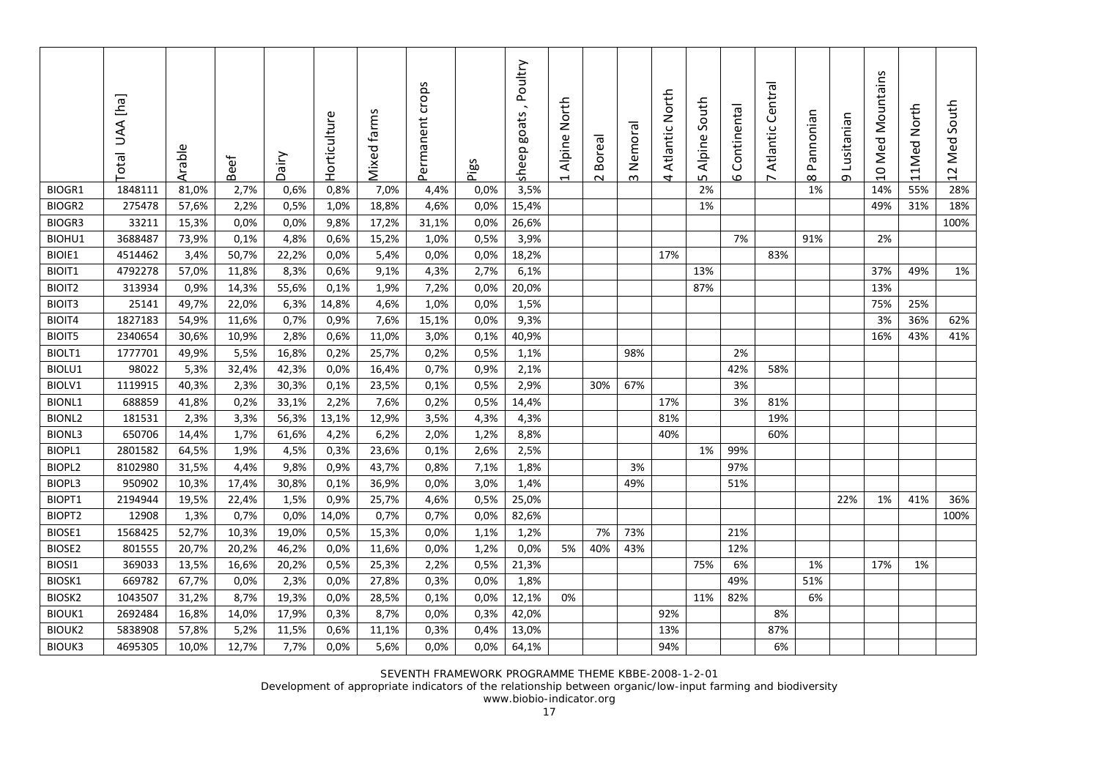|               | [rq] AAU<br>Total | Arable | ئة<br>قع | Dairy | Φ<br>Horticultur | S<br>farms<br>Mixed | crops<br>Permanent | Pigs | Poultry<br>goats<br>sheep | Alpine North<br>$\overline{\phantom{0}}$ | Borea<br>2 | Nemoral<br>$\sim$ | Atlantic North<br>4 | South<br>Alpine<br>LN. | Continenta<br>6 | ᢛ<br>Centr <sub>i</sub><br>Atlantic<br>$\overline{ }$ | Pannonian<br>$\infty$ | Lusitanian<br>თ | Mountains<br>10 Med | 11Med North | Med South<br>12 |
|---------------|-------------------|--------|----------|-------|------------------|---------------------|--------------------|------|---------------------------|------------------------------------------|------------|-------------------|---------------------|------------------------|-----------------|-------------------------------------------------------|-----------------------|-----------------|---------------------|-------------|-----------------|
| BIOGR1        | 1848111           | 81,0%  | 2,7%     | 0,6%  | 0,8%             | 7,0%                | 4,4%               | 0,0% | 3,5%                      |                                          |            |                   |                     | 2%                     |                 |                                                       | 1%                    |                 | 14%                 | 55%         | 28%             |
| BIOGR2        | 275478            | 57,6%  | 2,2%     | 0,5%  | 1,0%             | 18,8%               | 4,6%               | 0,0% | 15,4%                     |                                          |            |                   |                     | 1%                     |                 |                                                       |                       |                 | 49%                 | 31%         | 18%             |
| BIOGR3        | 33211             | 15,3%  | 0,0%     | 0,0%  | 9,8%             | 17,2%               | 31,1%              | 0,0% | 26,6%                     |                                          |            |                   |                     |                        |                 |                                                       |                       |                 |                     |             | 100%            |
| BIOHU1        | 3688487           | 73,9%  | 0,1%     | 4,8%  | 0,6%             | 15,2%               | 1,0%               | 0,5% | 3,9%                      |                                          |            |                   |                     |                        | 7%              |                                                       | 91%                   |                 | 2%                  |             |                 |
| BIOIE1        | 4514462           | 3,4%   | 50,7%    | 22,2% | 0,0%             | 5,4%                | 0,0%               | 0,0% | 18,2%                     |                                          |            |                   | 17%                 |                        |                 | 83%                                                   |                       |                 |                     |             |                 |
| BIOIT1        | 4792278           | 57,0%  | 11,8%    | 8,3%  | 0,6%             | 9,1%                | 4,3%               | 2,7% | 6,1%                      |                                          |            |                   |                     | 13%                    |                 |                                                       |                       |                 | 37%                 | 49%         | 1%              |
| <b>BIOIT2</b> | 313934            | 0,9%   | 14,3%    | 55,6% | 0,1%             | 1,9%                | 7,2%               | 0,0% | 20,0%                     |                                          |            |                   |                     | 87%                    |                 |                                                       |                       |                 | 13%                 |             |                 |
| BIOIT3        | 25141             | 49,7%  | 22,0%    | 6,3%  | 14,8%            | 4,6%                | 1,0%               | 0,0% | 1,5%                      |                                          |            |                   |                     |                        |                 |                                                       |                       |                 | 75%                 | 25%         |                 |
| BIOIT4        | 1827183           | 54,9%  | 11,6%    | 0,7%  | 0,9%             | 7,6%                | 15,1%              | 0,0% | 9,3%                      |                                          |            |                   |                     |                        |                 |                                                       |                       |                 | 3%                  | 36%         | 62%             |
| BIOIT5        | 2340654           | 30,6%  | 10,9%    | 2,8%  | 0,6%             | 11,0%               | 3,0%               | 0,1% | 40,9%                     |                                          |            |                   |                     |                        |                 |                                                       |                       |                 | 16%                 | 43%         | 41%             |
| BIOLT1        | 1777701           | 49,9%  | 5,5%     | 16,8% | 0,2%             | 25,7%               | 0,2%               | 0,5% | 1,1%                      |                                          |            | 98%               |                     |                        | 2%              |                                                       |                       |                 |                     |             |                 |
| BIOLU1        | 98022             | 5,3%   | 32,4%    | 42,3% | 0,0%             | 16,4%               | 0,7%               | 0,9% | 2,1%                      |                                          |            |                   |                     |                        | 42%             | 58%                                                   |                       |                 |                     |             |                 |
| BIOLV1        | 1119915           | 40,3%  | 2,3%     | 30,3% | 0,1%             | 23,5%               | 0,1%               | 0,5% | 2,9%                      |                                          | 30%        | 67%               |                     |                        | 3%              |                                                       |                       |                 |                     |             |                 |
| <b>BIONL1</b> | 688859            | 41,8%  | 0,2%     | 33,1% | 2,2%             | 7,6%                | 0,2%               | 0,5% | 14,4%                     |                                          |            |                   | 17%                 |                        | 3%              | 81%                                                   |                       |                 |                     |             |                 |
| <b>BIONL2</b> | 181531            | 2,3%   | 3,3%     | 56,3% | 13,1%            | 12,9%               | 3,5%               | 4,3% | 4,3%                      |                                          |            |                   | 81%                 |                        |                 | 19%                                                   |                       |                 |                     |             |                 |
| <b>BIONL3</b> | 650706            | 14,4%  | 1,7%     | 61,6% | 4,2%             | 6,2%                | 2,0%               | 1,2% | 8,8%                      |                                          |            |                   | 40%                 |                        |                 | 60%                                                   |                       |                 |                     |             |                 |
| BIOPL1        | 2801582           | 64,5%  | 1,9%     | 4,5%  | 0,3%             | 23,6%               | 0,1%               | 2,6% | 2,5%                      |                                          |            |                   |                     | 1%                     | 99%             |                                                       |                       |                 |                     |             |                 |
| BIOPL2        | 8102980           | 31,5%  | 4,4%     | 9,8%  | 0,9%             | 43,7%               | 0,8%               | 7,1% | 1,8%                      |                                          |            | 3%                |                     |                        | 97%             |                                                       |                       |                 |                     |             |                 |
| BIOPL3        | 950902            | 10,3%  | 17,4%    | 30,8% | 0,1%             | 36,9%               | 0,0%               | 3,0% | 1,4%                      |                                          |            | 49%               |                     |                        | 51%             |                                                       |                       |                 |                     |             |                 |
| BIOPT1        | 2194944           | 19,5%  | 22,4%    | 1,5%  | 0,9%             | 25,7%               | 4,6%               | 0,5% | 25,0%                     |                                          |            |                   |                     |                        |                 |                                                       |                       | 22%             | 1%                  | 41%         | 36%             |
| BIOPT2        | 12908             | 1,3%   | 0,7%     | 0,0%  | 14,0%            | 0,7%                | 0,7%               | 0,0% | 82,6%                     |                                          |            |                   |                     |                        |                 |                                                       |                       |                 |                     |             | 100%            |
| BIOSE1        | 1568425           | 52,7%  | 10,3%    | 19,0% | 0,5%             | 15,3%               | 0,0%               | 1,1% | 1,2%                      |                                          | 7%         | 73%               |                     |                        | 21%             |                                                       |                       |                 |                     |             |                 |
| BIOSE2        | 801555            | 20,7%  | 20,2%    | 46,2% | 0,0%             | 11,6%               | 0,0%               | 1,2% | 0,0%                      | 5%                                       | 40%        | 43%               |                     |                        | 12%             |                                                       |                       |                 |                     |             |                 |
| BIOSI1        | 369033            | 13,5%  | 16,6%    | 20,2% | 0,5%             | 25,3%               | 2,2%               | 0,5% | 21,3%                     |                                          |            |                   |                     | 75%                    | 6%              |                                                       | 1%                    |                 | 17%                 | 1%          |                 |
| BIOSK1        | 669782            | 67,7%  | 0,0%     | 2,3%  | 0,0%             | 27,8%               | 0,3%               | 0,0% | 1,8%                      |                                          |            |                   |                     |                        | 49%             |                                                       | 51%                   |                 |                     |             |                 |
| BIOSK2        | 1043507           | 31,2%  | 8,7%     | 19,3% | 0,0%             | 28,5%               | 0,1%               | 0,0% | 12,1%                     | 0%                                       |            |                   |                     | 11%                    | 82%             |                                                       | 6%                    |                 |                     |             |                 |
| <b>BIOUK1</b> | 2692484           | 16,8%  | 14,0%    | 17,9% | 0,3%             | 8,7%                | 0,0%               | 0,3% | 42,0%                     |                                          |            |                   | 92%                 |                        |                 | 8%                                                    |                       |                 |                     |             |                 |
| <b>BIOUK2</b> | 5838908           | 57,8%  | 5,2%     | 11,5% | 0,6%             | 11,1%               | 0,3%               | 0,4% | 13,0%                     |                                          |            |                   | 13%                 |                        |                 | 87%                                                   |                       |                 |                     |             |                 |
| <b>BIOUK3</b> | 4695305           | 10,0%  | 12,7%    | 7,7%  | 0.0%             | 5,6%                | 0,0%               | 0,0% | 64,1%                     |                                          |            |                   | 94%                 |                        |                 | 6%                                                    |                       |                 |                     |             |                 |

SEVENTH FRAMEWORK PROGRAMME THEME KBBE-2008-1-2-01 Development of appropriate indicators of the relationship between organic/low-input farming and biodiversity

www.biobio-indicator.org 17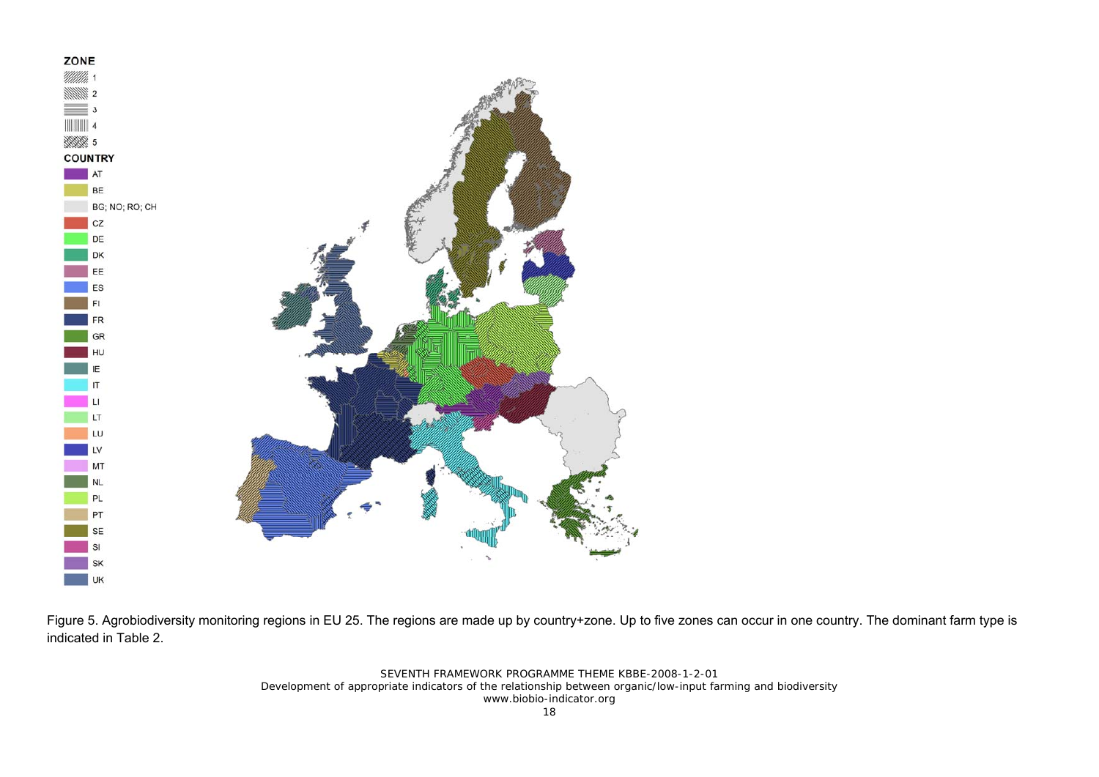

Figure 5. Agrobiodiversity monitoring regions in EU 25. The regions are made up by country+zone. Up to five zones can occur in one country. The dominant farm type is indicated in Table 2.

> SEVENTH FRAMEWORK PROGRAMME THEME KBBE-2008-1-2-01 Development of appropriate indicators of the relationship between organic/low-input farming and biodiversity www.biobio-indicator.org 18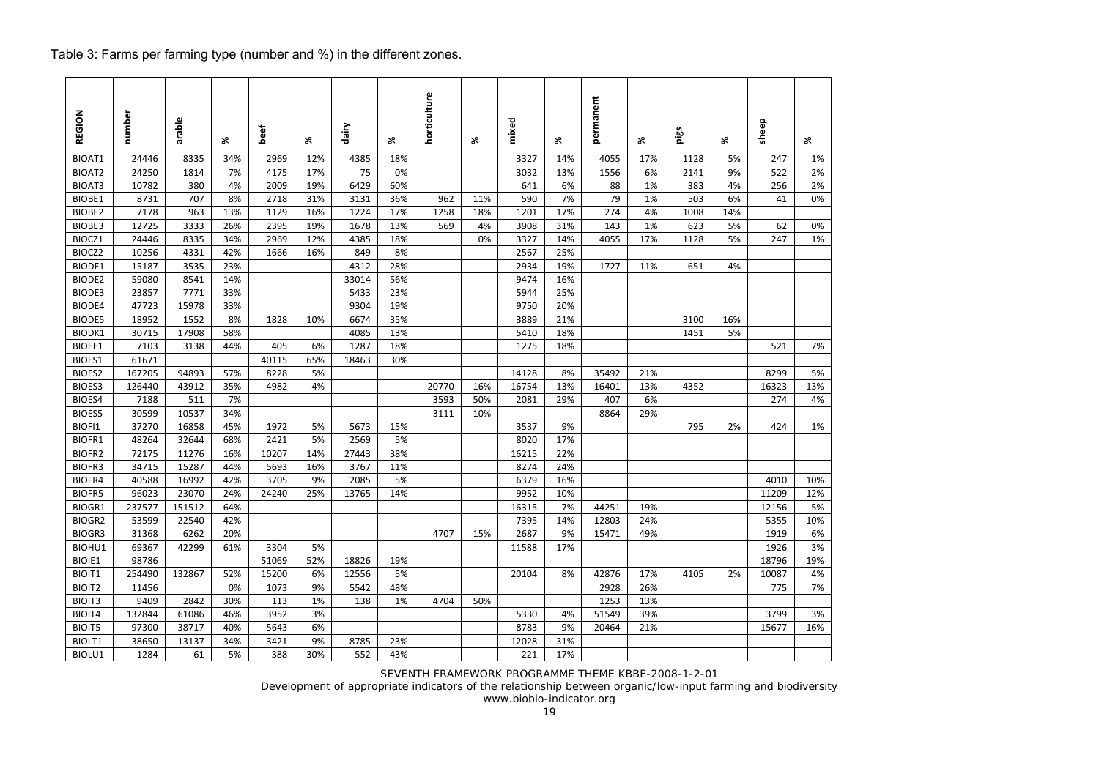## Table 3: Farms per farming type (number and %) in the different zones.

| REGION        | number | arable | ×.  | beef  | ×.  | dairy | X,  | horticulture | ৼ   | mixed | ৼ   | permanent | X,  | pigs | X,  | sheep | x   |
|---------------|--------|--------|-----|-------|-----|-------|-----|--------------|-----|-------|-----|-----------|-----|------|-----|-------|-----|
| BIOAT1        | 24446  | 8335   | 34% | 2969  | 12% | 4385  | 18% |              |     | 3327  | 14% | 4055      | 17% | 1128 | 5%  | 247   | 1%  |
| BIOAT2        | 24250  | 1814   | 7%  | 4175  | 17% | 75    | 0%  |              |     | 3032  | 13% | 1556      | 6%  | 2141 | 9%  | 522   | 2%  |
| BIOAT3        | 10782  | 380    | 4%  | 2009  | 19% | 6429  | 60% |              |     | 641   | 6%  | 88        | 1%  | 383  | 4%  | 256   | 2%  |
| BIOBE1        | 8731   | 707    | 8%  | 2718  | 31% | 3131  | 36% | 962          | 11% | 590   | 7%  | 79        | 1%  | 503  | 6%  | 41    | 0%  |
| BIOBE2        | 7178   | 963    | 13% | 1129  | 16% | 1224  | 17% | 1258         | 18% | 1201  | 17% | 274       | 4%  | 1008 | 14% |       |     |
| BIOBE3        | 12725  | 3333   | 26% | 2395  | 19% | 1678  | 13% | 569          | 4%  | 3908  | 31% | 143       | 1%  | 623  | 5%  | 62    | 0%  |
| BIOCZ1        | 24446  | 8335   | 34% | 2969  | 12% | 4385  | 18% |              | 0%  | 3327  | 14% | 4055      | 17% | 1128 | 5%  | 247   | 1%  |
| BIOCZ2        | 10256  | 4331   | 42% | 1666  | 16% | 849   | 8%  |              |     | 2567  | 25% |           |     |      |     |       |     |
| BIODE1        | 15187  | 3535   | 23% |       |     | 4312  | 28% |              |     | 2934  | 19% | 1727      | 11% | 651  | 4%  |       |     |
| BIODE2        | 59080  | 8541   | 14% |       |     | 33014 | 56% |              |     | 9474  | 16% |           |     |      |     |       |     |
| BIODE3        | 23857  | 7771   | 33% |       |     | 5433  | 23% |              |     | 5944  | 25% |           |     |      |     |       |     |
| BIODE4        | 47723  | 15978  | 33% |       |     | 9304  | 19% |              |     | 9750  | 20% |           |     |      |     |       |     |
| <b>BIODE5</b> | 18952  | 1552   | 8%  | 1828  | 10% | 6674  | 35% |              |     | 3889  | 21% |           |     | 3100 | 16% |       |     |
| BIODK1        | 30715  | 17908  | 58% |       |     | 4085  | 13% |              |     | 5410  | 18% |           |     | 1451 | 5%  |       |     |
| BIOEE1        | 7103   | 3138   | 44% | 405   | 6%  | 1287  | 18% |              |     | 1275  | 18% |           |     |      |     | 521   | 7%  |
| BIOES1        | 61671  |        |     | 40115 | 65% | 18463 | 30% |              |     |       |     |           |     |      |     |       |     |
| <b>BIOES2</b> | 167205 | 94893  | 57% | 8228  | 5%  |       |     |              |     | 14128 | 8%  | 35492     | 21% |      |     | 8299  | 5%  |
| BIOES3        | 126440 | 43912  | 35% | 4982  | 4%  |       |     | 20770        | 16% | 16754 | 13% | 16401     | 13% | 4352 |     | 16323 | 13% |
| BIOES4        | 7188   | 511    | 7%  |       |     |       |     | 3593         | 50% | 2081  | 29% | 407       | 6%  |      |     | 274   | 4%  |
| <b>BIOES5</b> | 30599  | 10537  | 34% |       |     |       |     | 3111         | 10% |       |     | 8864      | 29% |      |     |       |     |
| BIOFI1        | 37270  | 16858  | 45% | 1972  | 5%  | 5673  | 15% |              |     | 3537  | 9%  |           |     | 795  | 2%  | 424   | 1%  |
| BIOFR1        | 48264  | 32644  | 68% | 2421  | 5%  | 2569  | 5%  |              |     | 8020  | 17% |           |     |      |     |       |     |
| BIOFR2        | 72175  | 11276  | 16% | 10207 | 14% | 27443 | 38% |              |     | 16215 | 22% |           |     |      |     |       |     |
| <b>BIOFR3</b> | 34715  | 15287  | 44% | 5693  | 16% | 3767  | 11% |              |     | 8274  | 24% |           |     |      |     |       |     |
| BIOFR4        | 40588  | 16992  | 42% | 3705  | 9%  | 2085  | 5%  |              |     | 6379  | 16% |           |     |      |     | 4010  | 10% |
| <b>BIOFR5</b> | 96023  | 23070  | 24% | 24240 | 25% | 13765 | 14% |              |     | 9952  | 10% |           |     |      |     | 11209 | 12% |
| BIOGR1        | 237577 | 151512 | 64% |       |     |       |     |              |     | 16315 | 7%  | 44251     | 19% |      |     | 12156 | 5%  |
| <b>BIOGR2</b> | 53599  | 22540  | 42% |       |     |       |     |              |     | 7395  | 14% | 12803     | 24% |      |     | 5355  | 10% |
| <b>BIOGR3</b> | 31368  | 6262   | 20% |       |     |       |     | 4707         | 15% | 2687  | 9%  | 15471     | 49% |      |     | 1919  | 6%  |
| BIOHU1        | 69367  | 42299  | 61% | 3304  | 5%  |       |     |              |     | 11588 | 17% |           |     |      |     | 1926  | 3%  |
| <b>BIOIE1</b> | 98786  |        |     | 51069 | 52% | 18826 | 19% |              |     |       |     |           |     |      |     | 18796 | 19% |
| BIOIT1        | 254490 | 132867 | 52% | 15200 | 6%  | 12556 | 5%  |              |     | 20104 | 8%  | 42876     | 17% | 4105 | 2%  | 10087 | 4%  |
| BIOIT2        | 11456  |        | 0%  | 1073  | 9%  | 5542  | 48% |              |     |       |     | 2928      | 26% |      |     | 775   | 7%  |
| BIOIT3        | 9409   | 2842   | 30% | 113   | 1%  | 138   | 1%  | 4704         | 50% |       |     | 1253      | 13% |      |     |       |     |
| BIOIT4        | 132844 | 61086  | 46% | 3952  | 3%  |       |     |              |     | 5330  | 4%  | 51549     | 39% |      |     | 3799  | 3%  |
| <b>BIOIT5</b> | 97300  | 38717  | 40% | 5643  | 6%  |       |     |              |     | 8783  | 9%  | 20464     | 21% |      |     | 15677 | 16% |
| BIOLT1        | 38650  | 13137  | 34% | 3421  | 9%  | 8785  | 23% |              |     | 12028 | 31% |           |     |      |     |       |     |
| BIOLU1        | 1284   | 61     | 5%  | 388   | 30% | 552   | 43% |              |     | 221   | 17% |           |     |      |     |       |     |

SEVENTH FRAMEWORK PROGRAMME THEME KBBE-2008-1-2-01

Development of appropriate indicators of the relationship between organic/low-input farming and biodiversity

www.biobio-indicator.org 19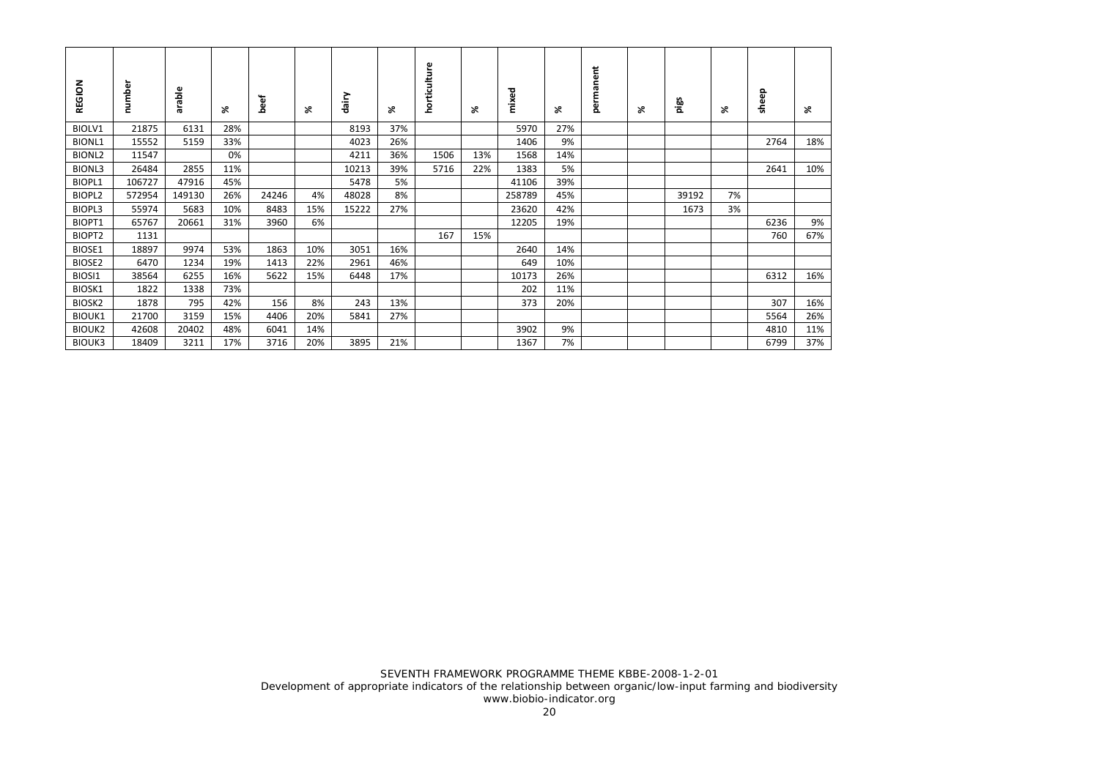| REGION             | number | arable | ৯ং  | beef  | ⋇   | dairy | ⋇   | horticulture | X,  | mixed  | ⋇   | permanent | ⋇ | pigs  | ৯ং | sheep | ⋇   |
|--------------------|--------|--------|-----|-------|-----|-------|-----|--------------|-----|--------|-----|-----------|---|-------|----|-------|-----|
| BIOLV1             | 21875  | 6131   | 28% |       |     | 8193  | 37% |              |     | 5970   | 27% |           |   |       |    |       |     |
| <b>BIONL1</b>      | 15552  | 5159   | 33% |       |     | 4023  | 26% |              |     | 1406   | 9%  |           |   |       |    | 2764  | 18% |
| BIONL <sub>2</sub> | 11547  |        | 0%  |       |     | 4211  | 36% | 1506         | 13% | 1568   | 14% |           |   |       |    |       |     |
| <b>BIONL3</b>      | 26484  | 2855   | 11% |       |     | 10213 | 39% | 5716         | 22% | 1383   | 5%  |           |   |       |    | 2641  | 10% |
| BIOPL1             | 106727 | 47916  | 45% |       |     | 5478  | 5%  |              |     | 41106  | 39% |           |   |       |    |       |     |
| BIOPL2             | 572954 | 149130 | 26% | 24246 | 4%  | 48028 | 8%  |              |     | 258789 | 45% |           |   | 39192 | 7% |       |     |
| BIOPL3             | 55974  | 5683   | 10% | 8483  | 15% | 15222 | 27% |              |     | 23620  | 42% |           |   | 1673  | 3% |       |     |
| BIOPT1             | 65767  | 20661  | 31% | 3960  | 6%  |       |     |              |     | 12205  | 19% |           |   |       |    | 6236  | 9%  |
| BIOPT2             | 1131   |        |     |       |     |       |     | 167          | 15% |        |     |           |   |       |    | 760   | 67% |
| BIOSE1             | 18897  | 9974   | 53% | 1863  | 10% | 3051  | 16% |              |     | 2640   | 14% |           |   |       |    |       |     |
| BIOSE2             | 6470   | 1234   | 19% | 1413  | 22% | 2961  | 46% |              |     | 649    | 10% |           |   |       |    |       |     |
| BIOSI1             | 38564  | 6255   | 16% | 5622  | 15% | 6448  | 17% |              |     | 10173  | 26% |           |   |       |    | 6312  | 16% |
| BIOSK1             | 1822   | 1338   | 73% |       |     |       |     |              |     | 202    | 11% |           |   |       |    |       |     |
| BIOSK <sub>2</sub> | 1878   | 795    | 42% | 156   | 8%  | 243   | 13% |              |     | 373    | 20% |           |   |       |    | 307   | 16% |
| <b>BIOUK1</b>      | 21700  | 3159   | 15% | 4406  | 20% | 5841  | 27% |              |     |        |     |           |   |       |    | 5564  | 26% |
| <b>BIOUK2</b>      | 42608  | 20402  | 48% | 6041  | 14% |       |     |              |     | 3902   | 9%  |           |   |       |    | 4810  | 11% |
| <b>BIOUK3</b>      | 18409  | 3211   | 17% | 3716  | 20% | 3895  | 21% |              |     | 1367   | 7%  |           |   |       |    | 6799  | 37% |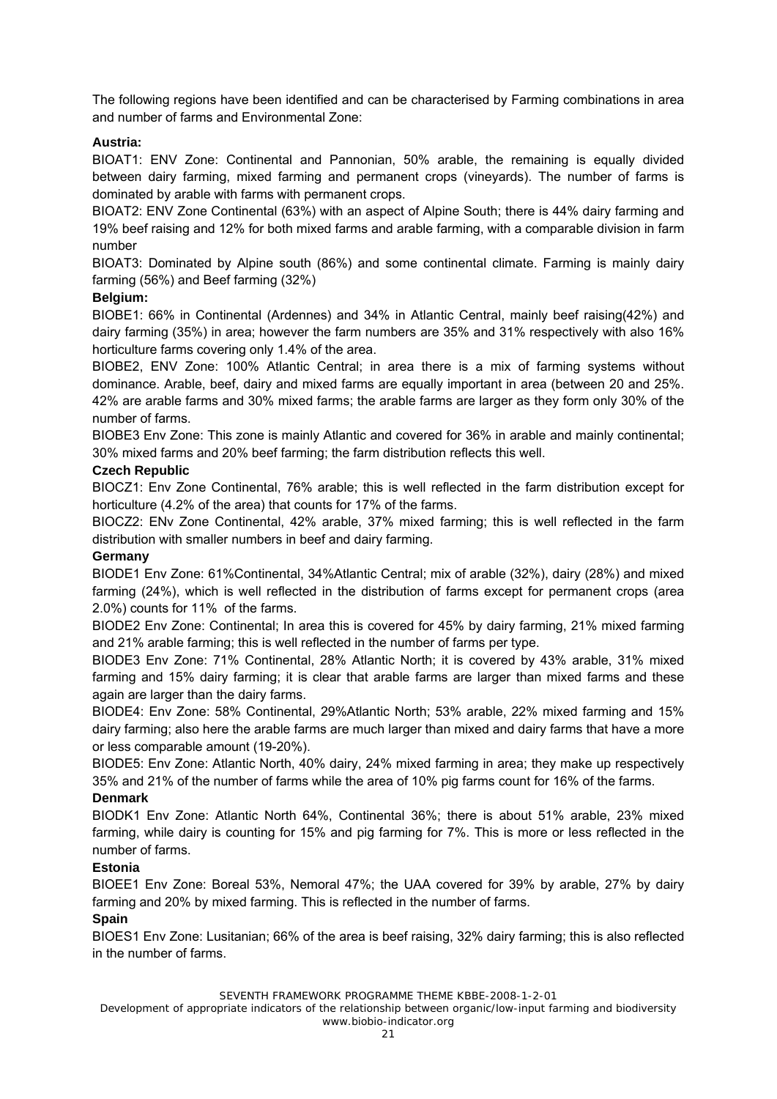The following regions have been identified and can be characterised by Farming combinations in area and number of farms and Environmental Zone:

#### **Austria:**

BIOAT1: ENV Zone: Continental and Pannonian, 50% arable, the remaining is equally divided between dairy farming, mixed farming and permanent crops (vineyards). The number of farms is dominated by arable with farms with permanent crops.

BIOAT2: ENV Zone Continental (63%) with an aspect of Alpine South; there is 44% dairy farming and 19% beef raising and 12% for both mixed farms and arable farming, with a comparable division in farm number

BIOAT3: Dominated by Alpine south (86%) and some continental climate. Farming is mainly dairy farming (56%) and Beef farming (32%)

#### **Belgium:**

BIOBE1: 66% in Continental (Ardennes) and 34% in Atlantic Central, mainly beef raising(42%) and dairy farming (35%) in area; however the farm numbers are 35% and 31% respectively with also 16% horticulture farms covering only 1.4% of the area.

BIOBE2, ENV Zone: 100% Atlantic Central; in area there is a mix of farming systems without dominance. Arable, beef, dairy and mixed farms are equally important in area (between 20 and 25%. 42% are arable farms and 30% mixed farms; the arable farms are larger as they form only 30% of the number of farms.

BIOBE3 Env Zone: This zone is mainly Atlantic and covered for 36% in arable and mainly continental; 30% mixed farms and 20% beef farming; the farm distribution reflects this well.

#### **Czech Republic**

BIOCZ1: Env Zone Continental, 76% arable; this is well reflected in the farm distribution except for horticulture (4.2% of the area) that counts for 17% of the farms.

BIOCZ2: ENv Zone Continental, 42% arable, 37% mixed farming; this is well reflected in the farm distribution with smaller numbers in beef and dairy farming.

#### **Germany**

BIODE1 Env Zone: 61%Continental, 34%Atlantic Central; mix of arable (32%), dairy (28%) and mixed farming (24%), which is well reflected in the distribution of farms except for permanent crops (area 2.0%) counts for 11% of the farms.

BIODE2 Env Zone: Continental; In area this is covered for 45% by dairy farming, 21% mixed farming and 21% arable farming; this is well reflected in the number of farms per type.

BIODE3 Env Zone: 71% Continental, 28% Atlantic North; it is covered by 43% arable, 31% mixed farming and 15% dairy farming; it is clear that arable farms are larger than mixed farms and these again are larger than the dairy farms.

BIODE4: Env Zone: 58% Continental, 29%Atlantic North; 53% arable, 22% mixed farming and 15% dairy farming; also here the arable farms are much larger than mixed and dairy farms that have a more or less comparable amount (19-20%).

BIODE5: Env Zone: Atlantic North, 40% dairy, 24% mixed farming in area; they make up respectively 35% and 21% of the number of farms while the area of 10% pig farms count for 16% of the farms.

#### **Denmark**

BIODK1 Env Zone: Atlantic North 64%, Continental 36%; there is about 51% arable, 23% mixed farming, while dairy is counting for 15% and pig farming for 7%. This is more or less reflected in the number of farms.

#### **Estonia**

BIOEE1 Env Zone: Boreal 53%, Nemoral 47%; the UAA covered for 39% by arable, 27% by dairy farming and 20% by mixed farming. This is reflected in the number of farms.

#### **Spain**

BIOES1 Env Zone: Lusitanian; 66% of the area is beef raising, 32% dairy farming; this is also reflected in the number of farms.

SEVENTH FRAMEWORK PROGRAMME THEME KBBE-2008-1-2-01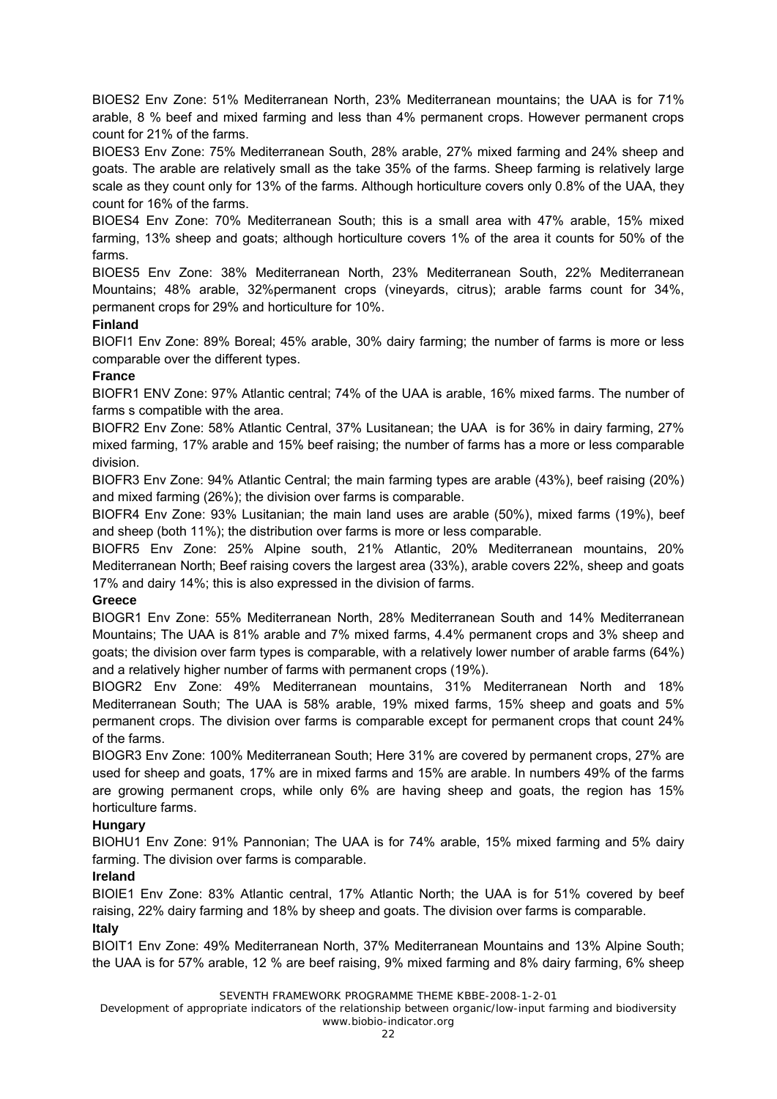BIOES2 Env Zone: 51% Mediterranean North, 23% Mediterranean mountains; the UAA is for 71% arable, 8 % beef and mixed farming and less than 4% permanent crops. However permanent crops count for 21% of the farms.

BIOES3 Env Zone: 75% Mediterranean South, 28% arable, 27% mixed farming and 24% sheep and goats. The arable are relatively small as the take 35% of the farms. Sheep farming is relatively large scale as they count only for 13% of the farms. Although horticulture covers only 0.8% of the UAA, they count for 16% of the farms.

BIOES4 Env Zone: 70% Mediterranean South; this is a small area with 47% arable, 15% mixed farming, 13% sheep and goats; although horticulture covers 1% of the area it counts for 50% of the farms.

BIOES5 Env Zone: 38% Mediterranean North, 23% Mediterranean South, 22% Mediterranean Mountains; 48% arable, 32%permanent crops (vineyards, citrus); arable farms count for 34%, permanent crops for 29% and horticulture for 10%.

#### **Finland**

BIOFI1 Env Zone: 89% Boreal; 45% arable, 30% dairy farming; the number of farms is more or less comparable over the different types.

#### **France**

BIOFR1 ENV Zone: 97% Atlantic central; 74% of the UAA is arable, 16% mixed farms. The number of farms s compatible with the area.

BIOFR2 Env Zone: 58% Atlantic Central, 37% Lusitanean; the UAA is for 36% in dairy farming, 27% mixed farming, 17% arable and 15% beef raising; the number of farms has a more or less comparable division.

BIOFR3 Env Zone: 94% Atlantic Central; the main farming types are arable (43%), beef raising (20%) and mixed farming (26%); the division over farms is comparable.

BIOFR4 Env Zone: 93% Lusitanian; the main land uses are arable (50%), mixed farms (19%), beef and sheep (both 11%); the distribution over farms is more or less comparable.

BIOFR5 Env Zone: 25% Alpine south, 21% Atlantic, 20% Mediterranean mountains, 20% Mediterranean North; Beef raising covers the largest area (33%), arable covers 22%, sheep and goats 17% and dairy 14%; this is also expressed in the division of farms.

#### **Greece**

BIOGR1 Env Zone: 55% Mediterranean North, 28% Mediterranean South and 14% Mediterranean Mountains; The UAA is 81% arable and 7% mixed farms, 4.4% permanent crops and 3% sheep and goats; the division over farm types is comparable, with a relatively lower number of arable farms (64%) and a relatively higher number of farms with permanent crops (19%).

BIOGR2 Env Zone: 49% Mediterranean mountains, 31% Mediterranean North and 18% Mediterranean South; The UAA is 58% arable, 19% mixed farms, 15% sheep and goats and 5% permanent crops. The division over farms is comparable except for permanent crops that count 24% of the farms.

BIOGR3 Env Zone: 100% Mediterranean South; Here 31% are covered by permanent crops, 27% are used for sheep and goats, 17% are in mixed farms and 15% are arable. In numbers 49% of the farms are growing permanent crops, while only 6% are having sheep and goats, the region has 15% horticulture farms.

#### **Hungary**

BIOHU1 Env Zone: 91% Pannonian; The UAA is for 74% arable, 15% mixed farming and 5% dairy farming. The division over farms is comparable.

#### **Ireland**

BIOIE1 Env Zone: 83% Atlantic central, 17% Atlantic North; the UAA is for 51% covered by beef raising, 22% dairy farming and 18% by sheep and goats. The division over farms is comparable.

#### **Italy**

BIOIT1 Env Zone: 49% Mediterranean North, 37% Mediterranean Mountains and 13% Alpine South; the UAA is for 57% arable, 12 % are beef raising, 9% mixed farming and 8% dairy farming, 6% sheep

SEVENTH FRAMEWORK PROGRAMME THEME KBBE-2008-1-2-01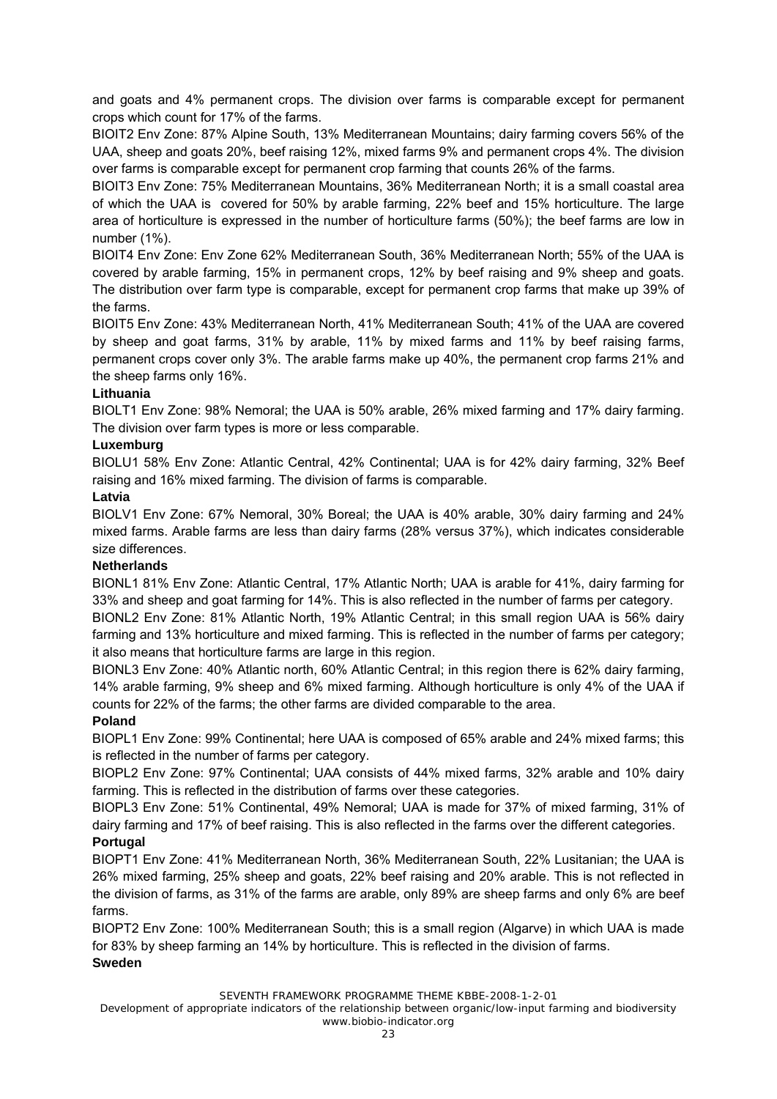and goats and 4% permanent crops. The division over farms is comparable except for permanent crops which count for 17% of the farms.

BIOIT2 Env Zone: 87% Alpine South, 13% Mediterranean Mountains; dairy farming covers 56% of the UAA, sheep and goats 20%, beef raising 12%, mixed farms 9% and permanent crops 4%. The division over farms is comparable except for permanent crop farming that counts 26% of the farms.

BIOIT3 Env Zone: 75% Mediterranean Mountains, 36% Mediterranean North; it is a small coastal area of which the UAA is covered for 50% by arable farming, 22% beef and 15% horticulture. The large area of horticulture is expressed in the number of horticulture farms (50%); the beef farms are low in number (1%).

BIOIT4 Env Zone: Env Zone 62% Mediterranean South, 36% Mediterranean North; 55% of the UAA is covered by arable farming, 15% in permanent crops, 12% by beef raising and 9% sheep and goats. The distribution over farm type is comparable, except for permanent crop farms that make up 39% of the farms.

BIOIT5 Env Zone: 43% Mediterranean North, 41% Mediterranean South; 41% of the UAA are covered by sheep and goat farms, 31% by arable, 11% by mixed farms and 11% by beef raising farms, permanent crops cover only 3%. The arable farms make up 40%, the permanent crop farms 21% and the sheep farms only 16%.

#### **Lithuania**

BIOLT1 Env Zone: 98% Nemoral; the UAA is 50% arable, 26% mixed farming and 17% dairy farming. The division over farm types is more or less comparable.

#### **Luxemburg**

BIOLU1 58% Env Zone: Atlantic Central, 42% Continental; UAA is for 42% dairy farming, 32% Beef raising and 16% mixed farming. The division of farms is comparable.

#### **Latvia**

BIOLV1 Env Zone: 67% Nemoral, 30% Boreal; the UAA is 40% arable, 30% dairy farming and 24% mixed farms. Arable farms are less than dairy farms (28% versus 37%), which indicates considerable size differences.

#### **Netherlands**

BIONL1 81% Env Zone: Atlantic Central, 17% Atlantic North; UAA is arable for 41%, dairy farming for 33% and sheep and goat farming for 14%. This is also reflected in the number of farms per category.

BIONL2 Env Zone: 81% Atlantic North, 19% Atlantic Central; in this small region UAA is 56% dairy farming and 13% horticulture and mixed farming. This is reflected in the number of farms per category; it also means that horticulture farms are large in this region.

BIONL3 Env Zone: 40% Atlantic north, 60% Atlantic Central; in this region there is 62% dairy farming, 14% arable farming, 9% sheep and 6% mixed farming. Although horticulture is only 4% of the UAA if counts for 22% of the farms; the other farms are divided comparable to the area.

#### **Poland**

BIOPL1 Env Zone: 99% Continental; here UAA is composed of 65% arable and 24% mixed farms; this is reflected in the number of farms per category.

BIOPL2 Env Zone: 97% Continental; UAA consists of 44% mixed farms, 32% arable and 10% dairy farming. This is reflected in the distribution of farms over these categories.

BIOPL3 Env Zone: 51% Continental, 49% Nemoral; UAA is made for 37% of mixed farming, 31% of dairy farming and 17% of beef raising. This is also reflected in the farms over the different categories. **Portugal** 

BIOPT1 Env Zone: 41% Mediterranean North, 36% Mediterranean South, 22% Lusitanian; the UAA is 26% mixed farming, 25% sheep and goats, 22% beef raising and 20% arable. This is not reflected in the division of farms, as 31% of the farms are arable, only 89% are sheep farms and only 6% are beef farms.

BIOPT2 Env Zone: 100% Mediterranean South; this is a small region (Algarve) in which UAA is made for 83% by sheep farming an 14% by horticulture. This is reflected in the division of farms. **Sweden** 

SEVENTH FRAMEWORK PROGRAMME THEME KBBE-2008-1-2-01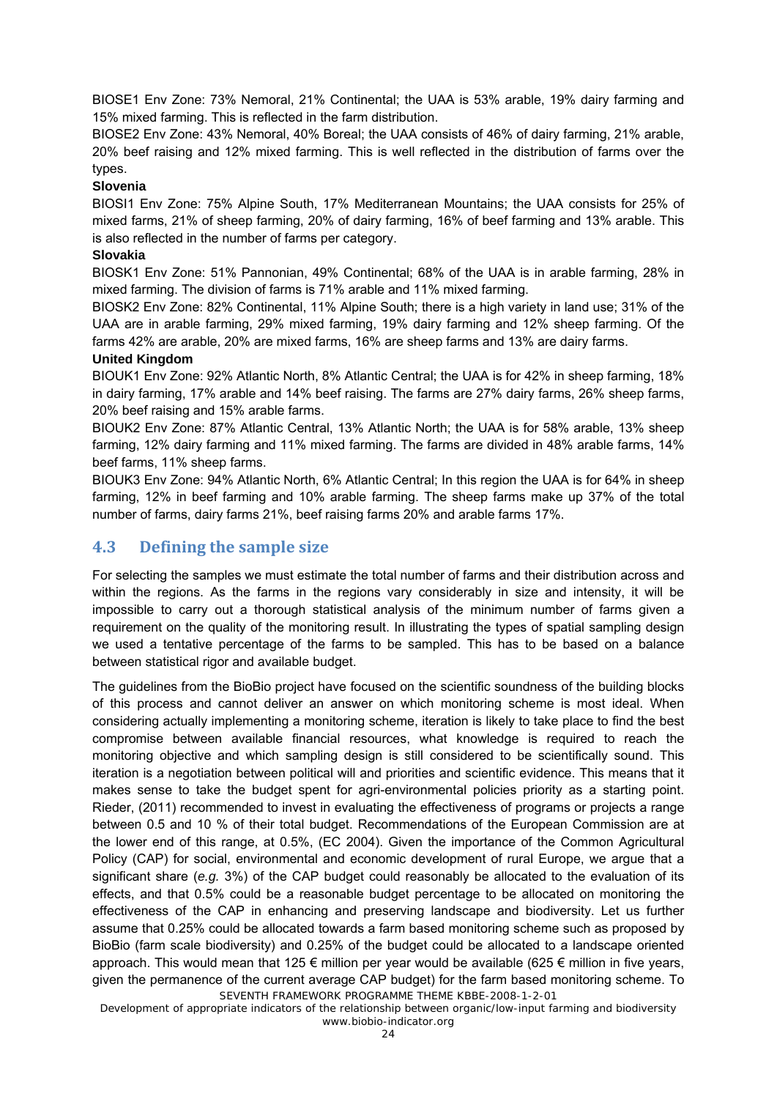BIOSE1 Env Zone: 73% Nemoral, 21% Continental; the UAA is 53% arable, 19% dairy farming and 15% mixed farming. This is reflected in the farm distribution.

BIOSE2 Env Zone: 43% Nemoral, 40% Boreal; the UAA consists of 46% of dairy farming, 21% arable, 20% beef raising and 12% mixed farming. This is well reflected in the distribution of farms over the types.

#### **Slovenia**

BIOSI1 Env Zone: 75% Alpine South, 17% Mediterranean Mountains; the UAA consists for 25% of mixed farms, 21% of sheep farming, 20% of dairy farming, 16% of beef farming and 13% arable. This is also reflected in the number of farms per category.

#### **Slovakia**

BIOSK1 Env Zone: 51% Pannonian, 49% Continental; 68% of the UAA is in arable farming, 28% in mixed farming. The division of farms is 71% arable and 11% mixed farming.

BIOSK2 Env Zone: 82% Continental, 11% Alpine South; there is a high variety in land use; 31% of the UAA are in arable farming, 29% mixed farming, 19% dairy farming and 12% sheep farming. Of the farms 42% are arable, 20% are mixed farms, 16% are sheep farms and 13% are dairy farms.

#### **United Kingdom**

BIOUK1 Env Zone: 92% Atlantic North, 8% Atlantic Central; the UAA is for 42% in sheep farming, 18% in dairy farming, 17% arable and 14% beef raising. The farms are 27% dairy farms, 26% sheep farms, 20% beef raising and 15% arable farms.

BIOUK2 Env Zone: 87% Atlantic Central, 13% Atlantic North; the UAA is for 58% arable, 13% sheep farming, 12% dairy farming and 11% mixed farming. The farms are divided in 48% arable farms, 14% beef farms, 11% sheep farms.

BIOUK3 Env Zone: 94% Atlantic North, 6% Atlantic Central; In this region the UAA is for 64% in sheep farming, 12% in beef farming and 10% arable farming. The sheep farms make up 37% of the total number of farms, dairy farms 21%, beef raising farms 20% and arable farms 17%.

## **4.3 Defining the sample size**

For selecting the samples we must estimate the total number of farms and their distribution across and within the regions. As the farms in the regions vary considerably in size and intensity, it will be impossible to carry out a thorough statistical analysis of the minimum number of farms given a requirement on the quality of the monitoring result. In illustrating the types of spatial sampling design we used a tentative percentage of the farms to be sampled. This has to be based on a balance between statistical rigor and available budget.

SEVENTH FRAMEWORK PROGRAMME THEME KBBE-2008-1-2-01 The guidelines from the BioBio project have focused on the scientific soundness of the building blocks of this process and cannot deliver an answer on which monitoring scheme is most ideal. When considering actually implementing a monitoring scheme, iteration is likely to take place to find the best compromise between available financial resources, what knowledge is required to reach the monitoring objective and which sampling design is still considered to be scientifically sound. This iteration is a negotiation between political will and priorities and scientific evidence. This means that it makes sense to take the budget spent for agri-environmental policies priority as a starting point. Rieder, (2011) recommended to invest in evaluating the effectiveness of programs or projects a range between 0.5 and 10 % of their total budget. Recommendations of the European Commission are at the lower end of this range, at 0.5%, (EC 2004). Given the importance of the Common Agricultural Policy (CAP) for social, environmental and economic development of rural Europe, we argue that a significant share (*e.g.* 3%) of the CAP budget could reasonably be allocated to the evaluation of its effects, and that 0.5% could be a reasonable budget percentage to be allocated on monitoring the effectiveness of the CAP in enhancing and preserving landscape and biodiversity. Let us further assume that 0.25% could be allocated towards a farm based monitoring scheme such as proposed by BioBio (farm scale biodiversity) and 0.25% of the budget could be allocated to a landscape oriented approach. This would mean that 125  $\epsilon$  million per year would be available (625  $\epsilon$  million in five years, given the permanence of the current average CAP budget) for the farm based monitoring scheme. To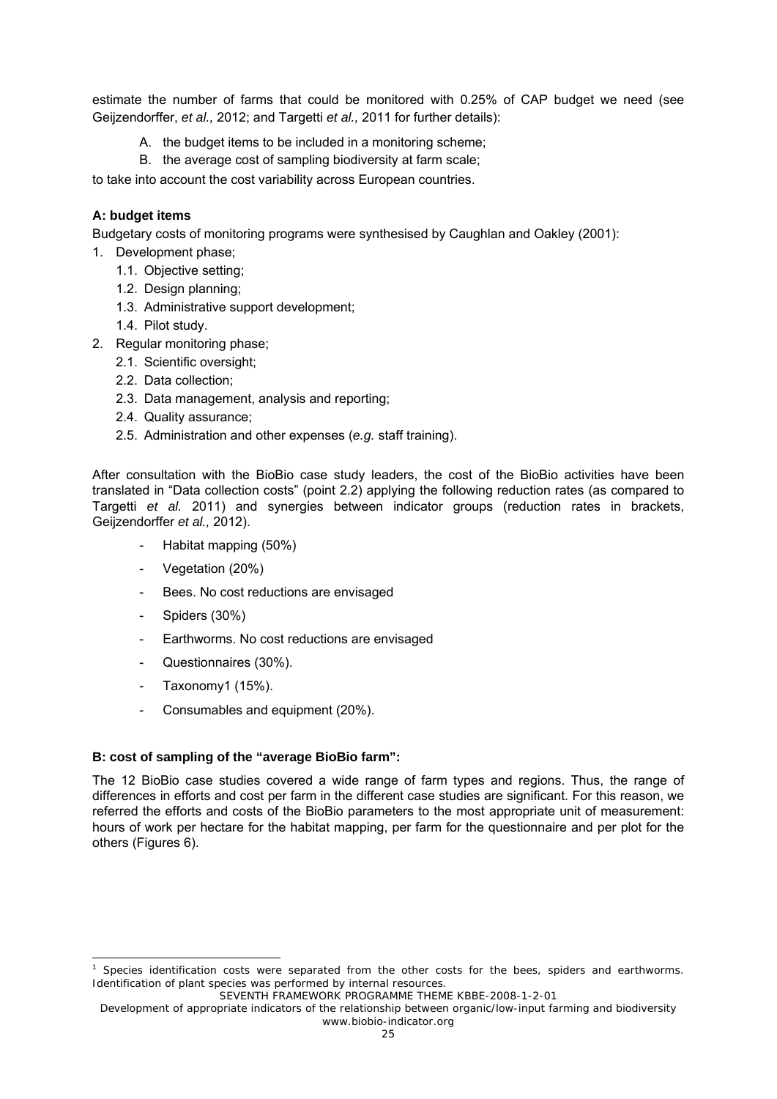estimate the number of farms that could be monitored with 0.25% of CAP budget we need (see Geijzendorffer, *et al.,* 2012; and Targetti *et al.,* 2011 for further details):

- A. the budget items to be included in a monitoring scheme;
- B. the average cost of sampling biodiversity at farm scale;

to take into account the cost variability across European countries.

#### **A: budget items**

Budgetary costs of monitoring programs were synthesised by Caughlan and Oakley (2001):

- 1. Development phase;
	- 1.1. Objective setting;
	- 1.2. Design planning;
	- 1.3. Administrative support development;
	- 1.4. Pilot study.
- 2. Regular monitoring phase;
	- 2.1. Scientific oversight;
	- 2.2. Data collection;
	- 2.3. Data management, analysis and reporting;
	- 2.4. Quality assurance;
	- 2.5. Administration and other expenses (*e.g.* staff training).

After consultation with the BioBio case study leaders, the cost of the BioBio activities have been translated in "Data collection costs" (point 2.2) applying the following reduction rates (as compared to Targetti *et al.* 2011) and synergies between indicator groups (reduction rates in brackets, Geijzendorffer *et al.,* 2012).

- Habitat mapping (50%)
- Vegetation (20%)
- Bees. No cost reductions are envisaged
- Spiders (30%)
- Earthworms. No cost reductions are envisaged
- Questionnaires (30%).
- Taxonomy1 (15%).

-

Consumables and equipment (20%).

#### **B: cost of sampling of the "average BioBio farm":**

The 12 BioBio case studies covered a wide range of farm types and regions. Thus, the range of differences in efforts and cost per farm in the different case studies are significant. For this reason, we referred the efforts and costs of the BioBio parameters to the most appropriate unit of measurement: hours of work per hectare for the habitat mapping, per farm for the questionnaire and per plot for the others (Figures 6).

<sup>1</sup> Species identification costs were separated from the other costs for the bees, spiders and earthworms. Identification of plant species was performed by internal resources.

SEVENTH FRAMEWORK PROGRAMME THEME KBBE-2008-1-2-01

Development of appropriate indicators of the relationship between organic/low-input farming and biodiversity www.biobio-indicator.org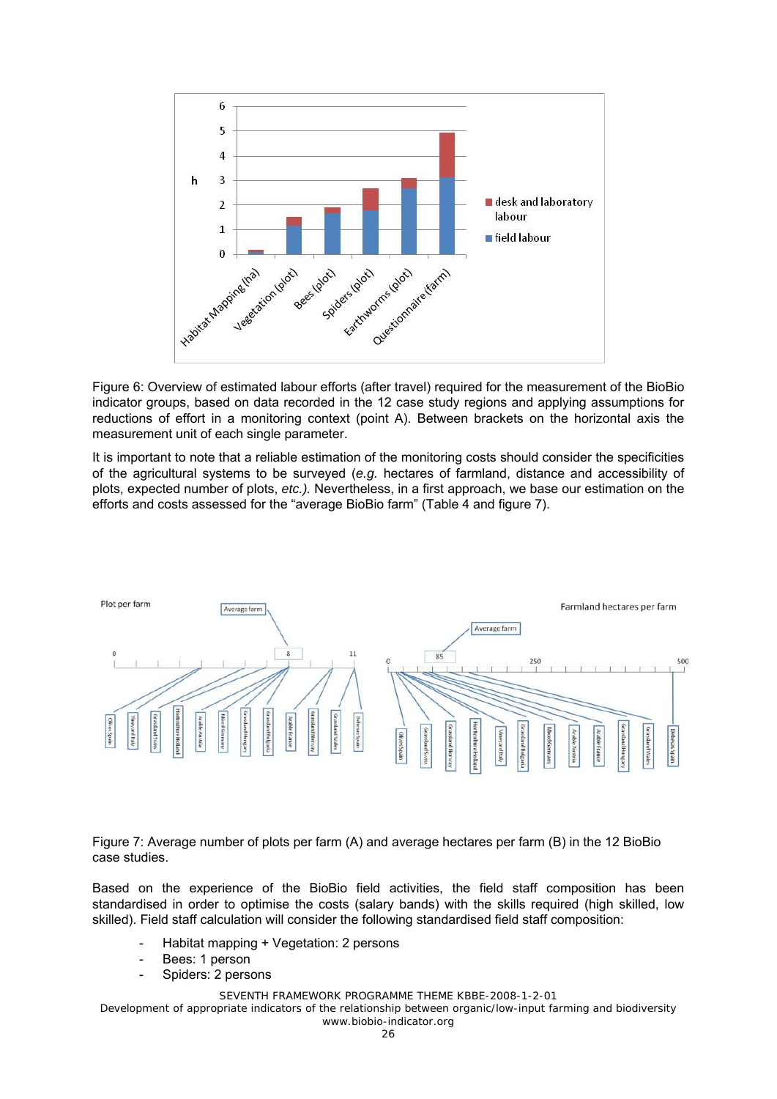

Figure 6: Overview of estimated labour efforts (after travel) required for the measurement of the BioBio indicator groups, based on data recorded in the 12 case study regions and applying assumptions for reductions of effort in a monitoring context (point A). Between brackets on the horizontal axis the measurement unit of each single parameter.

It is important to note that a reliable estimation of the monitoring costs should consider the specificities of the agricultural systems to be surveyed (*e.g.* hectares of farmland, distance and accessibility of plots, expected number of plots, *etc.).* Nevertheless, in a first approach, we base our estimation on the efforts and costs assessed for the "average BioBio farm" (Table 4 and figure 7).



Figure 7: Average number of plots per farm (A) and average hectares per farm (B) in the 12 BioBio case studies.

Based on the experience of the BioBio field activities, the field staff composition has been standardised in order to optimise the costs (salary bands) with the skills required (high skilled, low skilled). Field staff calculation will consider the following standardised field staff composition:

- Habitat mapping + Vegetation: 2 persons
- Bees: 1 person
- Spiders: 2 persons

SEVENTH FRAMEWORK PROGRAMME THEME KBBE-2008-1-2-01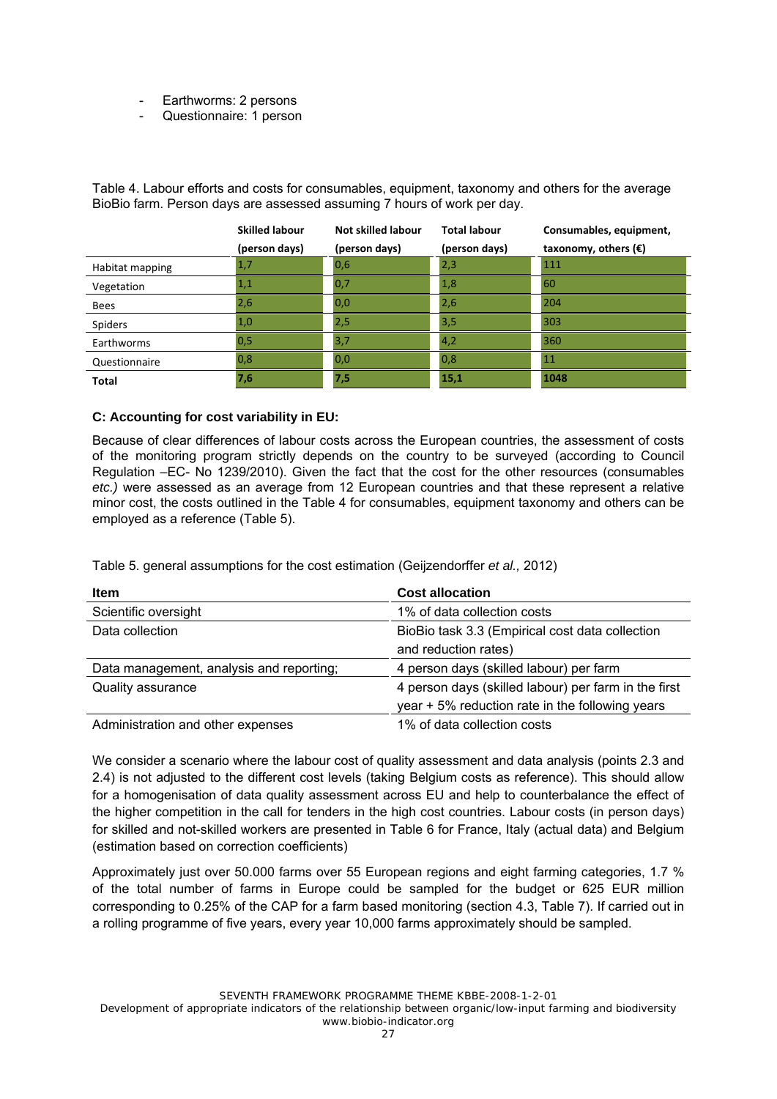- Earthworms: 2 persons
- Questionnaire: 1 person

Table 4. Labour efforts and costs for consumables, equipment, taxonomy and others for the average BioBio farm. Person days are assessed assuming 7 hours of work per day.

|                 | <b>Skilled labour</b> | Not skilled labour | <b>Total labour</b> | Consumables, equipment,       |
|-----------------|-----------------------|--------------------|---------------------|-------------------------------|
|                 | (person days)         | (person days)      | (person days)       | taxonomy, others $(\epsilon)$ |
| Habitat mapping | 1,7                   | 0,6                | 2,3                 | 111                           |
| Vegetation      | 1,1                   | 0,7                | 1,8                 | 60                            |
| <b>Bees</b>     | 2,6                   | 0,0                | 2,6                 | 204                           |
| <b>Spiders</b>  | 1,0                   | 2,5                | 3,5                 | 303                           |
| Earthworms      | 0,5                   | 3,7                | 4,2                 | 360                           |
| Questionnaire   | 0,8                   | 0,0                | 0,8                 | 11                            |
| <b>Total</b>    | 7,6                   | 7,5                | 15,1                | 1048                          |

#### **C: Accounting for cost variability in EU:**

Because of clear differences of labour costs across the European countries, the assessment of costs of the monitoring program strictly depends on the country to be surveyed (according to Council Regulation –EC- No 1239/2010). Given the fact that the cost for the other resources (consumables *etc.)* were assessed as an average from 12 European countries and that these represent a relative minor cost, the costs outlined in the Table 4 for consumables, equipment taxonomy and others can be employed as a reference (Table 5).

| <b>Item</b>                              | <b>Cost allocation</b>                               |
|------------------------------------------|------------------------------------------------------|
| Scientific oversight                     | 1% of data collection costs                          |
| Data collection                          | BioBio task 3.3 (Empirical cost data collection      |
|                                          | and reduction rates)                                 |
| Data management, analysis and reporting; | 4 person days (skilled labour) per farm              |
| Quality assurance                        | 4 person days (skilled labour) per farm in the first |
|                                          | year + 5% reduction rate in the following years      |
| Administration and other expenses        | 1% of data collection costs                          |

Table 5. general assumptions for the cost estimation (Geijzendorffer *et al.,* 2012)

We consider a scenario where the labour cost of quality assessment and data analysis (points 2.3 and 2.4) is not adjusted to the different cost levels (taking Belgium costs as reference). This should allow for a homogenisation of data quality assessment across EU and help to counterbalance the effect of the higher competition in the call for tenders in the high cost countries. Labour costs (in person days) for skilled and not-skilled workers are presented in Table 6 for France, Italy (actual data) and Belgium (estimation based on correction coefficients)

Approximately just over 50.000 farms over 55 European regions and eight farming categories, 1.7 % of the total number of farms in Europe could be sampled for the budget or 625 EUR million corresponding to 0.25% of the CAP for a farm based monitoring (section 4.3, Table 7). If carried out in a rolling programme of five years, every year 10,000 farms approximately should be sampled.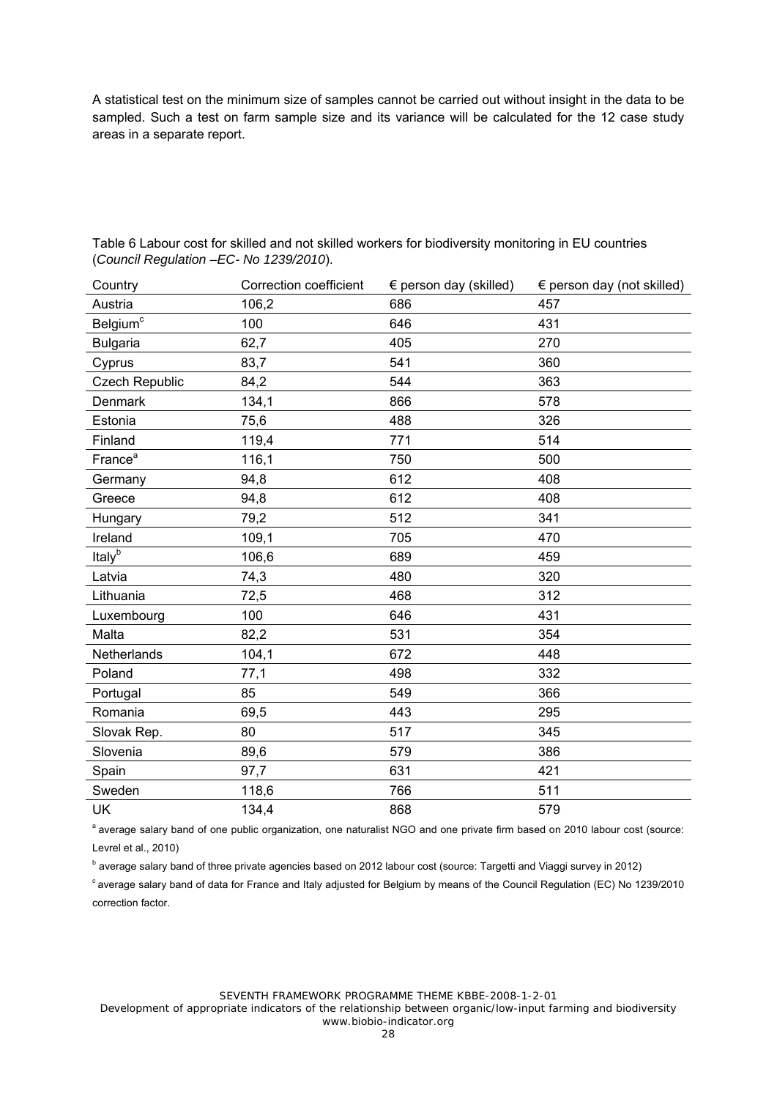A statistical test on the minimum size of samples cannot be carried out without insight in the data to be sampled. Such a test on farm sample size and its variance will be calculated for the 12 case study areas in a separate report.

| Country               | <b>Correction coefficient</b> | $\epsilon$ person day (skilled) | $\epsilon$ person day (not skilled) |
|-----------------------|-------------------------------|---------------------------------|-------------------------------------|
| Austria               | 106,2                         | 686                             | 457                                 |
| Belgium <sup>c</sup>  | 100                           | 646                             | 431                                 |
| <b>Bulgaria</b>       | 62,7                          | 405                             | 270                                 |
| Cyprus                | 83,7                          | 541                             | 360                                 |
| <b>Czech Republic</b> | 84,2                          | 544                             | 363                                 |
| Denmark               | 134,1                         | 866                             | 578                                 |
| Estonia               | 75,6                          | 488                             | 326                                 |
| Finland               | 119,4                         | 771                             | 514                                 |
| France <sup>a</sup>   | 116,1                         | 750                             | 500                                 |
| Germany               | 94,8                          | 612                             | 408                                 |
| Greece                | 94,8                          | 612                             | 408                                 |
| Hungary               | 79,2                          | 512                             | 341                                 |
| Ireland               | 109,1                         | 705                             | 470                                 |
| Italy <sup>b</sup>    | 106,6                         | 689                             | 459                                 |
| Latvia                | 74,3                          | 480                             | 320                                 |
| Lithuania             | 72,5                          | 468                             | 312                                 |
| Luxembourg            | 100                           | 646                             | 431                                 |
| Malta                 | 82,2                          | 531                             | 354                                 |
| Netherlands           | 104,1                         | 672                             | 448                                 |
| Poland                | 77,1                          | 498                             | 332                                 |
| Portugal              | 85                            | 549                             | 366                                 |
| Romania               | 69,5                          | 443                             | 295                                 |
| Slovak Rep.           | 80                            | 517                             | 345                                 |
| Slovenia              | 89,6                          | 579                             | 386                                 |
| Spain                 | 97,7                          | 631                             | 421                                 |
| Sweden                | 118,6                         | 766                             | 511                                 |
| UK                    | 134,4                         | 868                             | 579                                 |

Table 6 Labour cost for skilled and not skilled workers for biodiversity monitoring in EU countries (*Council Regulation –EC- No 1239/2010*).

<sup>a</sup> average salary band of one public organization, one naturalist NGO and one private firm based on 2010 labour cost (source: Levrel et al., 2010)

<sup>b</sup> average salary band of three private agencies based on 2012 labour cost (source: Targetti and Viaggi survey in 2012)

<sup>c</sup> average salary band of data for France and Italy adjusted for Belgium by means of the Council Regulation (EC) No 1239/2010 correction factor.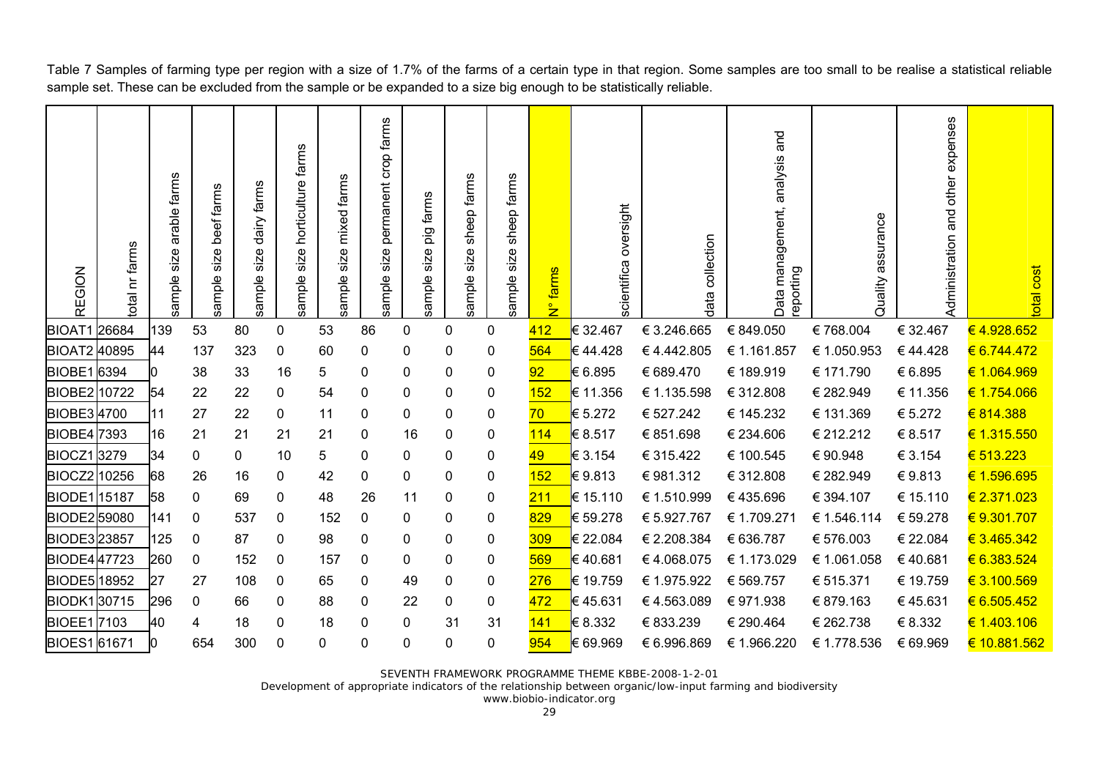sample size permanent crop farms permanent crop farms Quality assurance Administration and other expenses and Data management, analysis and sample size horticulture farms ample size horticulture farms Data management, analysis sample size arable farms sample size mixed farms sample size sheep farms sample size sheep farms arable farms ample size mixed farms sheep farms sheep farms sample size dairy farms sample size beef farms ample size dairy farms ample size beef farms sample size pig farms pig farms ب scientifica oversigh data collection collection total nr farms otal nr farms  $size$ ample size ample size ample size ample size REGION N° farms farms eporting **REGION** t total cos ample : data BIOAT1 26684 I139 53 80 0 53 86 0 0 <mark>412 </mark>€ 32.467 € 3.246.665 € 849.050 € 768.004 € 32.467 <del>€ 4.928.652</del> € 6.744.472 BIOAT2 40895 44 137 323 0 60 0 0 0 <mark>564 </mark>€ 44.428 € 4.442.805 € 1.161.857 € 1.050.953 € 44.428 <mark>€ 6.744.472</mark> BIOBE1 l6394 l0 38 33 16 5 0 0 0 0 <mark>92 k</mark>€ 6.895 € 689.470 € 189.919 € 171.790 € 6.895 <del>€ 1.064.969</del> BIOBE2I10722 l54 22 22 0 54 0 0 0 <mark>152 l∈</mark> 11.356 € 1.135.598 € 312.808 € 282.949 € 11.356 <del>€ 1.754.066</del> € 814.388 BIOBE3I4700 I11 27 22 0 11 0 0 0 0 <mark>70 k</mark>€ 5.272 € 527.242 € 145.232 € 131.369 € 5.272 <mark>€ 814.388</mark> BIOBE417393 I16 21 21 21 21 0 16 0 0 <mark>114 </mark>€ 8.517 € 851.698 € 234.606 € 212.212 € 8.517 <mark>€ 1.315.550</mark> BIOCZ1I3279 I34 0 0 10 5 0 0 0 0 <del>49 l€</del> 3.154 € 315.422 € 100.545 € 90.948 € 3.154 <mark>€ 513.223</mark> € 1.596.695 BIOCZ2İ10256 68 26 16 0 42 0 0 0 0 <mark>152 €</mark>9.813 €981.312 €312.808 €282.949 €9.813 <mark>€1.596.695</mark> € 2.371.023 BIODE1Ⅱ5187 l58 0 69 0 48 26 11 0 0 <mark>211 l</mark>€ 15.110 € 1.510.999 € 435.696 € 394.107 € 15.110 <del>€ 2.371.023</del> BIODE2 59080 141 0 537 0 152 0 0 0 <mark>829 </mark>€ 59.278 € 5.927.767 € 1.709.271 € 1.546.114 € 59.278 <mark>€ 9.301.707</mark> BIODE3I23857 I125 0 87 0 98 0 0 0 <mark>309 I∈</mark> 22.08.4 € 2.208.384 € 636.787 € 576.003 € 22.084 <del>€ 3.465.342</del> € 3.465.342 € 6.383.524 BIODE4W47723 I260 0 152 0 157 0 0 0 569 k∈40.681 € 4.068.075 € 1.173.029 € 1.061.058 € 40.681 <del>€ 6.383.524</del> BIODE5 18952 27 27 108 0 65 0 49 0 0 <mark>276 </mark>€ 19.759 € 1.975.922 € 569.757 € 515.371 € 19.759 € 3.100.569 € 6.505.452 BIODK1‼30715 |296 0 66 0 88 0 22 0 <mark>472 √∈ 4.563.089 € 971.938 € 879.163 € 45.631 <del>€ 6.505.452</del></mark> € 1.403.106 BIOEE1l7103 l40 4 18 0 18 0 0 31 31 <mark>141 l</mark>€ 8.332 € 833.239 € 290.464 € 262.738 € 8.332 <del>€ 1.403.106</del> BIOES1 61671 0 654 300 0 0 0 0 0 0 954 € 69.969 € 6.996.869 € 1.966.220 € 1.778.536 € 69.969 € 10.881.562

Table 7 Samples of farming type per region with a size of 1.7% of the farms of a certain type in that region. Some samples are too small to be realise a statistical reliable sample set. These can be excluded from the sample or be expanded to a size big enough to be statistically reliable.

SEVENTH FRAMEWORK PROGRAMME THEME KBBE-2008-1-2-01

Development of appropriate indicators of the relationship between organic/low-input farming and biodiversity

www.biobio-indicator.org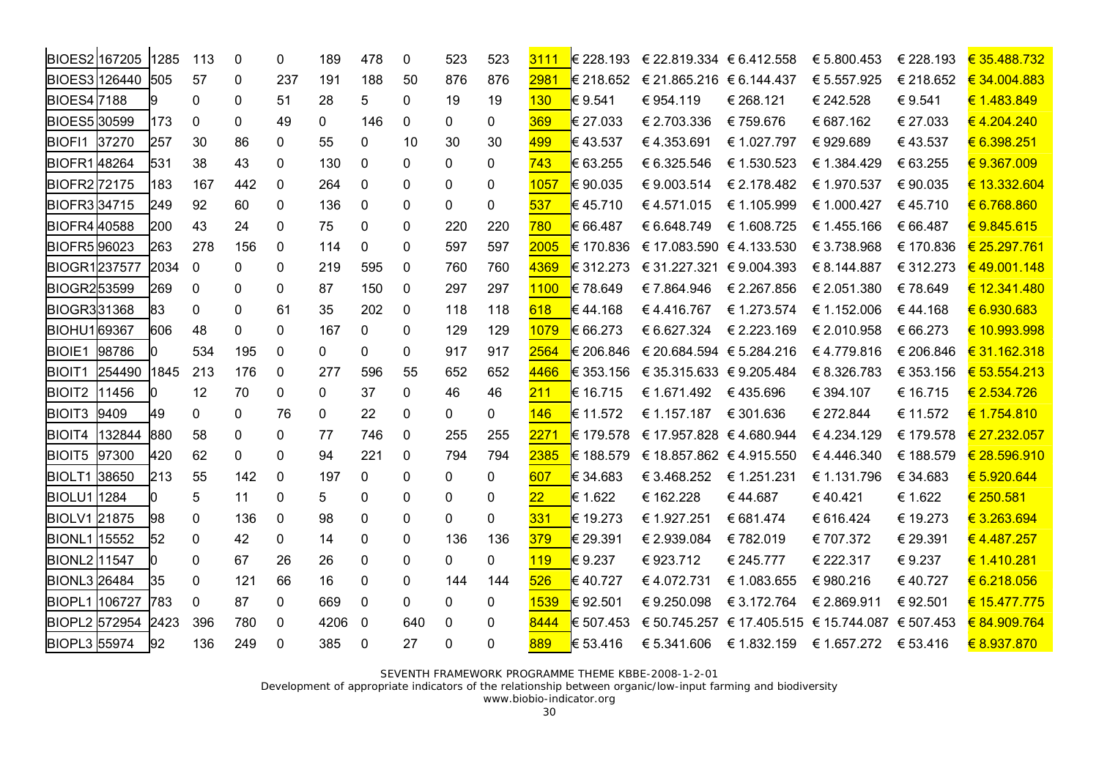|                      | BIOES2 167205 1285 |      | 113               | $\mathbf{0}$ | 0            | 189          | 478          | 0            | 523      | 523          | 3111            |           | € 228.193 $\in$ 22.819.334 $\in$ 6.412.558 |             | € 5.800.453                                      | € 228.193 | € 35.488.732 |
|----------------------|--------------------|------|-------------------|--------------|--------------|--------------|--------------|--------------|----------|--------------|-----------------|-----------|--------------------------------------------|-------------|--------------------------------------------------|-----------|--------------|
| BIOES3 126440        |                    | 505  | 57                | 0            | 237          | 191          | 188          | 50           | 876      | 876          | 2981            | € 218.652 | € 21.865.216 € 6.144.437                   |             | € 5.557.925                                      | € 218.652 | € 34.004.883 |
| <b>BIOES4</b> 7188   |                    | 9    | 0                 | $\mathbf 0$  | 51           | 28           | 5            | 0            | 19       | 19           | 130             | € 9.541   | € 954.119                                  | € 268.121   | € 242.528                                        | € 9.541   | € 1.483.849  |
| <b>BIOES530599</b>   |                    | 173  | 0                 | 0            | 49           | $\Omega$     | 146          | 0            | 0        | 0            | 369             | € 27.033  | € 2.703.336                                | € 759.676   | € 687.162                                        | € 27.033  | €4.204.240   |
| <b>BIOFI1</b>        | 37270              | 257  | 30                | 86           | 0            | 55           | 0            | 10           | 30       | 30           | 499             | €43.537   | € 4.353.691                                | € 1.027.797 | €929.689                                         | €43.537   | € 6.398.251  |
| <b>BIOFR148264</b>   |                    | 531  | 38                | 43           | $\Omega$     | 130          | $\Omega$     | $\mathbf{0}$ | 0        | $\Omega$     | 743             | € 63.255  | € 6.325.546                                | € 1.530.523 | € 1.384.429                                      | € 63.255  | €9.367.009   |
| BIOFR2 72175         |                    | 183  | 167               | 442          | $\mathbf 0$  | 264          | $\mathbf{0}$ | 0            | 0        | $\mathbf{0}$ | 1057            | €90.035   | € 9.003.514                                | € 2.178.482 | € 1.970.537                                      | € 90.035  | € 13.332.604 |
| BIOFR334715          |                    | 249  | 92                | 60           | $\Omega$     | 136          | 0            | 0            | 0        | $\Omega$     | 537             | € 45.710  | €4.571.015                                 | € 1.105.999 | € 1.000.427                                      | € 45.710  | € 6.768.860  |
| <b>BIOFR4</b> 40588  |                    | 200  | 43                | 24           | $\mathbf 0$  | 75           | 0            | 0            | 220      | 220          | 780             | € 66.487  | € 6.648.749                                | € 1.608.725 | € 1.455.166                                      | € 66.487  | €9.845.615   |
| <b>BIOFR5</b> 96023  |                    | 263  | 278               | 156          | $\Omega$     | 114          | $\Omega$     | 0            | 597      | 597          | 2005            | € 170.836 | € 17.083.590 € 4.133.530                   |             | € 3.738.968                                      | € 170.836 | € 25.297.761 |
| <b>BIOGR1237577</b>  |                    | 2034 | $\Omega$          | $\Omega$     | $\Omega$     | 219          | 595          | 0            | 760      | 760          | 4369            | € 312.273 | € 31.227.321 € 9.004.393                   |             | € 8.144.887                                      | € 312.273 | €49.001.148  |
| <b>BIOGR253599</b>   |                    | 269  | 0                 | $\mathbf{0}$ | $\Omega$     | 87           | 150          | $\mathbf{0}$ | 297      | 297          | <b>1100</b>     | € 78.649  | € 7.864.946                                | € 2.267.856 | € 2.051.380                                      | €78.649   | € 12.341.480 |
| <b>BIOGR331368</b>   |                    | 183  | 0                 | $\mathbf{0}$ | 61           | 35           | 202          | $\Omega$     | 118      | 118          | 618             | € 44.168  | €4.416.767                                 | € 1.273.574 | € 1.152.006                                      | €44.168   | € 6.930.683  |
| <b>BIOHU169367</b>   |                    | 606  | 48                | $\mathbf{0}$ | 0            | 167          | $\mathbf{0}$ | 0            | 129      | 129          | 1079            | € 66.273  | € 6.627.324                                | € 2.223.169 | € 2.010.958                                      | € 66.273  | € 10.993.998 |
| <b>BIOIE1</b>        | 98786              | n    | 534               | 195          | $\Omega$     | $\Omega$     | 0            | 0            | 917      | 917          | 2564            | € 206.846 | € 20.684.594 € 5.284.216                   |             | €4.779.816                                       | € 206.846 | € 31.162.318 |
| <b>BIOIT1</b>        | 254490             | 1845 | 213               | 176          | $\mathbf{0}$ | 277          | 596          | 55           | 652      | 652          | 4466            | € 353.156 | € 35.315.633 € 9.205.484                   |             | € 8.326.783                                      | € 353.156 | € 53.554.213 |
| <b>BIOIT2</b>        | 11456              | n    | $12 \overline{ }$ | 70           | $\Omega$     | $\Omega$     | 37           | 0            | 46       | 46           | 211             | € 16.715  | € 1.671.492                                | € 435.696   | € 394.107                                        | € 16.715  | € 2.534.726  |
| <b>BIOIT3</b>        | 9409               | 49   | 0                 | $\mathbf{0}$ | 76           | $\mathbf{0}$ | 22           | 0            | 0        | 0            | 146             | € 11.572  | € 1.157.187                                | € 301.636   | € 272.844                                        | € 11.572  | € 1.754.810  |
| <b>BIOIT4</b>        | 132844             | 880  | 58                | $\mathbf{0}$ | 0            | 77           | 746          | $\Omega$     | 255      | 255          | 2271            | € 179.578 | € 17.957.828 € 4.680.944                   |             | €4.234.129                                       | € 179.578 | € 27.232.057 |
| <b>BIOIT5</b>        | 97300              | 420  | 62                | $\mathbf{0}$ | 0            | 94           | 221          | $\mathbf{0}$ | 794      | 794          | 2385            | € 188.579 | € 18.857.862 € 4.915.550                   |             | €4.446.340                                       | € 188.579 | € 28.596.910 |
| <b>BIOLT1</b> 38650  |                    | 1213 | 55                | 142          | $\Omega$     | 197          | $\Omega$     | 0            | 0        | 0            | 607             | € 34.683  | € 3.468.252                                | € 1.251.231 | € 1.131.796                                      | € 34.683  | € 5.920.644  |
| <b>BIOLU1</b> 1284   |                    | IN.  | 5                 | 11           | $\Omega$     | 5            | 0            | 0            | 0        | $\mathbf{0}$ | 22 <sub>2</sub> | € 1.622   | € 162.228                                  | €44.687     | €40.421                                          | € 1.622   | € 250.581    |
| <b>BIOLV1</b> 21875  |                    | 198  | $\mathbf{0}$      | 136          | $\mathbf 0$  | 98           | 0            | 0            | 0        | 0            | 331             | € 19.273  | € 1.927.251                                | € 681.474   | € 616.424                                        | € 19.273  | € 3.263.694  |
| <b>BIONL1</b> 15552  |                    | 52   | 0                 | 42           | 0            | 14           | 0            | 0            | 136      | 136          | 379             | € 29.391  | € 2.939.084                                | € 782.019   | € 707.372                                        | € 29.391  | €4.487.257   |
| <b>BIONL2</b> 11547  |                    | Ŋ    | 0                 | 67           | 26           | 26           | $\Omega$     | 0            | 0        | 0            | 119             | € 9.237   | € 923.712                                  | € 245.777   | € 222.317                                        | €9.237    | € 1.410.281  |
| <b>BIONL3</b> 26484  |                    | 35   | $\mathbf{0}$      | 121          | 66           | 16           | 0            | 0            | 144      | 144          | 526             | €40.727   | €4.072.731                                 | € 1.083.655 | €980.216                                         | €40.727   | € 6.218.056  |
| BIOPL1 106727        |                    | 783  | 0                 | 87           | 0            | 669          | $\Omega$     | 0            | 0        | 0            | 1539            | € 92.501  | €9.250.098                                 | € 3.172.764 | € 2.869.911                                      | € 92.501  | € 15.477.775 |
| <b>BIOPL2 572954</b> |                    | 2423 | 396               | 780          | $\Omega$     | 4206         | - 0          | 640          | 0        | 0            | 8444            | € 507.453 |                                            |             | € 50.745.257 € 17.405.515 € 15.744.087 € 507.453 |           | € 84.909.764 |
| <b>BIOPL3</b> 55974  |                    | 92   | 136               | 249          | $\Omega$     | 385          | $\Omega$     | 27           | $\Omega$ | 0            | 889             | € 53.416  |                                            |             | € 5.341.606 € 1.832.159 € 1.657.272 € 53.416     |           | € 8.937.870  |

SEVENTH FRAMEWORK PROGRAMME THEME KBBE-2008-1-2-01 Development of appropriate indicators of the relationship between organic/low-input farming and biodiversity

www.biobio-indicator.org 30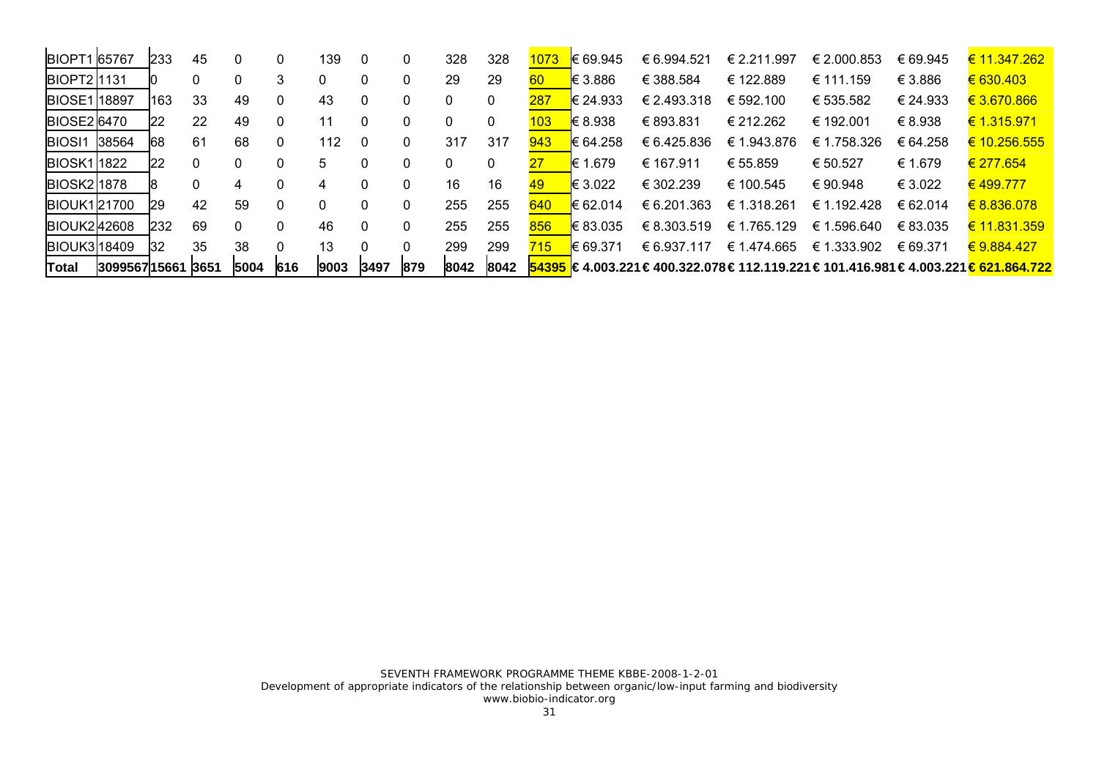| <b>BIOPT1 65767</b> |              | 233       | 45   |          | 0        | 139  | -0   | 0        | 328  | 328  | 1073 | <b>E</b> 69.945 | € 6.994.521 | € 2.211.997 | € 2.000.853 | € 69.945 | € 11.347.262                                                                                         |
|---------------------|--------------|-----------|------|----------|----------|------|------|----------|------|------|------|-----------------|-------------|-------------|-------------|----------|------------------------------------------------------------------------------------------------------|
| <b>BIOPT2</b> 1131  |              |           |      |          | 3        | 0    | 0    | $\Omega$ | 29   | 29   | 60   | <b>€</b> 3.886  | € 388.584   | € 122.889   | € 111.159   | € 3.886  | $\epsilon$ 630.403                                                                                   |
| <b>BIOSE118897</b>  |              | 163       | 33   | 49       | 0        | 43   | 0    | $\Omega$ | 0    | 0    | 287  | € 24.933        | € 2.493.318 | € 592.100   | € 535.582   | € 24.933 | € 3.670.866                                                                                          |
| <b>BIOSE26470</b>   |              | 22        | 22   | 49       | 0        | 11   | 0    |          | 0    | 0    | 103  | <b>E</b> 8.938  | € 893.831   | € 212.262   | € 192.001   | € 8.938  | € 1.315.971                                                                                          |
| <b>BIOSI1</b>       | 38564        | 68        | 61   | 68       | 0        | 112  | 0    | $\Omega$ | 317  | 317  | 943  | € 64.258        | € 6.425.836 | € 1.943.876 | € 1.758.326 | € 64.258 | € 10.256.555                                                                                         |
| <b>BIOSK11822</b>   |              | 22        | 0    |          | 0        | 5    | 0    | $\Omega$ |      | 0    |      | <b>E</b> 1.679  | € 167.911   | € 55.859    | € 50.527    | € 1.679  | € 277.654                                                                                            |
| <b>BIOSK21878</b>   |              | 18        | 0    | 4        | 0        | 4    | 0    | $\Omega$ | 16   | 16   | 49   | € 3.022         | € 302.239   | € 100.545   | €90.948     | € 3.022  | € 499.777                                                                                            |
| <b>BIOUK121700</b>  |              | <b>29</b> | 42   | 59       | 0        | 0    | 0    | $\Omega$ | 255  | 255  | 640  | € 62.014        | € 6.201.363 | € 1.318.261 | € 1.192.428 | € 62.014 | € 8.836.078                                                                                          |
| <b>BIOUK242608</b>  |              | 232       | 69   | $\Omega$ | 0        | 46   | 0    | $\Omega$ | 255  | 255  | 856  | € 83.035        | € 8.303.519 | € 1.765.129 | € 1.596.640 | € 83.035 | € 11.831.359                                                                                         |
| <b>BIOUK318409</b>  |              | 32        | 35   | 38       | $\Omega$ | 13   |      |          | 299  | 299  | 715  | <b>E</b> 69.371 | € 6.937.117 | € 1.474.665 | € 1.333.902 | € 69.371 | € 9.884.427                                                                                          |
| <b>Total</b>        | 309956715661 |           | 3651 | 5004     | 616      | 9003 | 3497 | 879      | 8042 | 8042 |      |                 |             |             |             |          | $154395 \in 4.003.221 \in 400.322.078 \in 112.119.221 \in 101.416.981 \in 4.003.221 \in 621.864.722$ |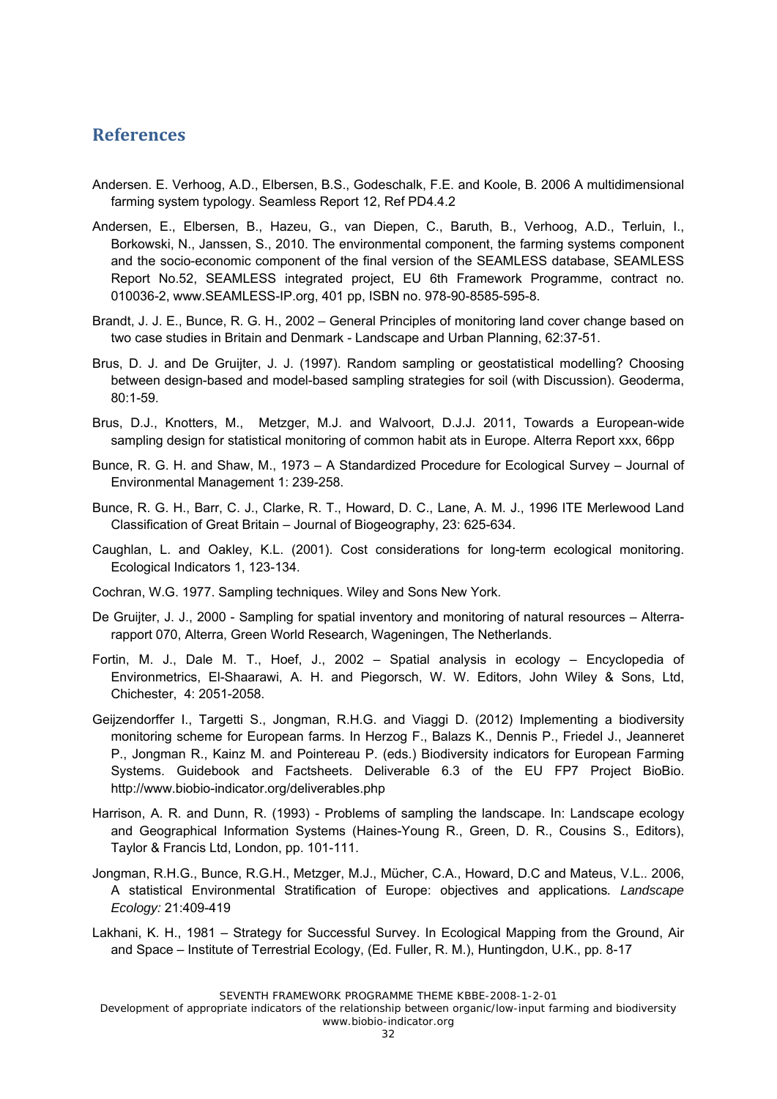## **References**

- Andersen. E. Verhoog, A.D., Elbersen, B.S., Godeschalk, F.E. and Koole, B. 2006 A multidimensional farming system typology. Seamless Report 12, Ref PD4.4.2
- Andersen, E., Elbersen, B., Hazeu, G., van Diepen, C., Baruth, B., Verhoog, A.D., Terluin, I., Borkowski, N., Janssen, S., 2010. The environmental component, the farming systems component and the socio-economic component of the final version of the SEAMLESS database, SEAMLESS Report No.52, SEAMLESS integrated project, EU 6th Framework Programme, contract no. 010036-2, www.SEAMLESS-IP.org, 401 pp, ISBN no. 978-90-8585-595-8.
- Brandt, J. J. E., Bunce, R. G. H., 2002 General Principles of monitoring land cover change based on two case studies in Britain and Denmark - Landscape and Urban Planning, 62:37-51.
- Brus, D. J. and De Gruijter, J. J. (1997). Random sampling or geostatistical modelling? Choosing between design-based and model-based sampling strategies for soil (with Discussion). Geoderma, 80:1-59.
- Brus, D.J., Knotters, M., Metzger, M.J. and Walvoort, D.J.J. 2011, Towards a European-wide sampling design for statistical monitoring of common habit ats in Europe. Alterra Report xxx, 66pp
- Bunce, R. G. H. and Shaw, M., 1973 A Standardized Procedure for Ecological Survey Journal of Environmental Management 1: 239-258.
- Bunce, R. G. H., Barr, C. J., Clarke, R. T., Howard, D. C., Lane, A. M. J., 1996 ITE Merlewood Land Classification of Great Britain – Journal of Biogeography, 23: 625-634.
- Caughlan, L. and Oakley, K.L. (2001). Cost considerations for long-term ecological monitoring. Ecological Indicators 1, 123-134.
- Cochran, W.G. 1977. Sampling techniques. Wiley and Sons New York.
- De Gruijter, J. J., 2000 Sampling for spatial inventory and monitoring of natural resources Alterrarapport 070, Alterra, Green World Research, Wageningen, The Netherlands.
- Fortin, M. J., Dale M. T., Hoef, J., 2002 Spatial analysis in ecology Encyclopedia of Environmetrics, El-Shaarawi, A. H. and Piegorsch, W. W. Editors, John Wiley & Sons, Ltd, Chichester, 4: 2051-2058.
- Geijzendorffer I., Targetti S., Jongman, R.H.G. and Viaggi D. (2012) Implementing a biodiversity monitoring scheme for European farms. In Herzog F., Balazs K., Dennis P., Friedel J., Jeanneret P., Jongman R., Kainz M. and Pointereau P. (eds.) Biodiversity indicators for European Farming Systems. Guidebook and Factsheets. Deliverable 6.3 of the EU FP7 Project BioBio. http://www.biobio-indicator.org/deliverables.php
- Harrison, A. R. and Dunn, R. (1993) Problems of sampling the landscape. In: Landscape ecology and Geographical Information Systems (Haines-Young R., Green, D. R., Cousins S., Editors), Taylor & Francis Ltd, London, pp. 101-111.
- Jongman, R.H.G., Bunce, R.G.H., Metzger, M.J., Mücher, C.A., Howard, D.C and Mateus, V.L.. 2006, A statistical Environmental Stratification of Europe: objectives and applications*. Landscape Ecology:* 21:409-419
- Lakhani, K. H., 1981 Strategy for Successful Survey. In Ecological Mapping from the Ground, Air and Space – Institute of Terrestrial Ecology, (Ed. Fuller, R. M.), Huntingdon, U.K., pp. 8-17

SEVENTH FRAMEWORK PROGRAMME THEME KBBE-2008-1-2-01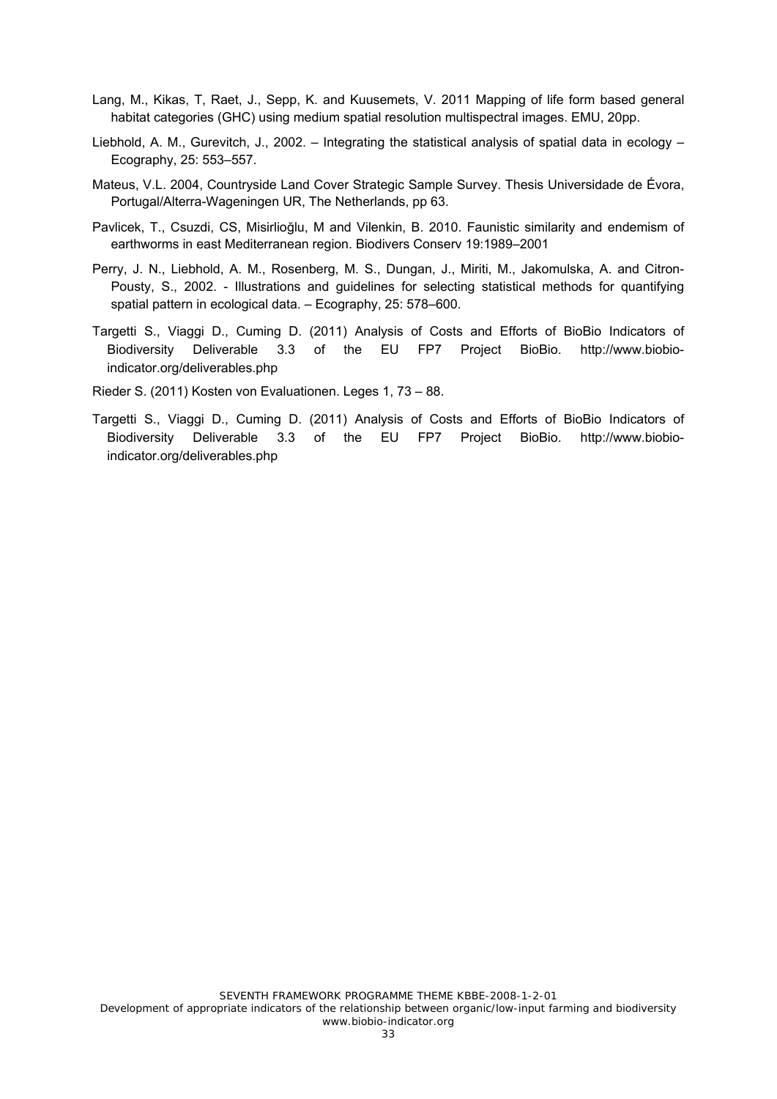- Lang, M., Kikas, T, Raet, J., Sepp, K. and Kuusemets, V. 2011 Mapping of life form based general habitat categories (GHC) using medium spatial resolution multispectral images. EMU, 20pp.
- Liebhold, A. M., Gurevitch, J., 2002. Integrating the statistical analysis of spatial data in ecology Ecography, 25: 553–557.
- Mateus, V.L. 2004, Countryside Land Cover Strategic Sample Survey. Thesis Universidade de Évora, Portugal/Alterra-Wageningen UR, The Netherlands, pp 63.
- Pavlicek, T., Csuzdi, CS, Misirlioğlu, M and Vilenkin, B. 2010. Faunistic similarity and endemism of earthworms in east Mediterranean region. Biodivers Conserv 19:1989–2001
- Perry, J. N., Liebhold, A. M., Rosenberg, M. S., Dungan, J., Miriti, M., Jakomulska, A. and Citron-Pousty, S., 2002. - Illustrations and guidelines for selecting statistical methods for quantifying spatial pattern in ecological data. – Ecography, 25: 578–600.
- Targetti S., Viaggi D., Cuming D. (2011) Analysis of Costs and Efforts of BioBio Indicators of Biodiversity Deliverable 3.3 of the EU FP7 Project BioBio. http://www.biobioindicator.org/deliverables.php
- Rieder S. (2011) Kosten von Evaluationen. Leges 1, 73 88.
- Targetti S., Viaggi D., Cuming D. (2011) Analysis of Costs and Efforts of BioBio Indicators of Biodiversity Deliverable 3.3 of the EU FP7 Project BioBio. http://www.biobioindicator.org/deliverables.php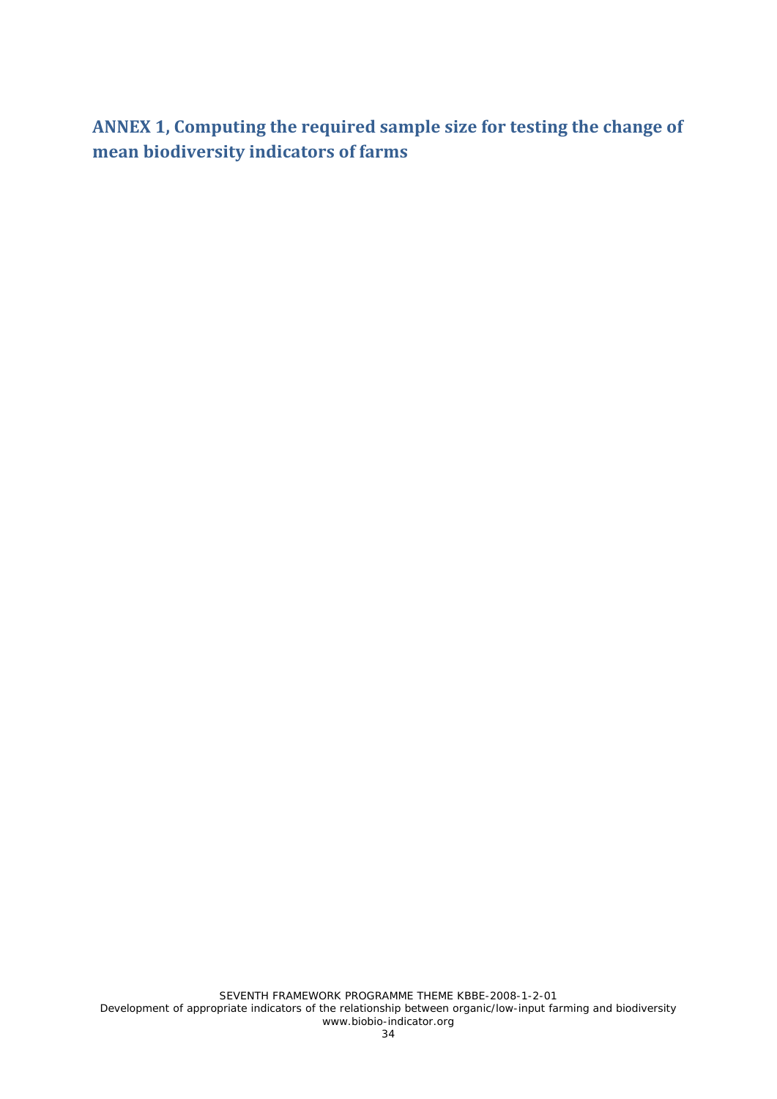**ANNEX 1, Computing the required sample size for testing the change of mean biodiversity indicators of farms**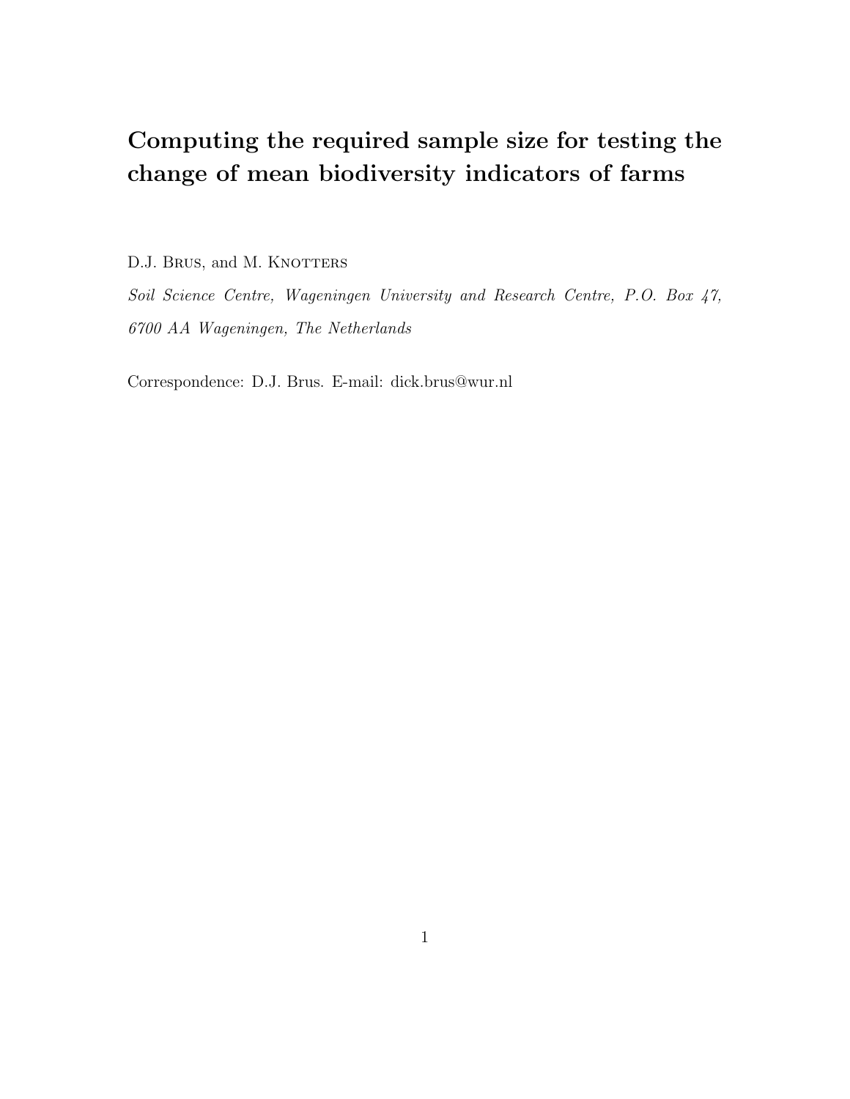# Computing the required sample size for testing the change of mean biodiversity indicators of farms

D.J. BRUS, and M. KNOTTERS

Soil Science Centre, Wageningen University and Research Centre, P.O. Box 47, 6700 AA Wageningen, The Netherlands

Correspondence: D.J. Brus. E-mail: dick.brus@wur.nl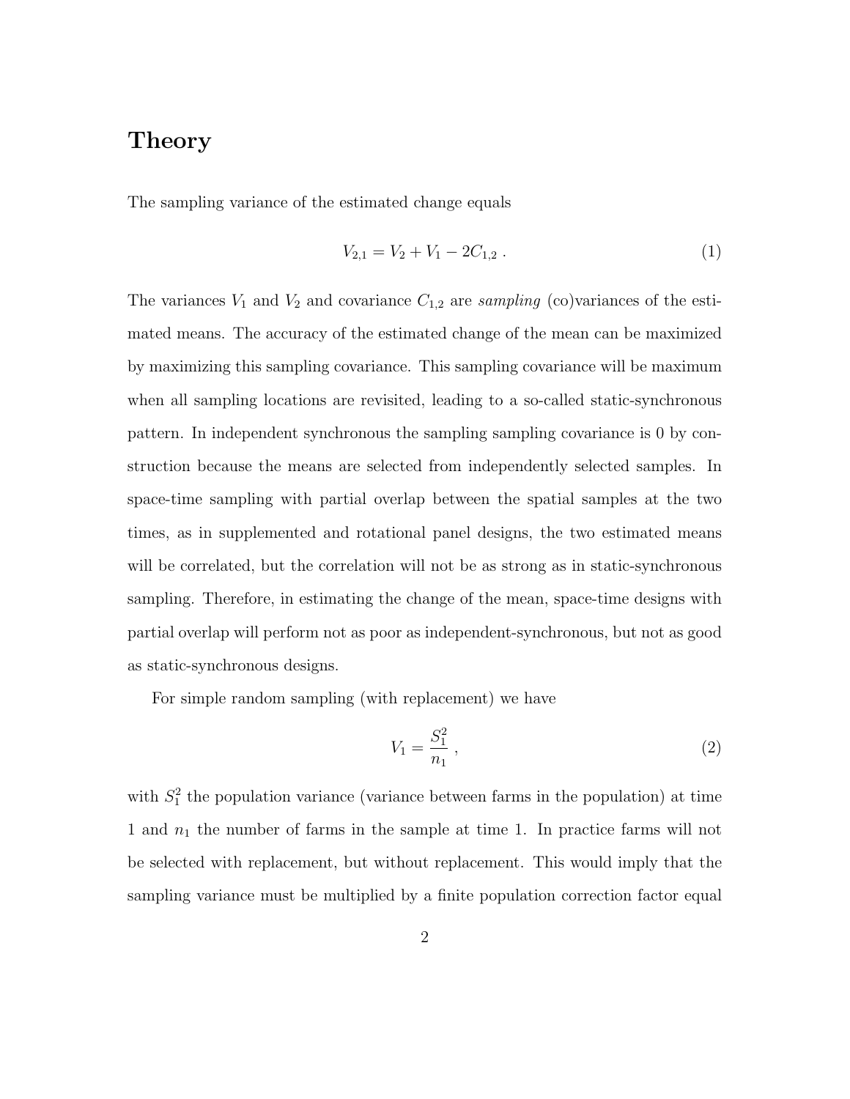# Theory

The sampling variance of the estimated change equals

$$
V_{2,1} = V_2 + V_1 - 2C_{1,2} \tag{1}
$$

The variances  $V_1$  and  $V_2$  and covariance  $C_{1,2}$  are sampling (co)variances of the estimated means. The accuracy of the estimated change of the mean can be maximized by maximizing this sampling covariance. This sampling covariance will be maximum when all sampling locations are revisited, leading to a so-called static-synchronous pattern. In independent synchronous the sampling sampling covariance is 0 by construction because the means are selected from independently selected samples. In space-time sampling with partial overlap between the spatial samples at the two times, as in supplemented and rotational panel designs, the two estimated means will be correlated, but the correlation will not be as strong as in static-synchronous sampling. Therefore, in estimating the change of the mean, space-time designs with partial overlap will perform not as poor as independent-synchronous, but not as good as static-synchronous designs.

For simple random sampling (with replacement) we have

$$
V_1 = \frac{S_1^2}{n_1} \,,\tag{2}
$$

with  $S_1^2$  the population variance (variance between farms in the population) at time 1 and  $n_1$  the number of farms in the sample at time 1. In practice farms will not be selected with replacement, but without replacement. This would imply that the sampling variance must be multiplied by a finite population correction factor equal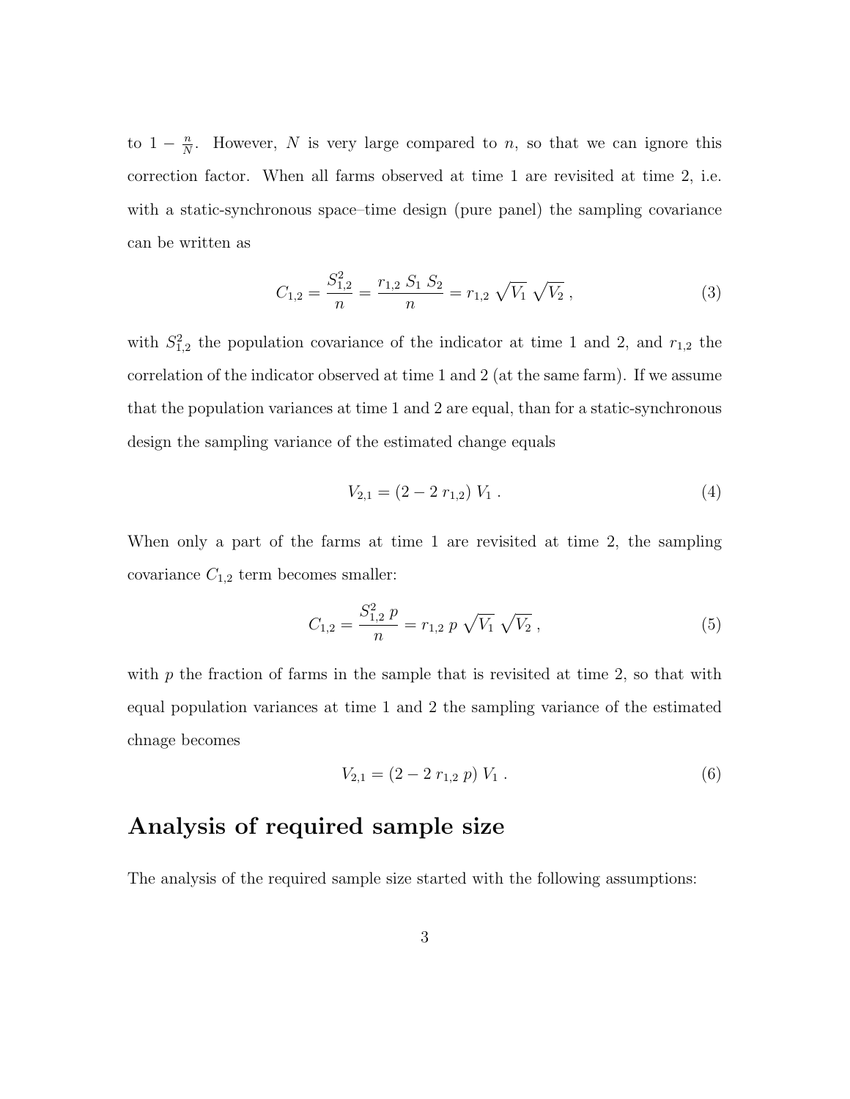to  $1-\frac{n}{N}$  $\frac{n}{N}$ . However, N is very large compared to n, so that we can ignore this correction factor. When all farms observed at time 1 are revisited at time 2, i.e. with a static-synchronous space–time design (pure panel) the sampling covariance can be written as

$$
C_{1,2} = \frac{S_{1,2}^2}{n} = \frac{r_{1,2} S_1 S_2}{n} = r_{1,2} \sqrt{V_1} \sqrt{V_2}, \qquad (3)
$$

with  $S_{1,2}^2$  the population covariance of the indicator at time 1 and 2, and  $r_{1,2}$  the correlation of the indicator observed at time 1 and 2 (at the same farm). If we assume that the population variances at time 1 and 2 are equal, than for a static-synchronous design the sampling variance of the estimated change equals

$$
V_{2,1} = (2 - 2 r_{1,2}) V_1 . \tag{4}
$$

When only a part of the farms at time 1 are revisited at time 2, the sampling covariance  $C_{1,2}$  term becomes smaller:

$$
C_{1,2} = \frac{S_{1,2}^2 p}{n} = r_{1,2} p \sqrt{V_1} \sqrt{V_2}, \qquad (5)
$$

with  $p$  the fraction of farms in the sample that is revisited at time 2, so that with equal population variances at time 1 and 2 the sampling variance of the estimated chnage becomes

$$
V_{2,1} = (2 - 2 r_{1,2} p) V_1 . \tag{6}
$$

# Analysis of required sample size

The analysis of the required sample size started with the following assumptions: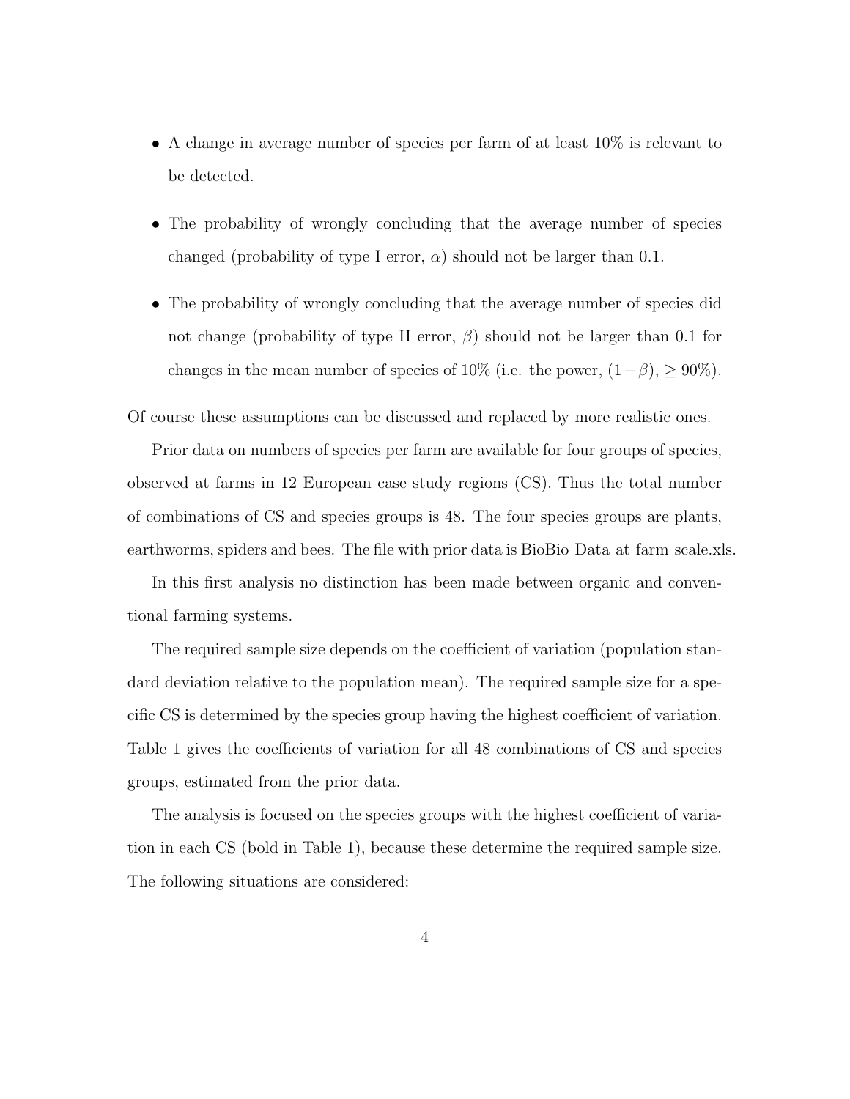- A change in average number of species per farm of at least 10% is relevant to be detected.
- The probability of wrongly concluding that the average number of species changed (probability of type I error,  $\alpha$ ) should not be larger than 0.1.
- The probability of wrongly concluding that the average number of species did not change (probability of type II error,  $\beta$ ) should not be larger than 0.1 for changes in the mean number of species of 10% (i.e. the power,  $(1-\beta)$ ,  $\geq 90\%$ ).

Of course these assumptions can be discussed and replaced by more realistic ones.

Prior data on numbers of species per farm are available for four groups of species, observed at farms in 12 European case study regions (CS). Thus the total number of combinations of CS and species groups is 48. The four species groups are plants, earthworms, spiders and bees. The file with prior data is BioBio Data at farm scale.xls.

In this first analysis no distinction has been made between organic and conventional farming systems.

The required sample size depends on the coefficient of variation (population standard deviation relative to the population mean). The required sample size for a specific CS is determined by the species group having the highest coefficient of variation. Table 1 gives the coefficients of variation for all 48 combinations of CS and species groups, estimated from the prior data.

The analysis is focused on the species groups with the highest coefficient of variation in each CS (bold in Table 1), because these determine the required sample size. The following situations are considered: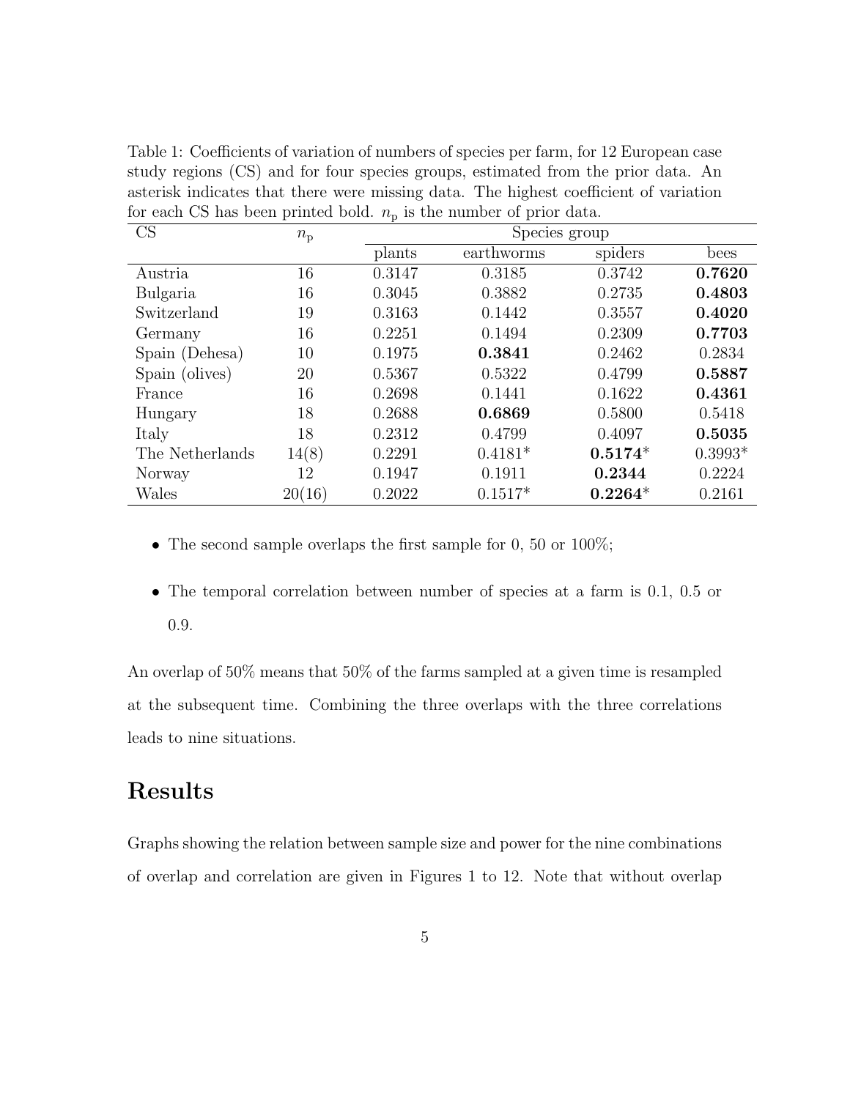| CS              | $n_{\rm p}$ |        | Species group |           |           |  |
|-----------------|-------------|--------|---------------|-----------|-----------|--|
|                 |             | plants | earthworms    | spiders   | bees      |  |
| Austria         | 16          | 0.3147 | 0.3185        | 0.3742    | 0.7620    |  |
| Bulgaria        | 16          | 0.3045 | 0.3882        | 0.2735    | 0.4803    |  |
| Switzerland     | 19          | 0.3163 | 0.1442        | 0.3557    | 0.4020    |  |
| Germany         | 16          | 0.2251 | 0.1494        | 0.2309    | 0.7703    |  |
| Spain (Dehesa)  | 10          | 0.1975 | 0.3841        | 0.2462    | 0.2834    |  |
| Spain (olives)  | 20          | 0.5367 | 0.5322        | 0.4799    | 0.5887    |  |
| France          | 16          | 0.2698 | 0.1441        | 0.1622    | 0.4361    |  |
| Hungary         | 18          | 0.2688 | 0.6869        | 0.5800    | 0.5418    |  |
| Italy           | 18          | 0.2312 | 0.4799        | 0.4097    | 0.5035    |  |
| The Netherlands | 14(8)       | 0.2291 | $0.4181*$     | $0.5174*$ | $0.3993*$ |  |
| Norway          | 12          | 0.1947 | 0.1911        | 0.2344    | 0.2224    |  |
| Wales           | 20(16)      | 0.2022 | $0.1517*$     | $0.2264*$ | 0.2161    |  |

Table 1: Coefficients of variation of numbers of species per farm, for 12 European case study regions (CS) and for four species groups, estimated from the prior data. An asterisk indicates that there were missing data. The highest coefficient of variation for each CS has been printed bold.  $n<sub>p</sub>$  is the number of prior data.

- The second sample overlaps the first sample for 0, 50 or 100%;
- The temporal correlation between number of species at a farm is 0.1, 0.5 or 0.9.

An overlap of 50% means that 50% of the farms sampled at a given time is resampled at the subsequent time. Combining the three overlaps with the three correlations leads to nine situations.

# Results

Graphs showing the relation between sample size and power for the nine combinations of overlap and correlation are given in Figures 1 to 12. Note that without overlap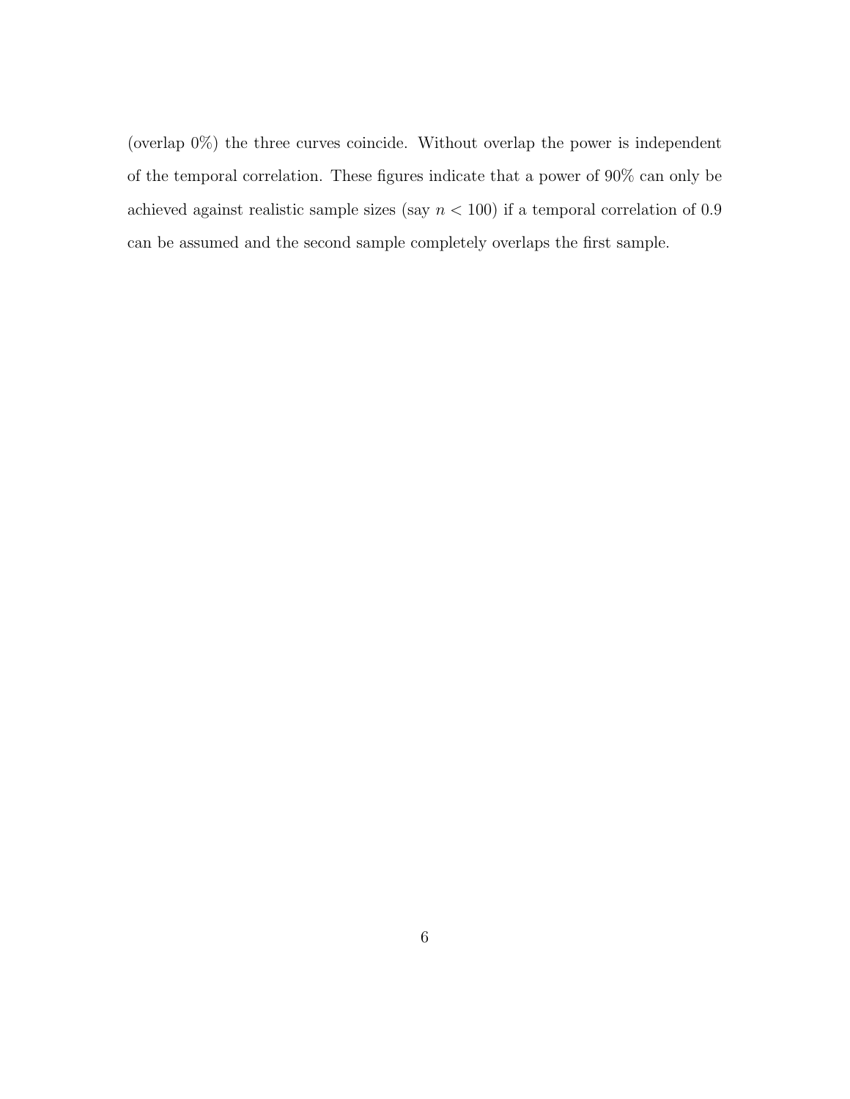(overlap 0%) the three curves coincide. Without overlap the power is independent of the temporal correlation. These figures indicate that a power of 90% can only be achieved against realistic sample sizes (say  $n < 100$ ) if a temporal correlation of 0.9 can be assumed and the second sample completely overlaps the first sample.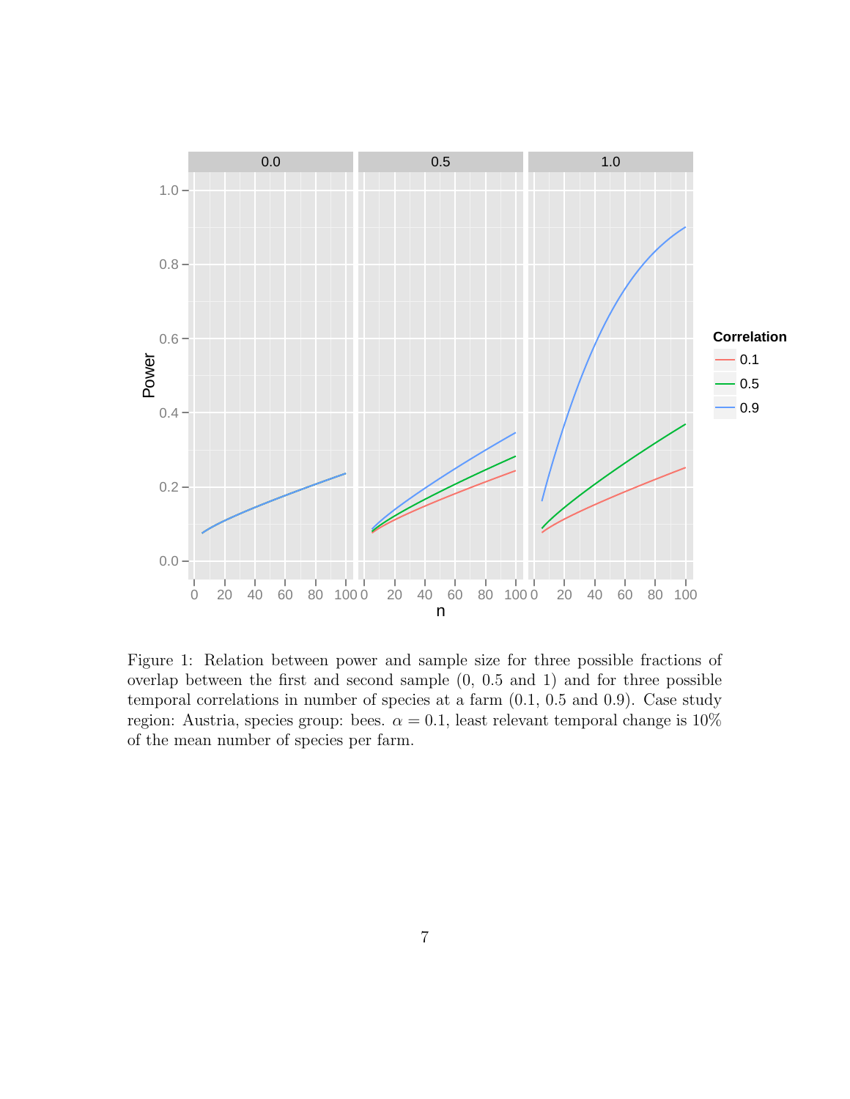

Figure 1: Relation between power and sample size for three possible fractions of overlap between the first and second sample (0, 0.5 and 1) and for three possible temporal correlations in number of species at a farm (0.1, 0.5 and 0.9). Case study region: Austria, species group: bees.  $\alpha = 0.1$ , least relevant temporal change is 10% of the mean number of species per farm.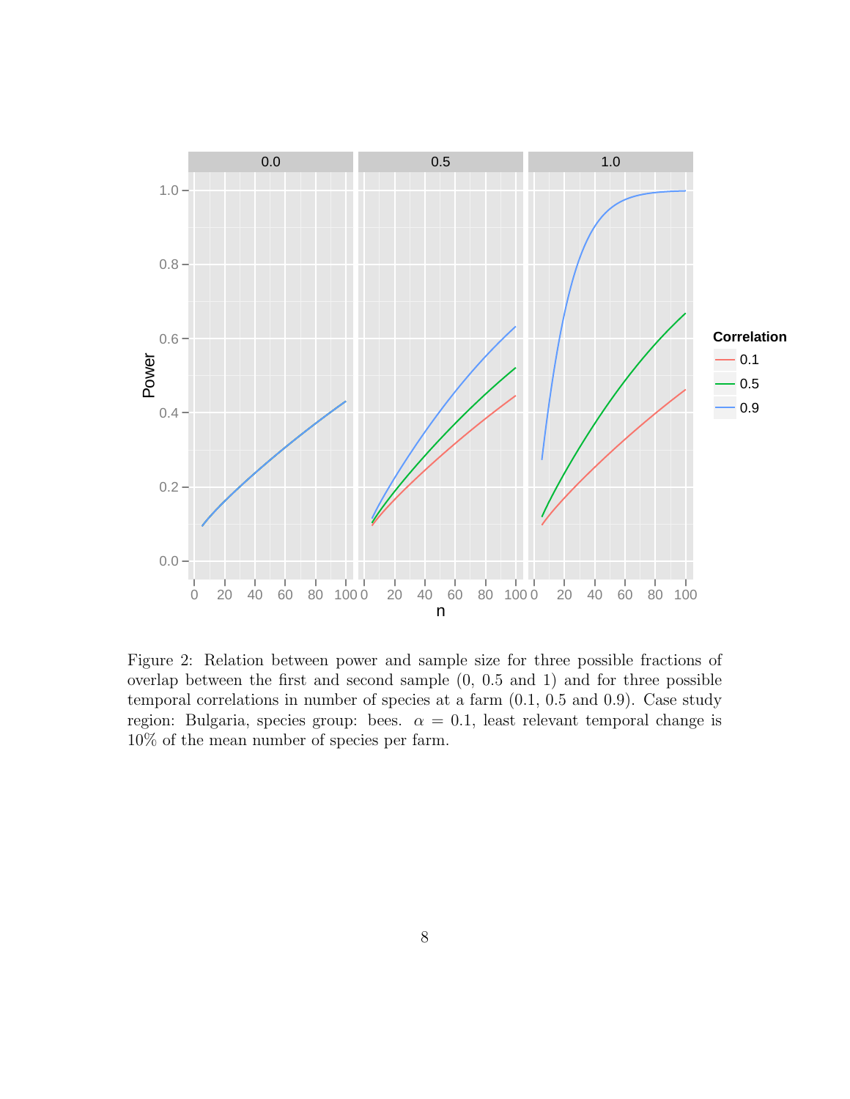

Figure 2: Relation between power and sample size for three possible fractions of overlap between the first and second sample (0, 0.5 and 1) and for three possible temporal correlations in number of species at a farm (0.1, 0.5 and 0.9). Case study region: Bulgaria, species group: bees.  $\alpha = 0.1$ , least relevant temporal change is 10% of the mean number of species per farm.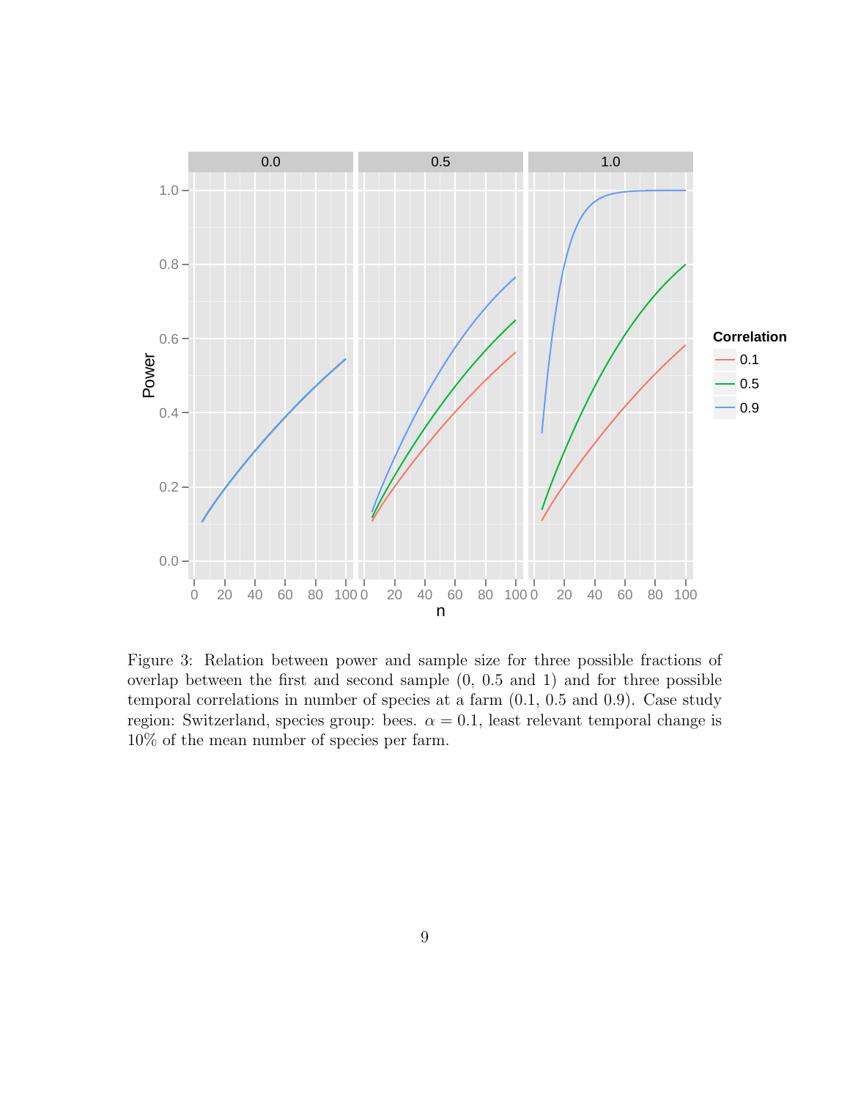

Figure 3: Relation between power and sample size for three possible fractions of overlap between the first and second sample (0, 0.5 and 1) and for three possible temporal correlations in number of species at a farm (0.1, 0.5 and 0.9). Case study region: Switzerland, species group: bees.  $\alpha = 0.1$ , least relevant temporal change is 10% of the mean number of species per farm.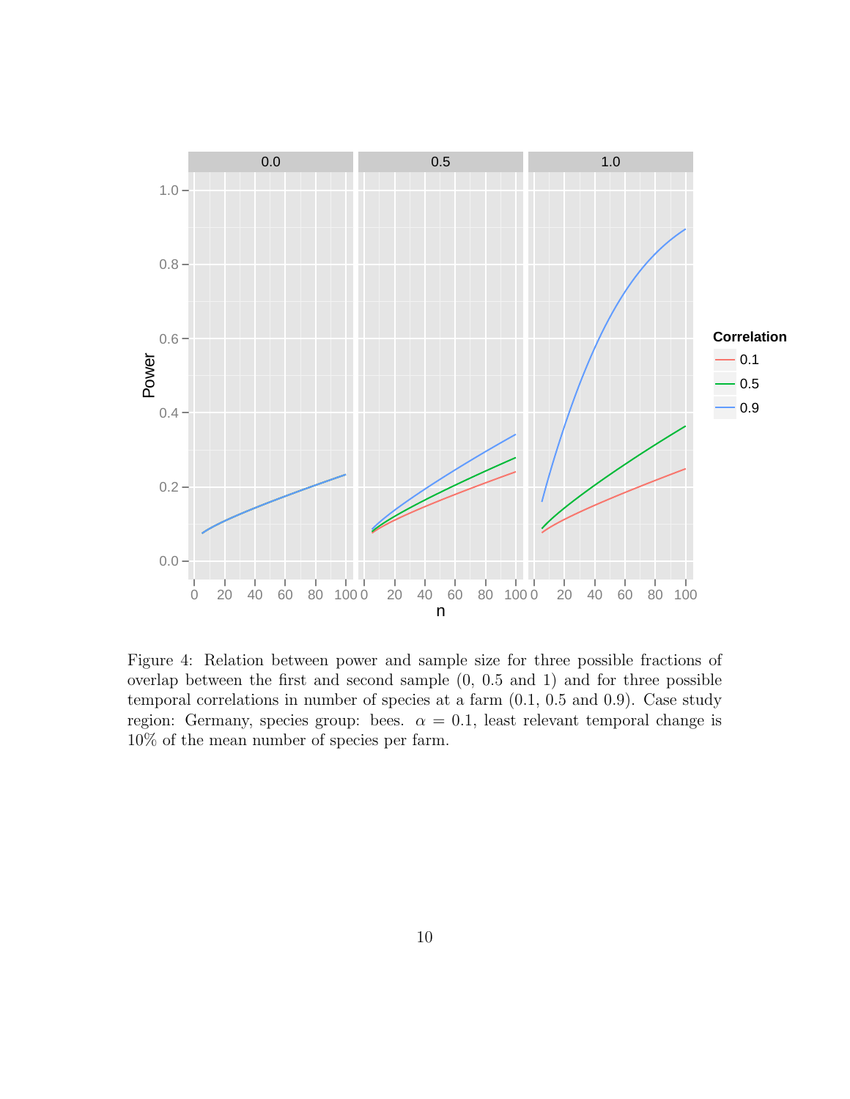

Figure 4: Relation between power and sample size for three possible fractions of overlap between the first and second sample (0, 0.5 and 1) and for three possible temporal correlations in number of species at a farm (0.1, 0.5 and 0.9). Case study region: Germany, species group: bees.  $\alpha = 0.1$ , least relevant temporal change is 10% of the mean number of species per farm.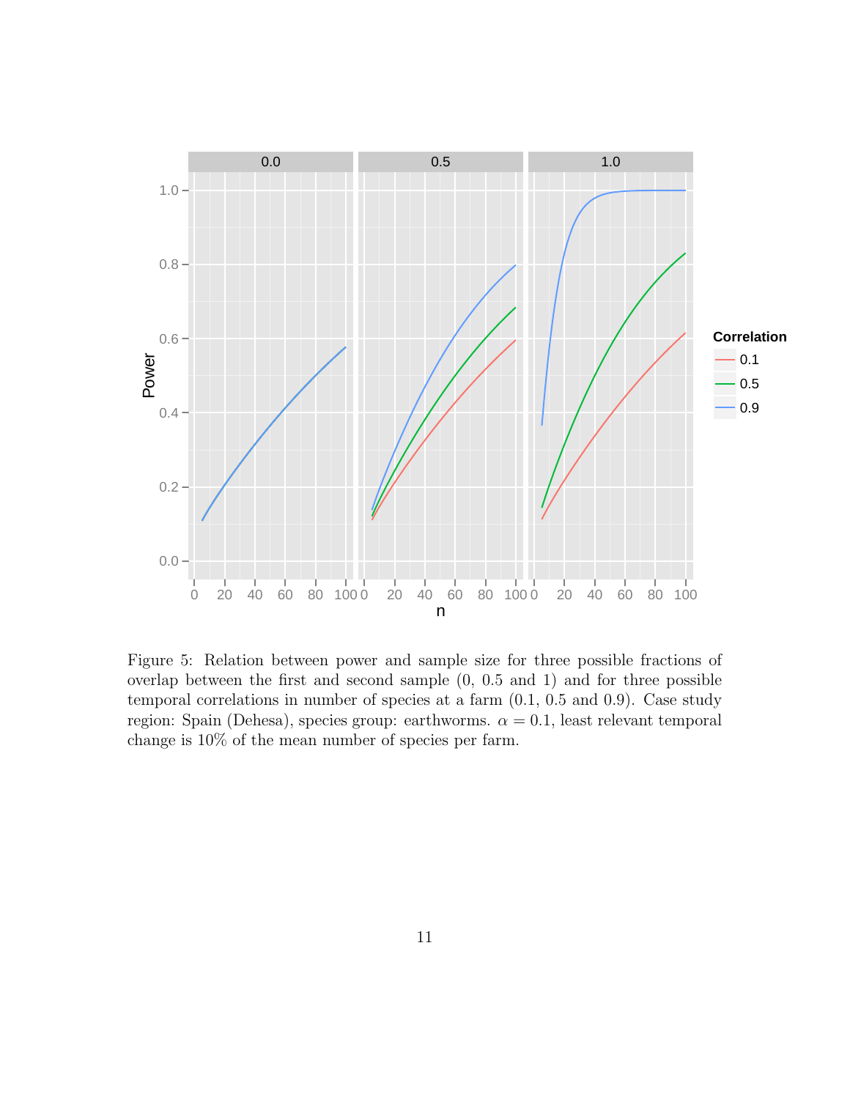

Figure 5: Relation between power and sample size for three possible fractions of overlap between the first and second sample (0, 0.5 and 1) and for three possible temporal correlations in number of species at a farm (0.1, 0.5 and 0.9). Case study region: Spain (Dehesa), species group: earthworms.  $\alpha = 0.1$ , least relevant temporal change is 10% of the mean number of species per farm.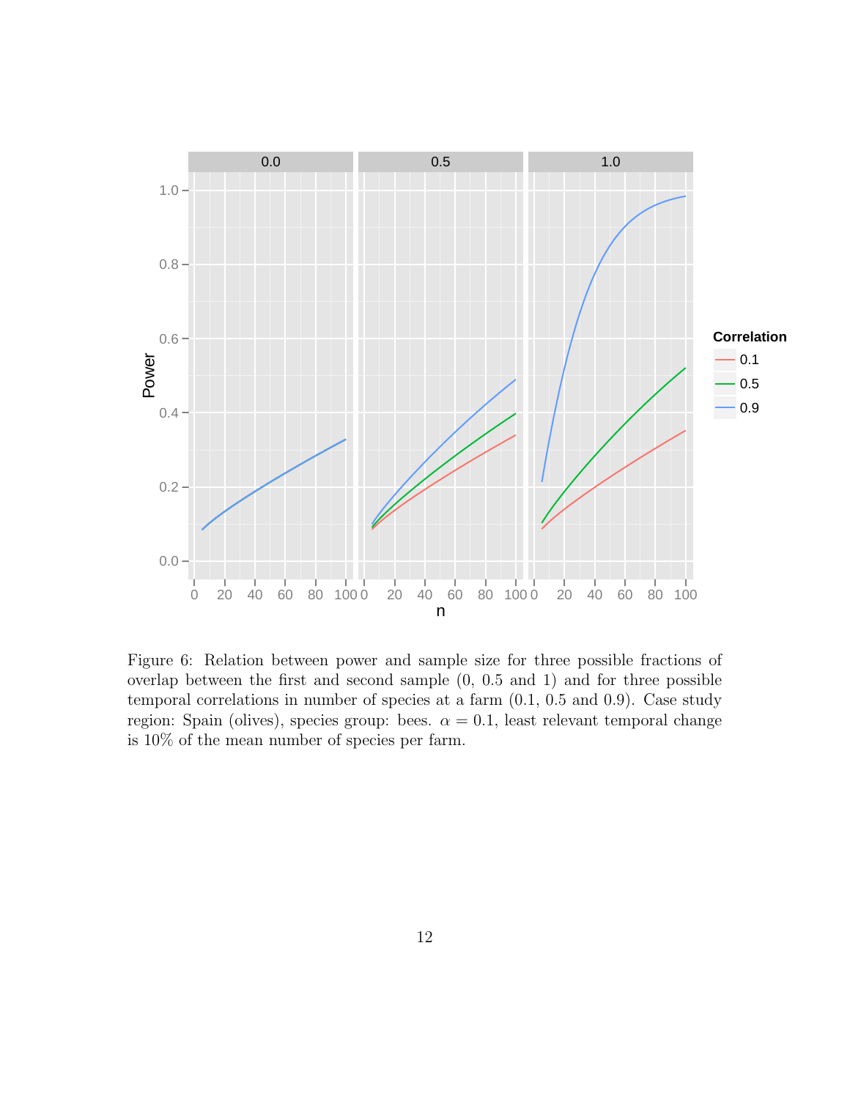

Figure 6: Relation between power and sample size for three possible fractions of overlap between the first and second sample (0, 0.5 and 1) and for three possible temporal correlations in number of species at a farm (0.1, 0.5 and 0.9). Case study region: Spain (olives), species group: bees.  $\alpha = 0.1$ , least relevant temporal change is 10% of the mean number of species per farm.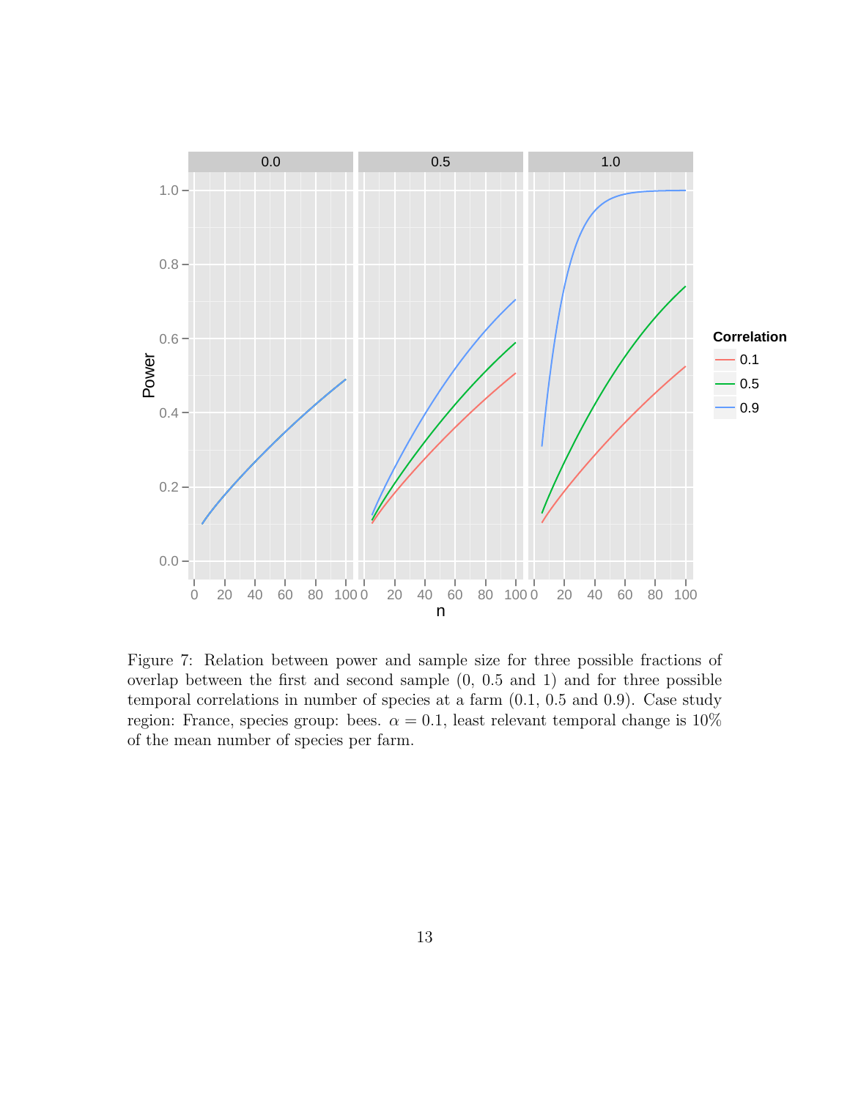

Figure 7: Relation between power and sample size for three possible fractions of overlap between the first and second sample (0, 0.5 and 1) and for three possible temporal correlations in number of species at a farm (0.1, 0.5 and 0.9). Case study region: France, species group: bees.  $\alpha = 0.1$ , least relevant temporal change is 10% of the mean number of species per farm.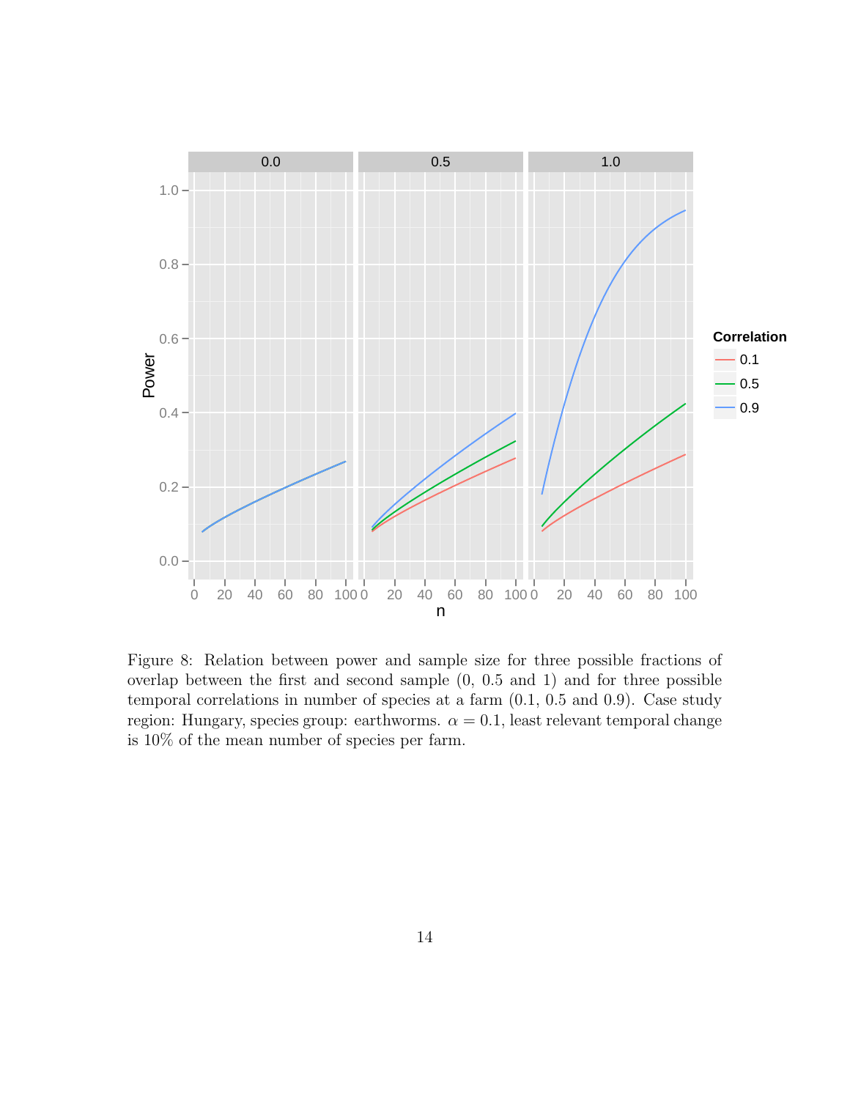

Figure 8: Relation between power and sample size for three possible fractions of overlap between the first and second sample (0, 0.5 and 1) and for three possible temporal correlations in number of species at a farm (0.1, 0.5 and 0.9). Case study region: Hungary, species group: earthworms.  $\alpha = 0.1$ , least relevant temporal change is 10% of the mean number of species per farm.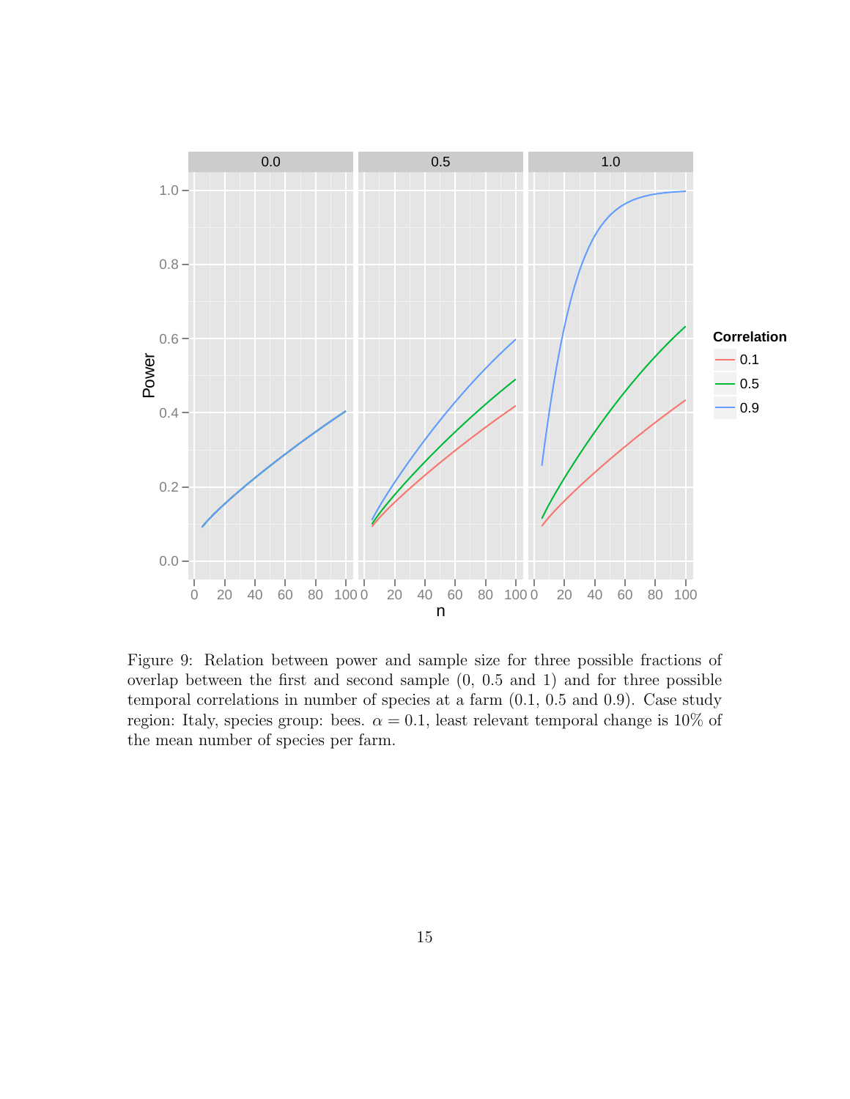![](_page_48_Figure_0.jpeg)

Figure 9: Relation between power and sample size for three possible fractions of overlap between the first and second sample (0, 0.5 and 1) and for three possible temporal correlations in number of species at a farm (0.1, 0.5 and 0.9). Case study region: Italy, species group: bees.  $\alpha = 0.1$ , least relevant temporal change is 10% of the mean number of species per farm.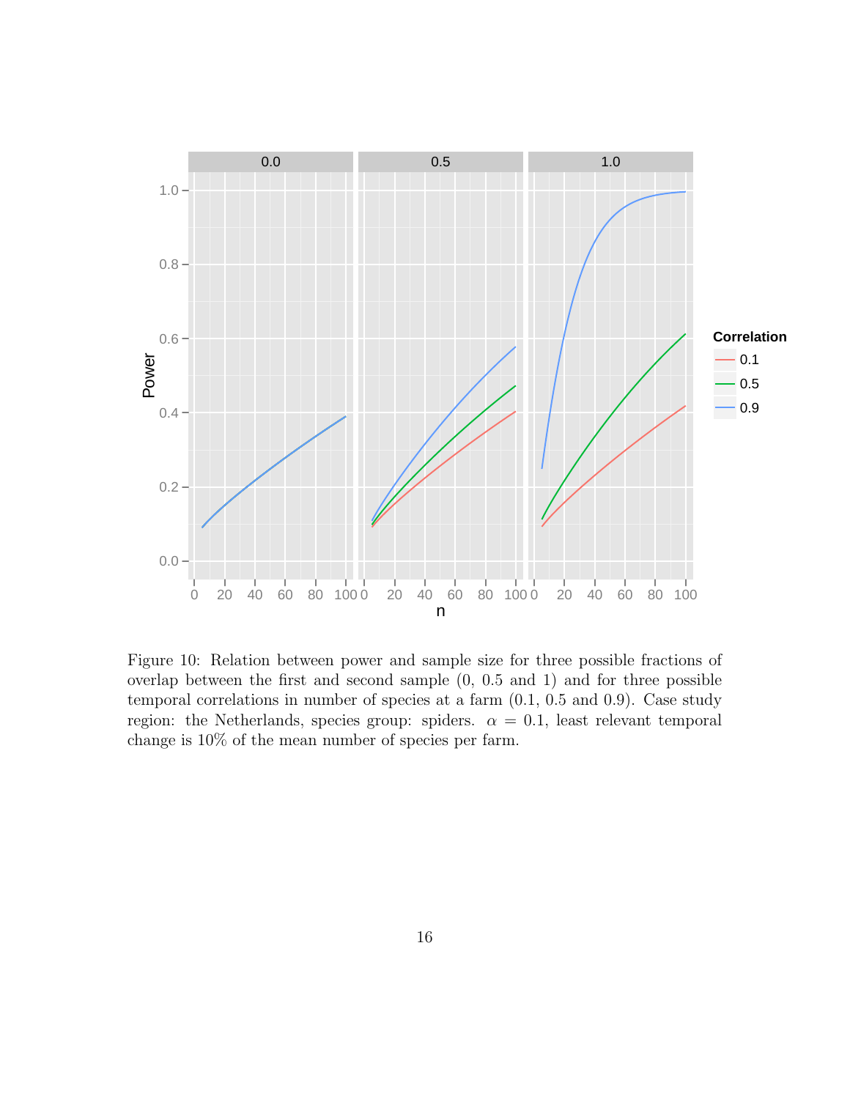![](_page_49_Figure_0.jpeg)

Figure 10: Relation between power and sample size for three possible fractions of overlap between the first and second sample (0, 0.5 and 1) and for three possible temporal correlations in number of species at a farm (0.1, 0.5 and 0.9). Case study region: the Netherlands, species group: spiders.  $\alpha = 0.1$ , least relevant temporal change is 10% of the mean number of species per farm.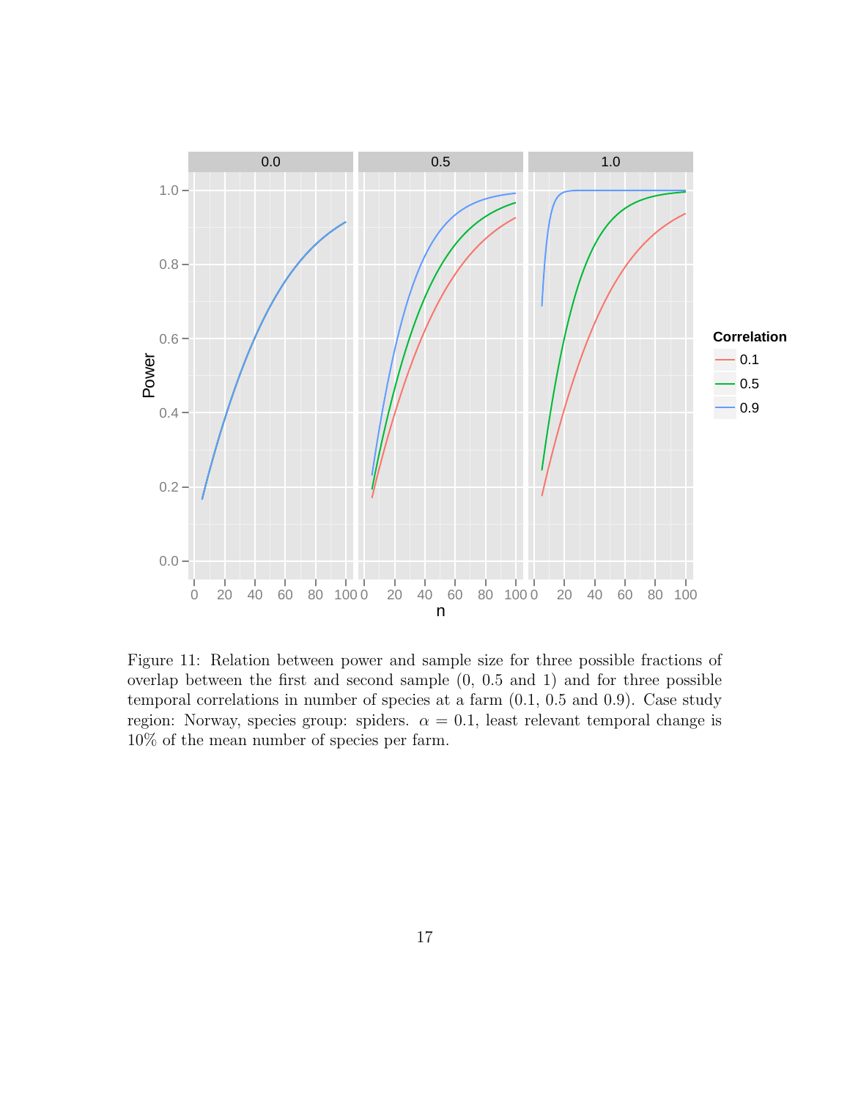![](_page_50_Figure_0.jpeg)

Figure 11: Relation between power and sample size for three possible fractions of overlap between the first and second sample (0, 0.5 and 1) and for three possible temporal correlations in number of species at a farm (0.1, 0.5 and 0.9). Case study region: Norway, species group: spiders.  $\alpha = 0.1$ , least relevant temporal change is 10% of the mean number of species per farm.